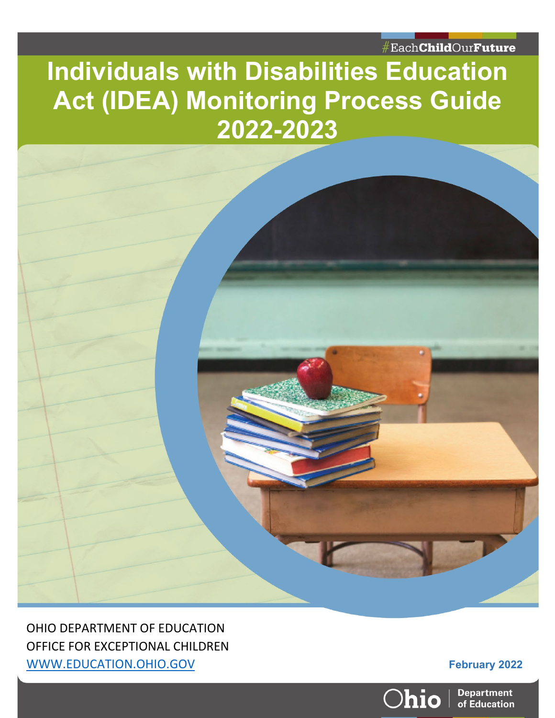## #EachChildOurFuture

# **Individuals with Disabilities Education Act (IDEA) Monitoring Process Guide 2022-2023**



OHIO DEPARTMENT OF EDUCATION OFFICE FOR EXCEPTIONAL CHILDREN [WWW.EDUCATION.OHIO.GOV](http://www.education.ohio.gov/) **February 2022** 



**Department** of Education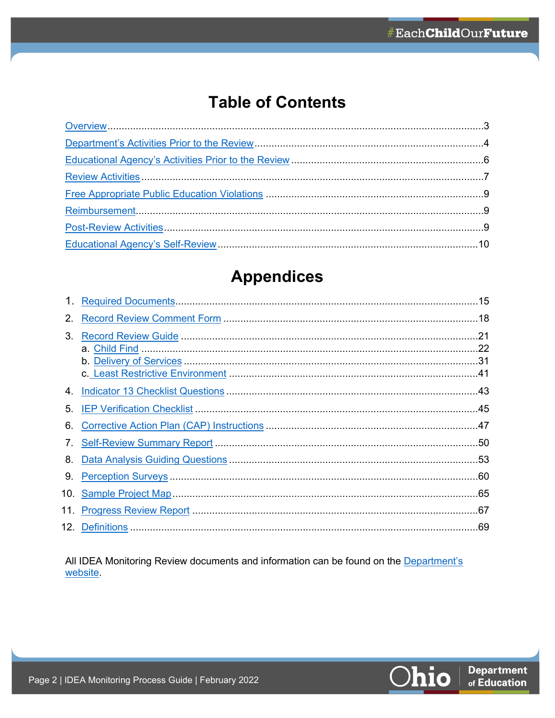# **Table of Contents**

# **Appendices**

| 2.                               |  |
|----------------------------------|--|
| 3.                               |  |
| 4.                               |  |
| 5.                               |  |
| 6.                               |  |
| $7_{\scriptscriptstyle{\ddots}}$ |  |
| 8.                               |  |
| 9.                               |  |
|                                  |  |
|                                  |  |
|                                  |  |

All IDEA Monitoring Review documents and information can be found on the Department's website

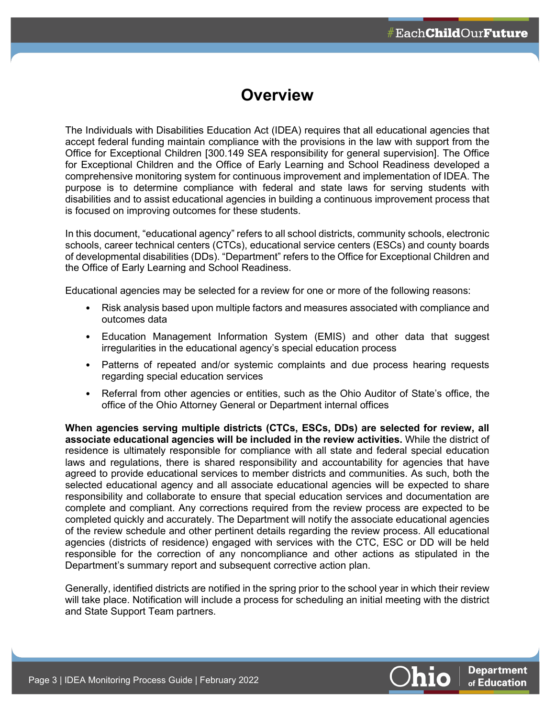# **Overview**

<span id="page-2-0"></span>The Individuals with Disabilities Education Act (IDEA) requires that all educational agencies that accept federal funding maintain compliance with the provisions in the law with support from the Office for Exceptional Children [300.149 SEA responsibility for general supervision]. The Office for Exceptional Children and the Office of Early Learning and School Readiness developed a comprehensive monitoring system for continuous improvement and implementation of IDEA. The purpose is to determine compliance with federal and state laws for serving students with disabilities and to assist educational agencies in building a continuous improvement process that is focused on improving outcomes for these students.

In this document, "educational agency" refers to all school districts, community schools, electronic schools, career technical centers (CTCs), educational service centers (ESCs) and county boards of developmental disabilities (DDs). "Department" refers to the Office for Exceptional Children and the Office of Early Learning and School Readiness.

Educational agencies may be selected for a review for one or more of the following reasons:

- Risk analysis based upon multiple factors and measures associated with compliance and outcomes data
- Education Management Information System (EMIS) and other data that suggest irregularities in the educational agency's special education process
- Patterns of repeated and/or systemic complaints and due process hearing requests regarding special education services
- Referral from other agencies or entities, such as the Ohio Auditor of State's office, the office of the Ohio Attorney General or Department internal offices

**When agencies serving multiple districts (CTCs, ESCs, DDs) are selected for review, all associate educational agencies will be included in the review activities.** While the district of residence is ultimately responsible for compliance with all state and federal special education laws and regulations, there is shared responsibility and accountability for agencies that have agreed to provide educational services to member districts and communities. As such, both the selected educational agency and all associate educational agencies will be expected to share responsibility and collaborate to ensure that special education services and documentation are complete and compliant. Any corrections required from the review process are expected to be completed quickly and accurately. The Department will notify the associate educational agencies of the review schedule and other pertinent details regarding the review process. All educational agencies (districts of residence) engaged with services with the CTC, ESC or DD will be held responsible for the correction of any noncompliance and other actions as stipulated in the Department's summary report and subsequent corrective action plan.

Generally, identified districts are notified in the spring prior to the school year in which their review will take place. Notification will include a process for scheduling an initial meeting with the district and State Support Team partners.

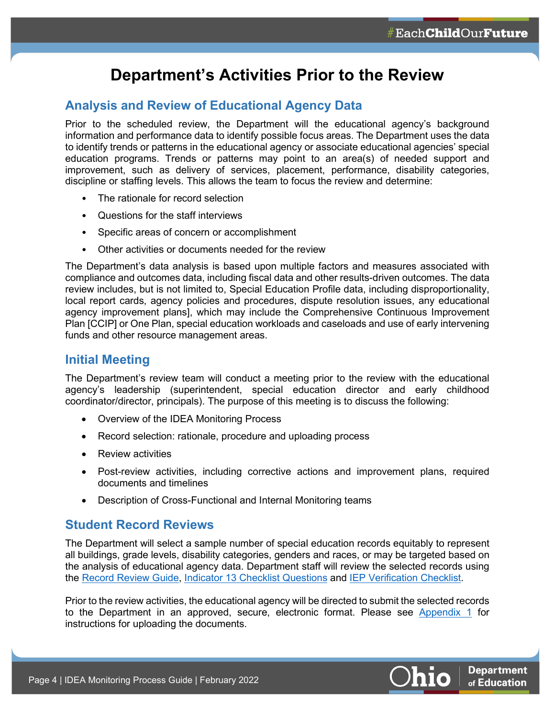# **Department's Activities Prior to the Review**

## <span id="page-3-0"></span>**Analysis and Review of Educational Agency Data**

Prior to the scheduled review, the Department will the educational agency's background information and performance data to identify possible focus areas. The Department uses the data to identify trends or patterns in the educational agency or associate educational agencies' special education programs. Trends or patterns may point to an area(s) of needed support and improvement, such as delivery of services, placement, performance, disability categories, discipline or staffing levels. This allows the team to focus the review and determine:

- The rationale for record selection
- Questions for the staff interviews
- Specific areas of concern or accomplishment
- Other activities or documents needed for the review

The Department's data analysis is based upon multiple factors and measures associated with compliance and outcomes data, including fiscal data and other results-driven outcomes. The data review includes, but is not limited to, Special Education Profile data, including disproportionality, local report cards, agency policies and procedures, dispute resolution issues, any educational agency improvement plans], which may include the Comprehensive Continuous Improvement Plan [CCIP] or One Plan, special education workloads and caseloads and use of early intervening funds and other resource management areas.

### **Initial Meeting**

The Department's review team will conduct a meeting prior to the review with the educational agency's leadership (superintendent, special education director and early childhood coordinator/director, principals). The purpose of this meeting is to discuss the following:

- Overview of the IDEA Monitoring Process
- Record selection: rationale, procedure and uploading process
- Review activities
- Post-review activities, including corrective actions and improvement plans, required documents and timelines
- Description of Cross-Functional and Internal Monitoring teams

### **Student Record Reviews**

The Department will select a sample number of special education records equitably to represent all buildings, grade levels, disability categories, genders and races, or may be targeted based on the analysis of educational agency data. Department staff will review the selected records using the [Record Review Guide,](#page-20-0) [Indicator 13 Checklist](#page-42-0) Questions and [IEP Verification Checklist.](#page-44-0)

Prior to the review activities, the educational agency will be directed to submit the selected records to the Department in an approved, secure, electronic format. Please see [Appendix 1](#page-14-0) for instructions for uploading the documents.

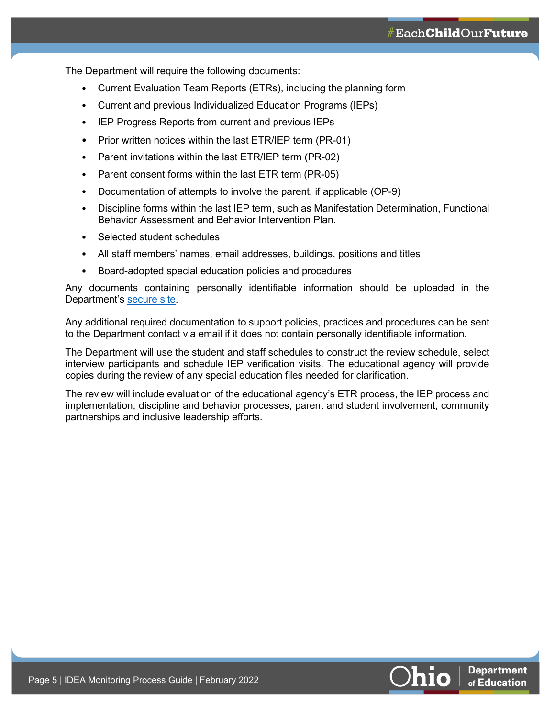The Department will require the following documents:

- Current Evaluation Team Reports (ETRs), including the planning form
- Current and previous Individualized Education Programs (IEPs)
- IEP Progress Reports from current and previous IEPs
- Prior written notices within the last ETR/IEP term (PR-01)
- Parent invitations within the last ETR/IEP term (PR-02)
- Parent consent forms within the last ETR term (PR-05)
- Documentation of attempts to involve the parent, if applicable (OP-9)
- Discipline forms within the last IEP term, such as Manifestation Determination, Functional Behavior Assessment and Behavior Intervention Plan.
- Selected student schedules
- All staff members' names, email addresses, buildings, positions and titles
- Board-adopted special education policies and procedures

Any documents containing personally identifiable information should be uploaded in the Department's [secure site.](https://docupload.ode.state.oh.us/)

Any additional required documentation to support policies, practices and procedures can be sent to the Department contact via email if it does not contain personally identifiable information.

The Department will use the student and staff schedules to construct the review schedule, select interview participants and schedule IEP verification visits. The educational agency will provide copies during the review of any special education files needed for clarification.

The review will include evaluation of the educational agency's ETR process, the IEP process and implementation, discipline and behavior processes, parent and student involvement, community partnerships and inclusive leadership efforts.

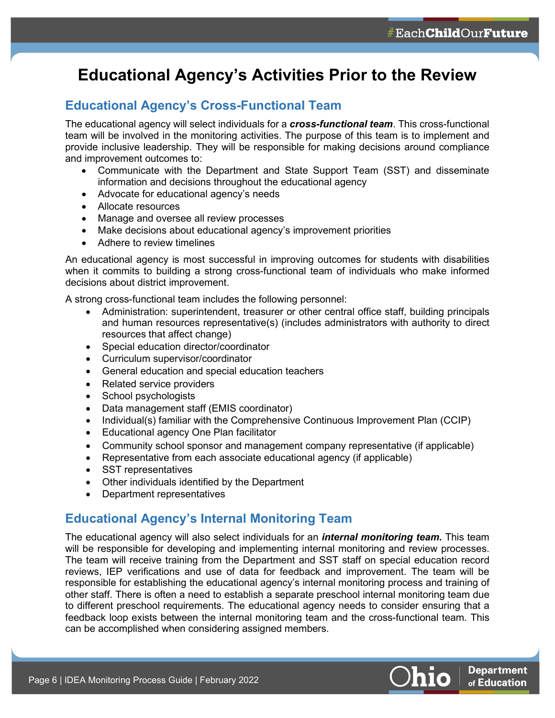# <span id="page-5-0"></span>**Educational Agency's Activities Prior to the Review**

# **Educational Agency's Cross-Functional Team**

The educational agency will select individuals for a *cross-functional team*. This cross-functional team will be involved in the monitoring activities. The purpose of this team is to implement and provide inclusive leadership. They will be responsible for making decisions around compliance and improvement outcomes to:

- Communicate with the Department and State Support Team (SST) and disseminate information and decisions throughout the educational agency
- Advocate for educational agency's needs
- Allocate resources
- Manage and oversee all review processes
- Make decisions about educational agency's improvement priorities
- Adhere to review timelines

An educational agency is most successful in improving outcomes for students with disabilities when it commits to building a strong cross-functional team of individuals who make informed decisions about district improvement.

A strong cross-functional team includes the following personnel:

- Administration: superintendent, treasurer or other central office staff, building principals and human resources representative(s) (includes administrators with authority to direct resources that affect change)
- Special education director/coordinator
- Curriculum supervisor/coordinator
- General education and special education teachers
- Related service providers
- School psychologists
- Data management staff (EMIS coordinator)
- Individual(s) familiar with the Comprehensive Continuous Improvement Plan (CCIP)
- Educational agency One Plan facilitator
- Community school sponsor and management company representative (if applicable)
- Representative from each associate educational agency (if applicable)
- SST representatives
- Other individuals identified by the Department
- Department representatives

## **Educational Agency's Internal Monitoring Team**

The educational agency will also select individuals for an *internal monitoring team.* This team will be responsible for developing and implementing internal monitoring and review processes. The team will receive training from the Department and SST staff on special education record reviews, IEP verifications and use of data for feedback and improvement. The team will be responsible for establishing the educational agency's internal monitoring process and training of other staff. There is often a need to establish a separate preschool internal monitoring team due to different preschool requirements. The educational agency needs to consider ensuring that a feedback loop exists between the internal monitoring team and the cross-functional team. This can be accomplished when considering assigned members.

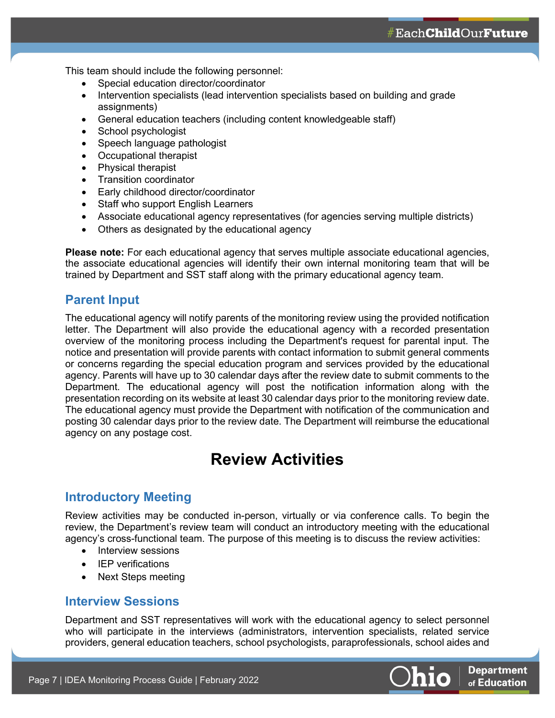This team should include the following personnel:

- Special education director/coordinator
- Intervention specialists (lead intervention specialists based on building and grade assignments)
- General education teachers (including content knowledgeable staff)
- School psychologist
- Speech language pathologist
- Occupational therapist
- Physical therapist
- Transition coordinator
- Early childhood director/coordinator
- Staff who support English Learners
- Associate educational agency representatives (for agencies serving multiple districts)
- Others as designated by the educational agency

**Please note:** For each educational agency that serves multiple associate educational agencies, the associate educational agencies will identify their own internal monitoring team that will be trained by Department and SST staff along with the primary educational agency team.

### **Parent Input**

The educational agency will notify parents of the monitoring review using the provided notification letter. The Department will also provide the educational agency with a recorded presentation overview of the monitoring process including the Department's request for parental input. The notice and presentation will provide parents with contact information to submit general comments or concerns regarding the special education program and services provided by the educational agency. Parents will have up to 30 calendar days after the review date to submit comments to the Department. The educational agency will post the notification information along with the presentation recording on its website at least 30 calendar days prior to the monitoring review date. The educational agency must provide the Department with notification of the communication and posting 30 calendar days prior to the review date. The Department will reimburse the educational agency on any postage cost.

# **Review Activities**

### <span id="page-6-0"></span>**Introductory Meeting**

Review activities may be conducted in-person, virtually or via conference calls. To begin the review, the Department's review team will conduct an introductory meeting with the educational agency's cross-functional team. The purpose of this meeting is to discuss the review activities:

- Interview sessions
- IEP verifications
- Next Steps meeting

### **Interview Sessions**

Department and SST representatives will work with the educational agency to select personnel who will participate in the interviews (administrators, intervention specialists, related service providers, general education teachers, school psychologists, paraprofessionals, school aides and

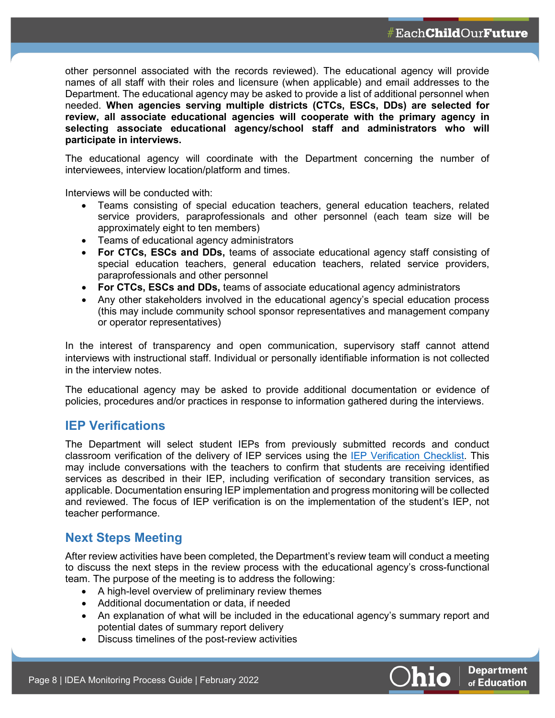other personnel associated with the records reviewed). The educational agency will provide names of all staff with their roles and licensure (when applicable) and email addresses to the Department. The educational agency may be asked to provide a list of additional personnel when needed. **When agencies serving multiple districts (CTCs, ESCs, DDs) are selected for review, all associate educational agencies will cooperate with the primary agency in selecting associate educational agency/school staff and administrators who will participate in interviews.** 

The educational agency will coordinate with the Department concerning the number of interviewees, interview location/platform and times.

Interviews will be conducted with:

- Teams consisting of special education teachers, general education teachers, related service providers, paraprofessionals and other personnel (each team size will be approximately eight to ten members)
- Teams of educational agency administrators
- **For CTCs, ESCs and DDs,** teams of associate educational agency staff consisting of special education teachers, general education teachers, related service providers, paraprofessionals and other personnel
- **For CTCs, ESCs and DDs,** teams of associate educational agency administrators
- Any other stakeholders involved in the educational agency's special education process (this may include community school sponsor representatives and management company or operator representatives)

In the interest of transparency and open communication, supervisory staff cannot attend interviews with instructional staff. Individual or personally identifiable information is not collected in the interview notes.

The educational agency may be asked to provide additional documentation or evidence of policies, procedures and/or practices in response to information gathered during the interviews.

### **IEP Verifications**

The Department will select student IEPs from previously submitted records and conduct classroom verification of the delivery of IEP services using the [IEP Verification Checklist.](#page-44-1) This may include conversations with the teachers to confirm that students are receiving identified services as described in their IEP, including verification of secondary transition services, as applicable. Documentation ensuring IEP implementation and progress monitoring will be collected and reviewed. The focus of IEP verification is on the implementation of the student's IEP, not teacher performance.

### **Next Steps Meeting**

After review activities have been completed, the Department's review team will conduct a meeting to discuss the next steps in the review process with the educational agency's cross-functional team. The purpose of the meeting is to address the following:

- A high-level overview of preliminary review themes
- Additional documentation or data, if needed
- An explanation of what will be included in the educational agency's summary report and potential dates of summary report delivery
- Discuss timelines of the post-review activities

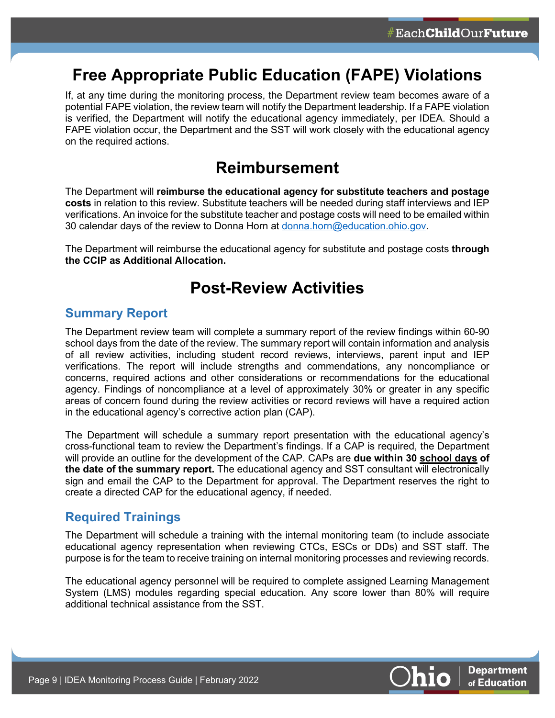# <span id="page-8-0"></span>**Free Appropriate Public Education (FAPE) Violations**

If, at any time during the monitoring process, the Department review team becomes aware of a potential FAPE violation, the review team will notify the Department leadership. If a FAPE violation is verified, the Department will notify the educational agency immediately, per IDEA. Should a FAPE violation occur, the Department and the SST will work closely with the educational agency on the required actions.

# **Reimbursement**

<span id="page-8-1"></span>The Department will **reimburse the educational agency for substitute teachers and postage costs** in relation to this review. Substitute teachers will be needed during staff interviews and IEP verifications. An invoice for the substitute teacher and postage costs will need to be emailed within 30 calendar days of the review to Donna Horn at [donna.horn@education.ohio.gov.](mailto:donna.horn@education.ohio.gov)

The Department will reimburse the educational agency for substitute and postage costs **through the CCIP as Additional Allocation.**

# **Post-Review Activities**

## <span id="page-8-2"></span>**Summary Report**

The Department review team will complete a summary report of the review findings within 60-90 school days from the date of the review. The summary report will contain information and analysis of all review activities, including student record reviews, interviews, parent input and IEP verifications. The report will include strengths and commendations, any noncompliance or concerns, required actions and other considerations or recommendations for the educational agency. Findings of noncompliance at a level of approximately 30% or greater in any specific areas of concern found during the review activities or record reviews will have a required action in the educational agency's corrective action plan (CAP).

The Department will schedule a summary report presentation with the educational agency's cross-functional team to review the Department's findings. If a CAP is required, the Department will provide an outline for the development of the CAP. CAPs are **due within 30 school days of the date of the summary report.** The educational agency and SST consultant will electronically sign and email the CAP to the Department for approval. The Department reserves the right to create a directed CAP for the educational agency, if needed.

# **Required Trainings**

The Department will schedule a training with the internal monitoring team (to include associate educational agency representation when reviewing CTCs, ESCs or DDs) and SST staff. The purpose is for the team to receive training on internal monitoring processes and reviewing records.

The educational agency personnel will be required to complete assigned Learning Management System (LMS) modules regarding special education. Any score lower than 80% will require additional technical assistance from the SST.

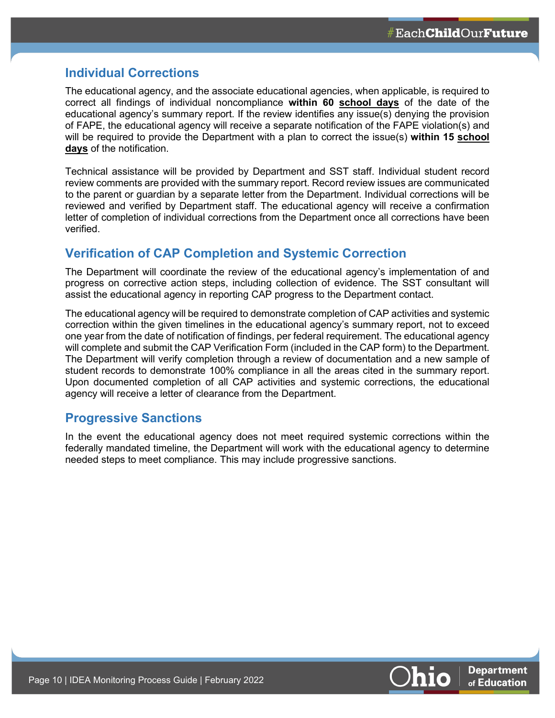### **Individual Corrections**

The educational agency, and the associate educational agencies, when applicable, is required to correct all findings of individual noncompliance **within 60 school days** of the date of the educational agency's summary report. If the review identifies any issue(s) denying the provision of FAPE, the educational agency will receive a separate notification of the FAPE violation(s) and will be required to provide the Department with a plan to correct the issue(s) **within 15 school days** of the notification.

Technical assistance will be provided by Department and SST staff. Individual student record review comments are provided with the summary report. Record review issues are communicated to the parent or guardian by a separate letter from the Department. Individual corrections will be reviewed and verified by Department staff. The educational agency will receive a confirmation letter of completion of individual corrections from the Department once all corrections have been verified.

## **Verification of CAP Completion and Systemic Correction**

The Department will coordinate the review of the educational agency's implementation of and progress on corrective action steps, including collection of evidence. The SST consultant will assist the educational agency in reporting CAP progress to the Department contact.

The educational agency will be required to demonstrate completion of CAP activities and systemic correction within the given timelines in the educational agency's summary report, not to exceed one year from the date of notification of findings, per federal requirement. The educational agency will complete and submit the CAP Verification Form (included in the CAP form) to the Department. The Department will verify completion through a review of documentation and a new sample of student records to demonstrate 100% compliance in all the areas cited in the summary report. Upon documented completion of all CAP activities and systemic corrections, the educational agency will receive a letter of clearance from the Department.

## **Progressive Sanctions**

<span id="page-9-0"></span>In the event the educational agency does not meet required systemic corrections within the federally mandated timeline, the Department will work with the educational agency to determine needed steps to meet compliance. This may include progressive sanctions.

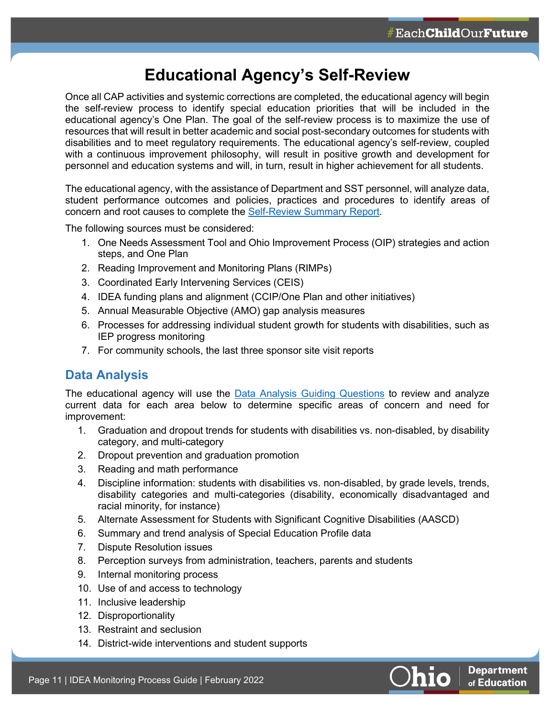# **Educational Agency's Self-Review**

Once all CAP activities and systemic corrections are completed, the educational agency will begin the self-review process to identify special education priorities that will be included in the educational agency's One Plan. The goal of the self-review process is to maximize the use of resources that will result in better academic and social post-secondary outcomes for students with disabilities and to meet regulatory requirements. The educational agency's self-review, coupled with a continuous improvement philosophy, will result in positive growth and development for personnel and education systems and will, in turn, result in higher achievement for all students.

The educational agency, with the assistance of Department and SST personnel, will analyze data, student performance outcomes and policies, practices and procedures to identify areas of concern and root causes to complete the [Self-Review Summary Report.](#page-49-0)

The following sources must be considered:

- 1. One Needs Assessment Tool and Ohio Improvement Process (OIP) strategies and action steps, and One Plan
- 2. Reading Improvement and Monitoring Plans (RIMPs)
- 3. Coordinated Early Intervening Services (CEIS)
- 4. IDEA funding plans and alignment (CCIP/One Plan and other initiatives)
- 5. Annual Measurable Objective (AMO) gap analysis measures
- 6. Processes for addressing individual student growth for students with disabilities, such as IEP progress monitoring
- 7. For community schools, the last three sponsor site visit reports

## **Data Analysis**

The educational agency will use the **Data Analysis Guiding Questions** to review and analyze current data for each area below to determine specific areas of concern and need for improvement:

- 1. Graduation and dropout trends for students with disabilities vs. non-disabled, by disability category, and multi-category
- 2. Dropout prevention and graduation promotion
- 3. Reading and math performance
- 4. Discipline information: students with disabilities vs. non-disabled, by grade levels, trends, disability categories and multi-categories (disability, economically disadvantaged and racial minority, for instance)
- 5. Alternate Assessment for Students with Significant Cognitive Disabilities (AASCD)
- 6. Summary and trend analysis of Special Education Profile data
- 7. Dispute Resolution issues
- 8. Perception surveys from administration, teachers, parents and students
- 9. Internal monitoring process
- 10. Use of and access to technology
- 11. Inclusive leadership
- 12. Disproportionality
- 13. Restraint and seclusion
- 14. District-wide interventions and student supports

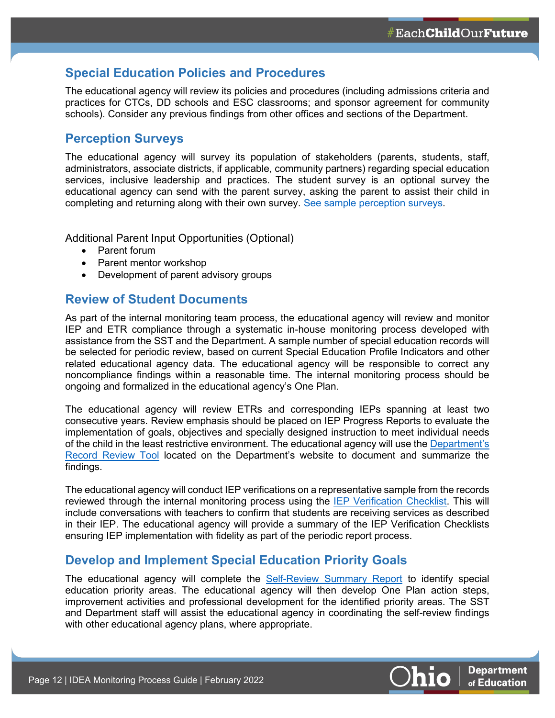## **Special Education Policies and Procedures**

The educational agency will review its policies and procedures (including admissions criteria and practices for CTCs, DD schools and ESC classrooms; and sponsor agreement for community schools). Consider any previous findings from other offices and sections of the Department.

### **Perception Surveys**

The educational agency will survey its population of stakeholders (parents, students, staff, administrators, associate districts, if applicable, community partners) regarding special education services, inclusive leadership and practices. The student survey is an optional survey the educational agency can send with the parent survey, asking the parent to assist their child in completing and returning along with their own survey. See [sample perception surveys.](#page-59-0)

Additional Parent Input Opportunities (Optional)

- Parent forum
- Parent mentor workshop
- Development of parent advisory groups

### **Review of Student Documents**

As part of the internal monitoring team process, the educational agency will review and monitor IEP and ETR compliance through a systematic in-house monitoring process developed with assistance from the SST and the Department. A sample number of special education records will be selected for periodic review, based on current Special Education Profile Indicators and other related educational agency data. The educational agency will be responsible to correct any noncompliance findings within a reasonable time. The internal monitoring process should be ongoing and formalized in the educational agency's One Plan.

The educational agency will review ETRs and corresponding IEPs spanning at least two consecutive years. Review emphasis should be placed on IEP Progress Reports to evaluate the implementation of goals, objectives and specially designed instruction to meet individual needs of the child in the least restrictive environment. The educational agency will use the [Department's](http://education.ohio.gov/Topics/Special-Education/Special-Education-Monitoring-System/IDEA-Onsite-Reviews)  [Record Review Tool](http://education.ohio.gov/Topics/Special-Education/Special-Education-Monitoring-System/IDEA-Onsite-Reviews) located on the Department's website to document and summarize the findings.

The educational agency will conduct IEP verifications on a representative sample from the records reviewed through the internal monitoring process using the [IEP Verification Checklist.](#page-44-1) This will include conversations with teachers to confirm that students are receiving services as described in their IEP. The educational agency will provide a summary of the IEP Verification Checklists ensuring IEP implementation with fidelity as part of the periodic report process.

## **Develop and Implement Special Education Priority Goals**

The educational agency will complete the **[Self-Review Summary Report](#page-49-0)** to identify special education priority areas. The educational agency will then develop One Plan action steps, improvement activities and professional development for the identified priority areas. The SST and Department staff will assist the educational agency in coordinating the self-review findings with other educational agency plans, where appropriate.

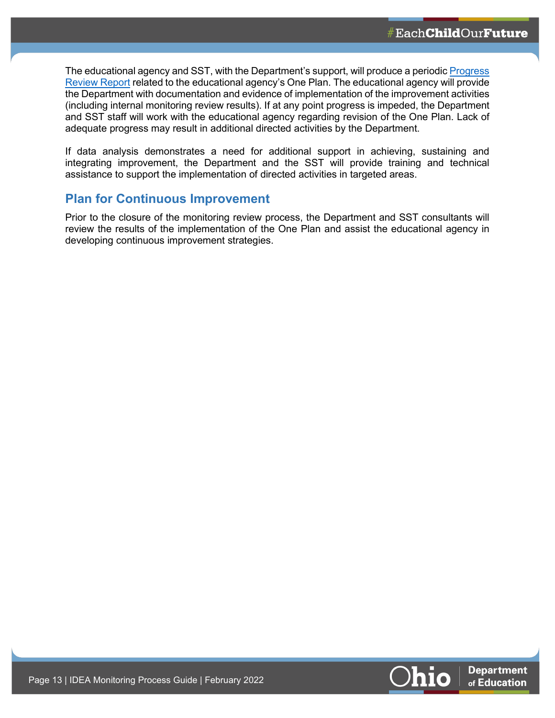The educational agency and SST, with the Department's support, will produce a periodic [Progress](#page-66-0)  [Review Report](#page-66-0) related to the educational agency's One Plan. The educational agency will provide the Department with documentation and evidence of implementation of the improvement activities (including internal monitoring review results). If at any point progress is impeded, the Department and SST staff will work with the educational agency regarding revision of the One Plan. Lack of adequate progress may result in additional directed activities by the Department.

If data analysis demonstrates a need for additional support in achieving, sustaining and integrating improvement, the Department and the SST will provide training and technical assistance to support the implementation of directed activities in targeted areas.

## **Plan for Continuous Improvement**

Prior to the closure of the monitoring review process, the Department and SST consultants will review the results of the implementation of the One Plan and assist the educational agency in developing continuous improvement strategies.

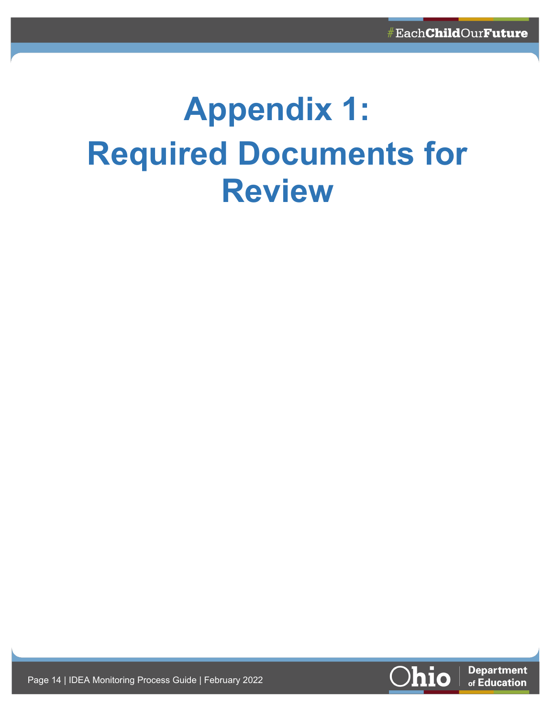# **Appendix 1: Required Documents for Review**

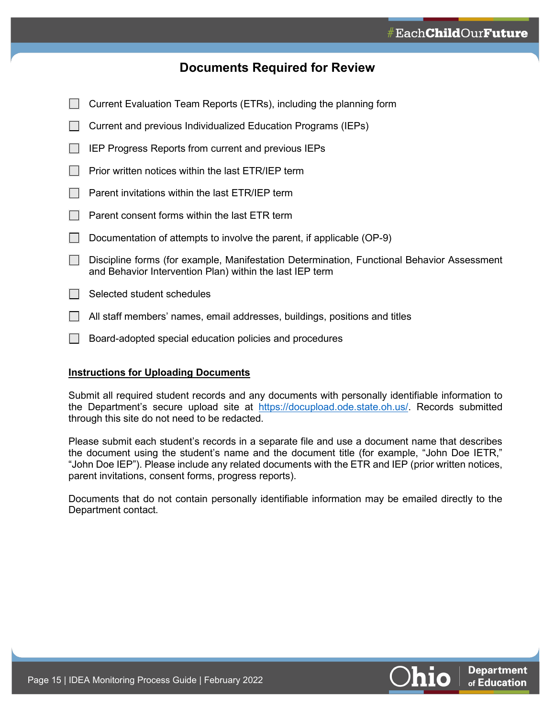## **Documents Required for Review**

- <span id="page-14-0"></span> $\Box$  Current Evaluation Team Reports (ETRs), including the planning form
- Current and previous Individualized Education Programs (IEPs)
- $\Box$  IEP Progress Reports from current and previous IEPs
- $\Box$  Prior written notices within the last ETR/IEP term
- $\Box$  Parent invitations within the last ETR/IEP term
- $\Box$  Parent consent forms within the last ETR term
- Documentation of attempts to involve the parent, if applicable  $(OP-9)$
- Discipline forms (for example, Manifestation Determination, Functional Behavior Assessment and Behavior Intervention Plan) within the last IEP term
- $\Box$  Selected student schedules
- $\Box$  All staff members' names, email addresses, buildings, positions and titles
- Board-adopted special education policies and procedures

#### **Instructions for Uploading Documents**

Submit all required student records and any documents with personally identifiable information to the Department's secure upload site at [https://docupload.ode.state.oh.us/.](https://docupload.ode.state.oh.us/) Records submitted through this site do not need to be redacted.

Please submit each student's records in a separate file and use a document name that describes the document using the student's name and the document title (for example, "John Doe IETR," "John Doe IEP"). Please include any related documents with the ETR and IEP (prior written notices, parent invitations, consent forms, progress reports).

Documents that do not contain personally identifiable information may be emailed directly to the Department contact.

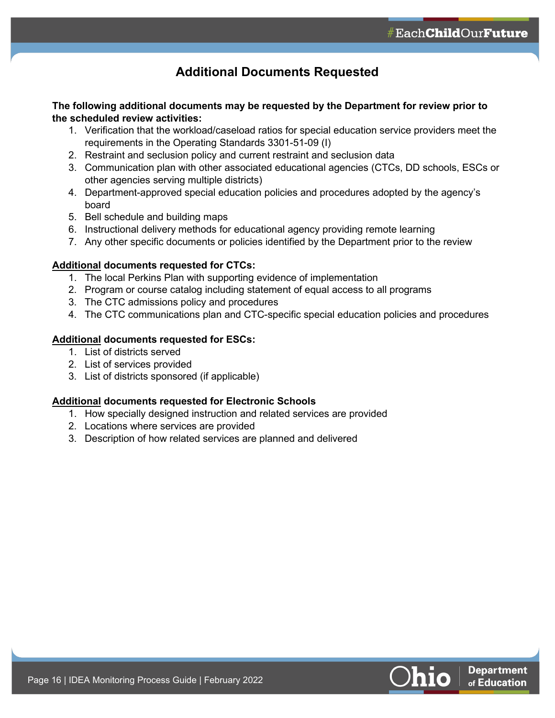## **Additional Documents Requested**

#### **The following additional documents may be requested by the Department for review prior to the scheduled review activities:**

- 1. Verification that the workload/caseload ratios for special education service providers meet the requirements in the Operating Standards 3301-51-09 (I)
- 2. Restraint and seclusion policy and current restraint and seclusion data
- 3. Communication plan with other associated educational agencies (CTCs, DD schools, ESCs or other agencies serving multiple districts)
- 4. Department-approved special education policies and procedures adopted by the agency's board
- 5. Bell schedule and building maps
- 6. Instructional delivery methods for educational agency providing remote learning
- 7. Any other specific documents or policies identified by the Department prior to the review

#### **Additional documents requested for CTCs:**

- 1. The local Perkins Plan with supporting evidence of implementation
- 2. Program or course catalog including statement of equal access to all programs
- 3. The CTC admissions policy and procedures
- 4. The CTC communications plan and CTC-specific special education policies and procedures

#### **Additional documents requested for ESCs:**

- 1. List of districts served
- 2. List of services provided
- 3. List of districts sponsored (if applicable)

#### **Additional documents requested for Electronic Schools**

- 1. How specially designed instruction and related services are provided
- 2. Locations where services are provided
- 3. Description of how related services are planned and delivered

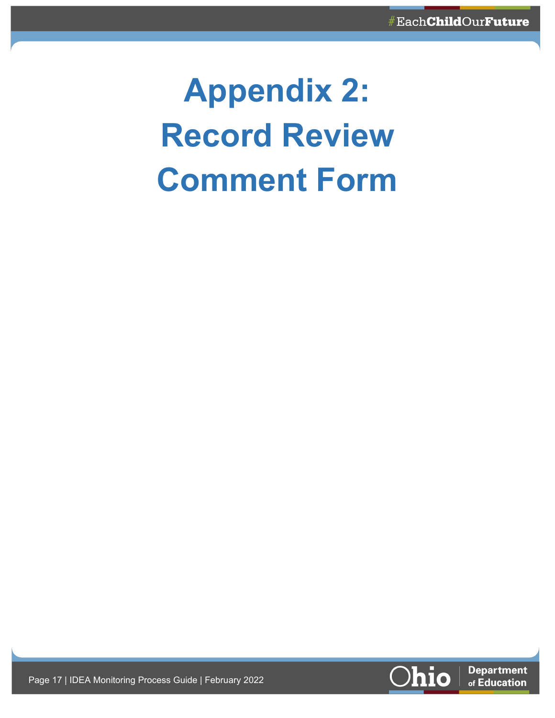# **Appendix 2: Record Review Comment Form**



**Department** of Education

Page 17 | IDEA Monitoring Process Guide | February 2022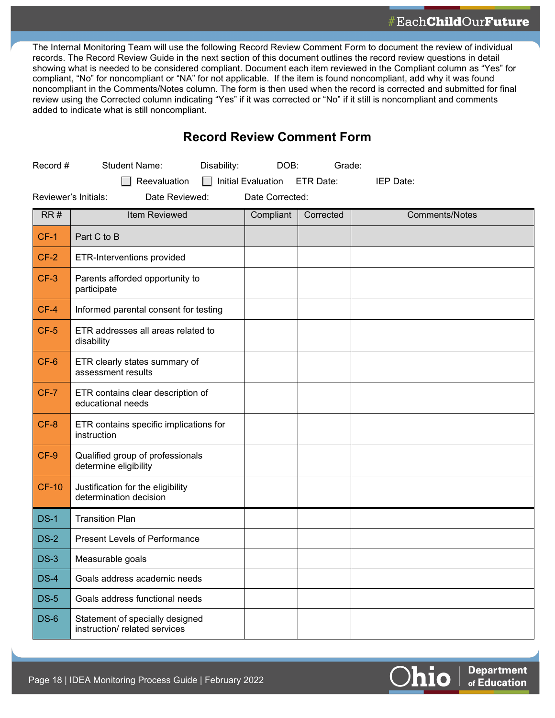<span id="page-17-0"></span>The Internal Monitoring Team will use the following Record Review Comment Form to document the review of individual records. The Record Review Guide in the next section of this document outlines the record review questions in detail showing what is needed to be considered compliant. Document each item reviewed in the Compliant column as "Yes" for compliant, "No" for noncompliant or "NA" for not applicable. If the item is found noncompliant, add why it was found noncompliant in the Comments/Notes column. The form is then used when the record is corrected and submitted for final review using the Corrected column indicating "Yes" if it was corrected or "No" if it still is noncompliant and comments added to indicate what is still noncompliant.

# **Record Review Comment Form**

| Record #             | <b>Student Name:</b><br>Disability:                              | DOB:               | Grade:    |                       |
|----------------------|------------------------------------------------------------------|--------------------|-----------|-----------------------|
|                      | Reevaluation                                                     | Initial Evaluation | ETR Date: | IEP Date:             |
| Reviewer's Initials: | Date Reviewed:                                                   | Date Corrected:    |           |                       |
| RR#                  | Item Reviewed                                                    | Compliant          | Corrected | <b>Comments/Notes</b> |
| $CF-1$               | Part C to B                                                      |                    |           |                       |
| $CF-2$               | ETR-Interventions provided                                       |                    |           |                       |
| $CF-3$               | Parents afforded opportunity to<br>participate                   |                    |           |                       |
| $CF-4$               | Informed parental consent for testing                            |                    |           |                       |
| $CF-5$               | ETR addresses all areas related to<br>disability                 |                    |           |                       |
| $CF-6$               | ETR clearly states summary of<br>assessment results              |                    |           |                       |
| $CF-7$               | ETR contains clear description of<br>educational needs           |                    |           |                       |
| $CF-8$               | ETR contains specific implications for<br>instruction            |                    |           |                       |
| $CF-9$               | Qualified group of professionals<br>determine eligibility        |                    |           |                       |
| $CF-10$              | Justification for the eligibility<br>determination decision      |                    |           |                       |
| $DS-1$               | <b>Transition Plan</b>                                           |                    |           |                       |
| $DS-2$               | <b>Present Levels of Performance</b>                             |                    |           |                       |
| $DS-3$               | Measurable goals                                                 |                    |           |                       |
| $DS-4$               | Goals address academic needs                                     |                    |           |                       |
| $DS-5$               | Goals address functional needs                                   |                    |           |                       |
| $DS-6$               | Statement of specially designed<br>instruction/ related services |                    |           |                       |

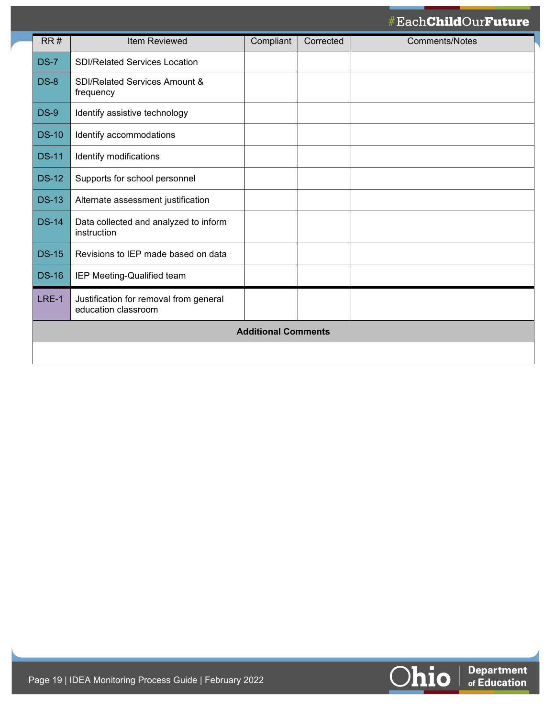# #EachChildOurFuture

| RR#          | Item Reviewed                                                 | Compliant                  | Corrected | <b>Comments/Notes</b> |
|--------------|---------------------------------------------------------------|----------------------------|-----------|-----------------------|
| $DS-7$       | <b>SDI/Related Services Location</b>                          |                            |           |                       |
| $DS-8$       | SDI/Related Services Amount &<br>frequency                    |                            |           |                       |
| $DS-9$       | Identify assistive technology                                 |                            |           |                       |
| <b>DS-10</b> | Identify accommodations                                       |                            |           |                       |
| <b>DS-11</b> | Identify modifications                                        |                            |           |                       |
| <b>DS-12</b> | Supports for school personnel                                 |                            |           |                       |
| <b>DS-13</b> | Alternate assessment justification                            |                            |           |                       |
| <b>DS-14</b> | Data collected and analyzed to inform<br>instruction          |                            |           |                       |
| <b>DS-15</b> | Revisions to IEP made based on data                           |                            |           |                       |
| <b>DS-16</b> | IEP Meeting-Qualified team                                    |                            |           |                       |
| LRE-1        | Justification for removal from general<br>education classroom |                            |           |                       |
|              |                                                               | <b>Additional Comments</b> |           |                       |
|              |                                                               |                            |           |                       |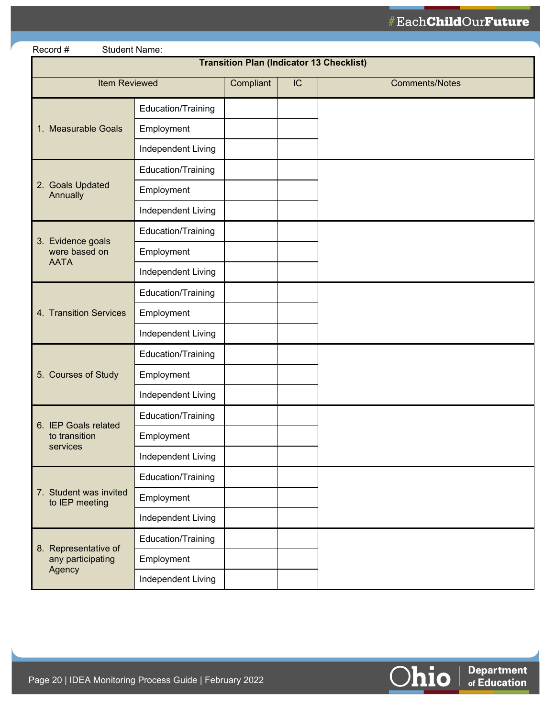| Record #<br><b>Student Name:</b>         |                    |                                                 |    |                |  |  |
|------------------------------------------|--------------------|-------------------------------------------------|----|----------------|--|--|
|                                          |                    | <b>Transition Plan (Indicator 13 Checklist)</b> |    |                |  |  |
| <b>Item Reviewed</b>                     |                    | Compliant                                       | IC | Comments/Notes |  |  |
|                                          | Education/Training |                                                 |    |                |  |  |
| 1. Measurable Goals                      | Employment         |                                                 |    |                |  |  |
|                                          | Independent Living |                                                 |    |                |  |  |
|                                          | Education/Training |                                                 |    |                |  |  |
| 2. Goals Updated<br>Annually             | Employment         |                                                 |    |                |  |  |
|                                          | Independent Living |                                                 |    |                |  |  |
| 3. Evidence goals                        | Education/Training |                                                 |    |                |  |  |
| were based on<br><b>AATA</b>             | Employment         |                                                 |    |                |  |  |
|                                          | Independent Living |                                                 |    |                |  |  |
|                                          | Education/Training |                                                 |    |                |  |  |
| 4. Transition Services                   | Employment         |                                                 |    |                |  |  |
|                                          | Independent Living |                                                 |    |                |  |  |
|                                          | Education/Training |                                                 |    |                |  |  |
| 5. Courses of Study                      | Employment         |                                                 |    |                |  |  |
|                                          | Independent Living |                                                 |    |                |  |  |
| 6. IEP Goals related                     | Education/Training |                                                 |    |                |  |  |
| to transition<br>services                | Employment         |                                                 |    |                |  |  |
|                                          | Independent Living |                                                 |    |                |  |  |
|                                          | Education/Training |                                                 |    |                |  |  |
| 7. Student was invited<br>to IEP meeting | Employment         |                                                 |    |                |  |  |
|                                          | Independent Living |                                                 |    |                |  |  |
| 8. Representative of                     | Education/Training |                                                 |    |                |  |  |
| any participating                        | Employment         |                                                 |    |                |  |  |
| Agency                                   | Independent Living |                                                 |    |                |  |  |

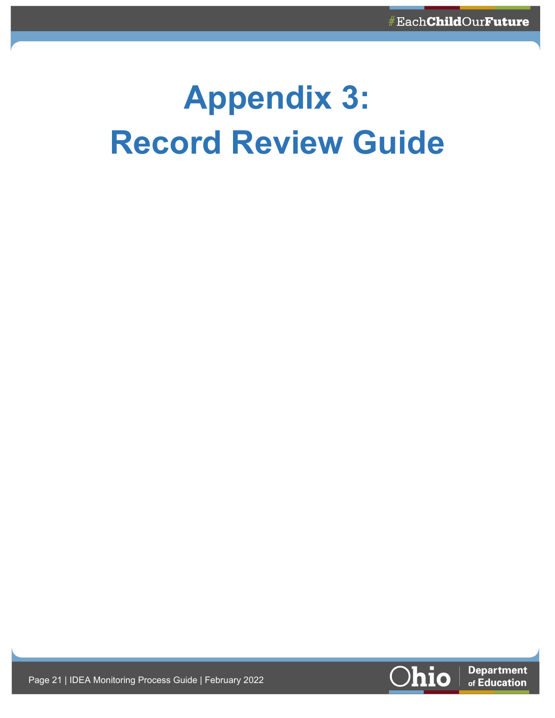# <span id="page-20-0"></span>**Appendix 3: Record Review Guide**



**Department** of Education

Page 21 | IDEA Monitoring Process Guide | February 2022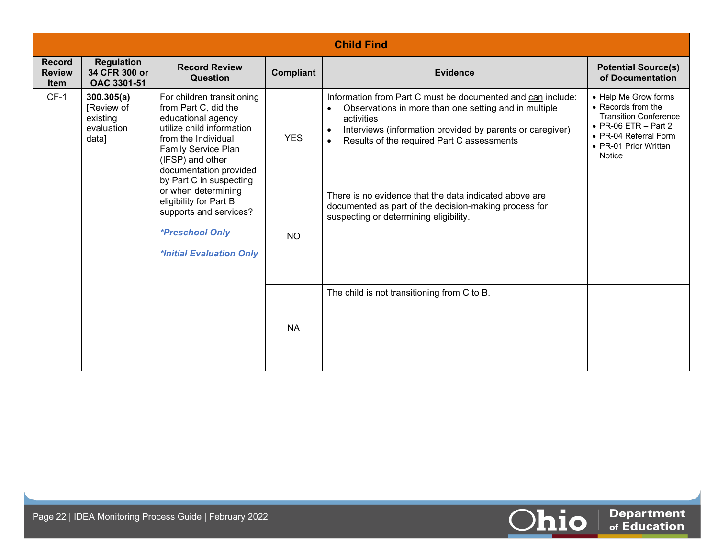<span id="page-21-0"></span>

|                                               |                                                             |                                                                                                                                                                                                                                     |            | <b>Child Find</b>                                                                                                                                                                                                                                                       |                                                                                                                                                                        |
|-----------------------------------------------|-------------------------------------------------------------|-------------------------------------------------------------------------------------------------------------------------------------------------------------------------------------------------------------------------------------|------------|-------------------------------------------------------------------------------------------------------------------------------------------------------------------------------------------------------------------------------------------------------------------------|------------------------------------------------------------------------------------------------------------------------------------------------------------------------|
| <b>Record</b><br><b>Review</b><br><b>Item</b> | <b>Regulation</b><br>34 CFR 300 or<br>OAC 3301-51           | <b>Record Review</b><br>Question                                                                                                                                                                                                    | Compliant  | <b>Evidence</b>                                                                                                                                                                                                                                                         | <b>Potential Source(s)</b><br>of Documentation                                                                                                                         |
| $CF-1$                                        | 300.305(a)<br>[Review of<br>existing<br>evaluation<br>data] | For children transitioning<br>from Part C, did the<br>educational agency<br>utilize child information<br>from the Individual<br><b>Family Service Plan</b><br>(IFSP) and other<br>documentation provided<br>by Part C in suspecting | <b>YES</b> | Information from Part C must be documented and can include:<br>Observations in more than one setting and in multiple<br>activities<br>Interviews (information provided by parents or caregiver)<br>$\bullet$<br>Results of the required Part C assessments<br>$\bullet$ | • Help Me Grow forms<br>• Records from the<br><b>Transition Conference</b><br>$\bullet$ PR-06 ETR - Part 2<br>• PR-04 Referral Form<br>• PR-01 Prior Written<br>Notice |
|                                               |                                                             | or when determining<br>eligibility for Part B<br>supports and services?<br>*Preschool Only<br>*Initial Evaluation Only                                                                                                              | <b>NO</b>  | There is no evidence that the data indicated above are<br>documented as part of the decision-making process for<br>suspecting or determining eligibility.                                                                                                               |                                                                                                                                                                        |
|                                               |                                                             |                                                                                                                                                                                                                                     | <b>NA</b>  | The child is not transitioning from C to B.                                                                                                                                                                                                                             |                                                                                                                                                                        |

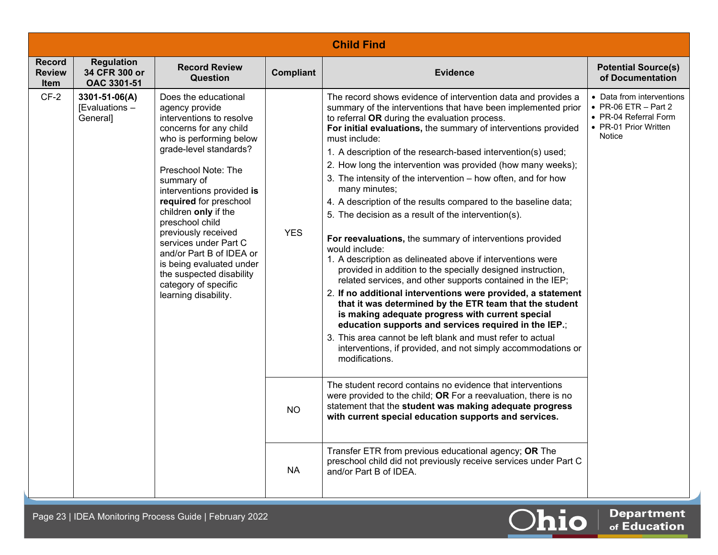|                                               |                                                   |                                                                                                                                                                                                                                                                                                                                                                                                                                                                              |                  | <b>Child Find</b>                                                                                                                                                                                                                                                                                                                                                                                                                                                                                                                                                                                                                                                                                                                                                                                                                                                                                                                                                                                                                                                                                                                                                                                                                                                             |                                                                                                                       |
|-----------------------------------------------|---------------------------------------------------|------------------------------------------------------------------------------------------------------------------------------------------------------------------------------------------------------------------------------------------------------------------------------------------------------------------------------------------------------------------------------------------------------------------------------------------------------------------------------|------------------|-------------------------------------------------------------------------------------------------------------------------------------------------------------------------------------------------------------------------------------------------------------------------------------------------------------------------------------------------------------------------------------------------------------------------------------------------------------------------------------------------------------------------------------------------------------------------------------------------------------------------------------------------------------------------------------------------------------------------------------------------------------------------------------------------------------------------------------------------------------------------------------------------------------------------------------------------------------------------------------------------------------------------------------------------------------------------------------------------------------------------------------------------------------------------------------------------------------------------------------------------------------------------------|-----------------------------------------------------------------------------------------------------------------------|
| <b>Record</b><br><b>Review</b><br><b>Item</b> | <b>Regulation</b><br>34 CFR 300 or<br>OAC 3301-51 | <b>Record Review</b><br>Question                                                                                                                                                                                                                                                                                                                                                                                                                                             | <b>Compliant</b> | <b>Evidence</b>                                                                                                                                                                                                                                                                                                                                                                                                                                                                                                                                                                                                                                                                                                                                                                                                                                                                                                                                                                                                                                                                                                                                                                                                                                                               | <b>Potential Source(s)</b><br>of Documentation                                                                        |
| $CF-2$                                        | $3301 - 51 - 06(A)$<br>[Evaluations -<br>General] | Does the educational<br>agency provide<br>interventions to resolve<br>concerns for any child<br>who is performing below<br>grade-level standards?<br>Preschool Note: The<br>summary of<br>interventions provided is<br>required for preschool<br>children only if the<br>preschool child<br>previously received<br>services under Part C<br>and/or Part B of IDEA or<br>is being evaluated under<br>the suspected disability<br>category of specific<br>learning disability. | <b>YES</b>       | The record shows evidence of intervention data and provides a<br>summary of the interventions that have been implemented prior<br>to referral OR during the evaluation process.<br>For initial evaluations, the summary of interventions provided<br>must include:<br>1. A description of the research-based intervention(s) used;<br>2. How long the intervention was provided (how many weeks);<br>3. The intensity of the intervention - how often, and for how<br>many minutes;<br>4. A description of the results compared to the baseline data;<br>5. The decision as a result of the intervention(s).<br>For reevaluations, the summary of interventions provided<br>would include:<br>1. A description as delineated above if interventions were<br>provided in addition to the specially designed instruction,<br>related services, and other supports contained in the IEP;<br>2. If no additional interventions were provided, a statement<br>that it was determined by the ETR team that the student<br>is making adequate progress with current special<br>education supports and services required in the IEP.;<br>3. This area cannot be left blank and must refer to actual<br>interventions, if provided, and not simply accommodations or<br>modifications. | • Data from interventions<br>$\bullet$ PR-06 ETR - Part 2<br>• PR-04 Referral Form<br>• PR-01 Prior Written<br>Notice |
|                                               |                                                   |                                                                                                                                                                                                                                                                                                                                                                                                                                                                              | <b>NO</b>        | The student record contains no evidence that interventions<br>were provided to the child; OR For a reevaluation, there is no<br>statement that the student was making adequate progress<br>with current special education supports and services.                                                                                                                                                                                                                                                                                                                                                                                                                                                                                                                                                                                                                                                                                                                                                                                                                                                                                                                                                                                                                              |                                                                                                                       |
|                                               |                                                   |                                                                                                                                                                                                                                                                                                                                                                                                                                                                              | <b>NA</b>        | Transfer ETR from previous educational agency; OR The<br>preschool child did not previously receive services under Part C<br>and/or Part B of IDEA.                                                                                                                                                                                                                                                                                                                                                                                                                                                                                                                                                                                                                                                                                                                                                                                                                                                                                                                                                                                                                                                                                                                           |                                                                                                                       |

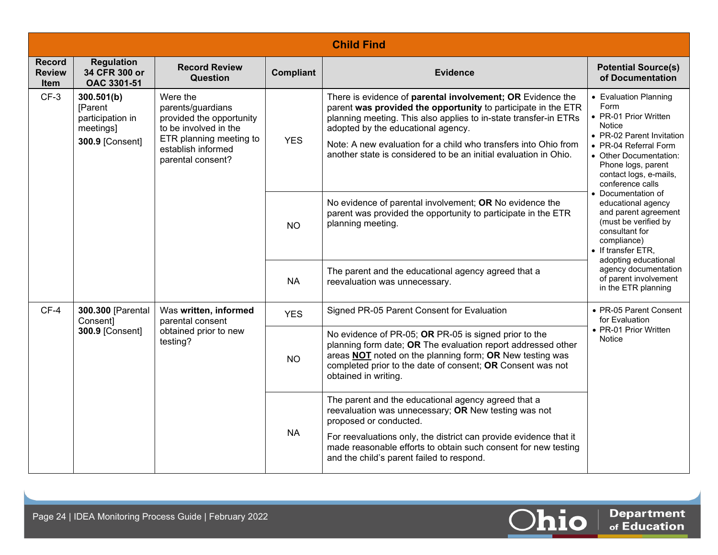|                                        |                                                                                  |                                                                                                                                                          |                  | <b>Child Find</b>                                                                                                                                                                                                                                                                                                                                                            |                                                                                                                                                                                                                             |
|----------------------------------------|----------------------------------------------------------------------------------|----------------------------------------------------------------------------------------------------------------------------------------------------------|------------------|------------------------------------------------------------------------------------------------------------------------------------------------------------------------------------------------------------------------------------------------------------------------------------------------------------------------------------------------------------------------------|-----------------------------------------------------------------------------------------------------------------------------------------------------------------------------------------------------------------------------|
| <b>Record</b><br><b>Review</b><br>Item | <b>Regulation</b><br>34 CFR 300 or<br>OAC 3301-51                                | <b>Record Review</b><br><b>Question</b>                                                                                                                  | <b>Compliant</b> | <b>Evidence</b>                                                                                                                                                                                                                                                                                                                                                              | <b>Potential Source(s)</b><br>of Documentation                                                                                                                                                                              |
| $CF-3$                                 | 300.501(b)<br><b>[Parent</b><br>participation in<br>meetings]<br>300.9 [Consent] | Were the<br>parents/guardians<br>provided the opportunity<br>to be involved in the<br>ETR planning meeting to<br>establish informed<br>parental consent? | <b>YES</b>       | There is evidence of parental involvement; OR Evidence the<br>parent was provided the opportunity to participate in the ETR<br>planning meeting. This also applies to in-state transfer-in ETRs<br>adopted by the educational agency.<br>Note: A new evaluation for a child who transfers into Ohio from<br>another state is considered to be an initial evaluation in Ohio. | • Evaluation Planning<br>Form<br>• PR-01 Prior Written<br><b>Notice</b><br>• PR-02 Parent Invitation<br>• PR-04 Referral Form<br>• Other Documentation:<br>Phone logs, parent<br>contact logs, e-mails,<br>conference calls |
|                                        |                                                                                  |                                                                                                                                                          | <b>NO</b>        | No evidence of parental involvement; OR No evidence the<br>parent was provided the opportunity to participate in the ETR<br>planning meeting.                                                                                                                                                                                                                                | • Documentation of<br>educational agency<br>and parent agreement<br>(must be verified by<br>consultant for<br>compliance)<br>• If transfer ETR,<br>adopting educational                                                     |
|                                        |                                                                                  |                                                                                                                                                          | <b>NA</b>        | The parent and the educational agency agreed that a<br>reevaluation was unnecessary.                                                                                                                                                                                                                                                                                         | agency documentation<br>of parent involvement<br>in the ETR planning                                                                                                                                                        |
| $CF-4$                                 | 300.300 [Parental<br>Consent]                                                    | Was written, informed<br>parental consent                                                                                                                | <b>YES</b>       | Signed PR-05 Parent Consent for Evaluation                                                                                                                                                                                                                                                                                                                                   | • PR-05 Parent Consent<br>for Evaluation                                                                                                                                                                                    |
|                                        | 300.9 [Consent]                                                                  | obtained prior to new<br>testing?                                                                                                                        | <b>NO</b>        | No evidence of PR-05; OR PR-05 is signed prior to the<br>planning form date; OR The evaluation report addressed other<br>areas NOT noted on the planning form; OR New testing was<br>completed prior to the date of consent; OR Consent was not<br>obtained in writing.                                                                                                      | • PR-01 Prior Written<br>Notice                                                                                                                                                                                             |
|                                        |                                                                                  |                                                                                                                                                          | <b>NA</b>        | The parent and the educational agency agreed that a<br>reevaluation was unnecessary; OR New testing was not<br>proposed or conducted.<br>For reevaluations only, the district can provide evidence that it<br>made reasonable efforts to obtain such consent for new testing<br>and the child's parent failed to respond.                                                    |                                                                                                                                                                                                                             |

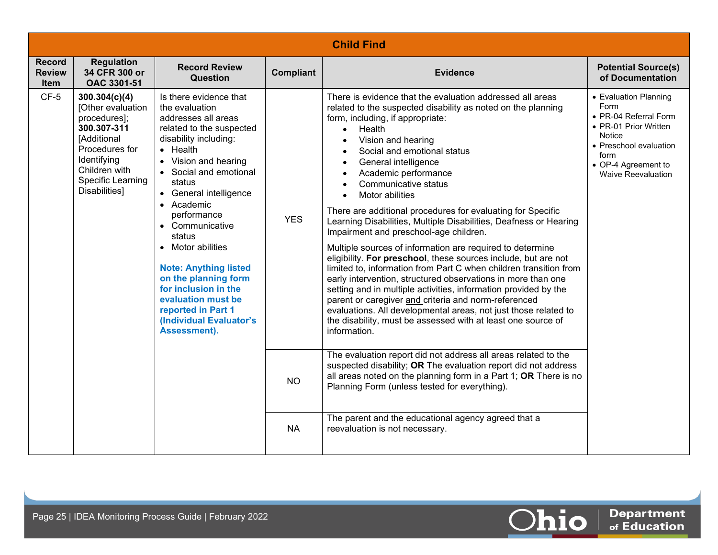|                                               |                                                                                                                                                                                 |                                                                                                                                                                                                                                                                                                                                                                                                                                                                                      |                  | <b>Child Find</b>                                                                                                                                                                                                                                                                                                                                                                                                                                                                                                                                                                                                                                                                                                                                                                                                                                                                                                                                                                                                                                                    |                                                                                                                                                                                 |
|-----------------------------------------------|---------------------------------------------------------------------------------------------------------------------------------------------------------------------------------|--------------------------------------------------------------------------------------------------------------------------------------------------------------------------------------------------------------------------------------------------------------------------------------------------------------------------------------------------------------------------------------------------------------------------------------------------------------------------------------|------------------|----------------------------------------------------------------------------------------------------------------------------------------------------------------------------------------------------------------------------------------------------------------------------------------------------------------------------------------------------------------------------------------------------------------------------------------------------------------------------------------------------------------------------------------------------------------------------------------------------------------------------------------------------------------------------------------------------------------------------------------------------------------------------------------------------------------------------------------------------------------------------------------------------------------------------------------------------------------------------------------------------------------------------------------------------------------------|---------------------------------------------------------------------------------------------------------------------------------------------------------------------------------|
| <b>Record</b><br><b>Review</b><br><b>Item</b> | <b>Regulation</b><br>34 CFR 300 or<br>OAC 3301-51                                                                                                                               | <b>Record Review</b><br>Question                                                                                                                                                                                                                                                                                                                                                                                                                                                     | <b>Compliant</b> | <b>Evidence</b>                                                                                                                                                                                                                                                                                                                                                                                                                                                                                                                                                                                                                                                                                                                                                                                                                                                                                                                                                                                                                                                      | <b>Potential Source(s)</b><br>of Documentation                                                                                                                                  |
| $CF-5$                                        | 300.304(c)(4)<br>[Other evaluation<br>procedures];<br>300.307-311<br><b>[Additional</b><br>Procedures for<br>Identifying<br>Children with<br>Specific Learning<br>Disabilities] | Is there evidence that<br>the evaluation<br>addresses all areas<br>related to the suspected<br>disability including:<br>$\bullet$ Health<br>• Vision and hearing<br>• Social and emotional<br>status<br>• General intelligence<br>• Academic<br>performance<br>• Communicative<br>status<br>• Motor abilities<br><b>Note: Anything listed</b><br>on the planning form<br>for inclusion in the<br>evaluation must be<br>reported in Part 1<br>(Individual Evaluator's<br>Assessment). | <b>YES</b>       | There is evidence that the evaluation addressed all areas<br>related to the suspected disability as noted on the planning<br>form, including, if appropriate:<br>Health<br>$\bullet$<br>Vision and hearing<br>Social and emotional status<br>General intelligence<br>Academic performance<br>Communicative status<br>Motor abilities<br>There are additional procedures for evaluating for Specific<br>Learning Disabilities, Multiple Disabilities, Deafness or Hearing<br>Impairment and preschool-age children.<br>Multiple sources of information are required to determine<br>eligibility. For preschool, these sources include, but are not<br>limited to, information from Part C when children transition from<br>early intervention, structured observations in more than one<br>setting and in multiple activities, information provided by the<br>parent or caregiver and criteria and norm-referenced<br>evaluations. All developmental areas, not just those related to<br>the disability, must be assessed with at least one source of<br>information. | • Evaluation Planning<br>Form<br>• PR-04 Referral Form<br>• PR-01 Prior Written<br>Notice<br>• Preschool evaluation<br>form<br>• OP-4 Agreement to<br><b>Waive Reevaluation</b> |
|                                               |                                                                                                                                                                                 |                                                                                                                                                                                                                                                                                                                                                                                                                                                                                      | <b>NO</b>        | The evaluation report did not address all areas related to the<br>suspected disability; OR The evaluation report did not address<br>all areas noted on the planning form in a Part 1; OR There is no<br>Planning Form (unless tested for everything).                                                                                                                                                                                                                                                                                                                                                                                                                                                                                                                                                                                                                                                                                                                                                                                                                |                                                                                                                                                                                 |
|                                               |                                                                                                                                                                                 |                                                                                                                                                                                                                                                                                                                                                                                                                                                                                      | <b>NA</b>        | The parent and the educational agency agreed that a<br>reevaluation is not necessary.                                                                                                                                                                                                                                                                                                                                                                                                                                                                                                                                                                                                                                                                                                                                                                                                                                                                                                                                                                                |                                                                                                                                                                                 |

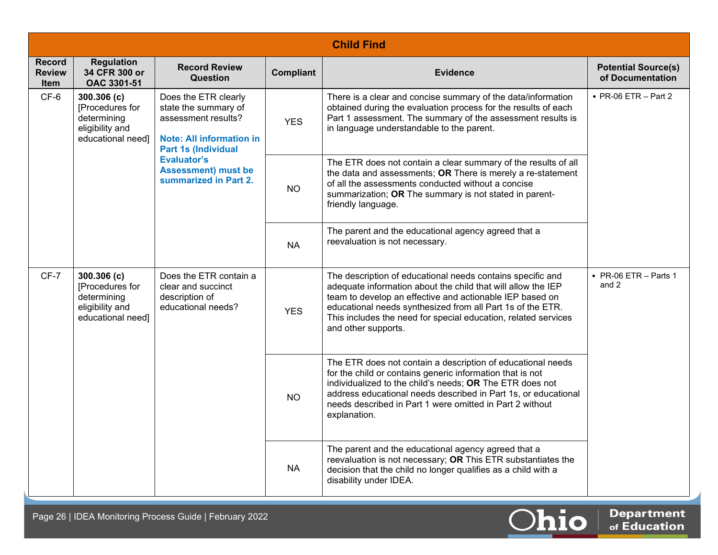|                                               |                                                                                                                                                                               |                                                                                                                                                                                                                   |            | <b>Child Find</b>                                                                                                                                                                                                                                                                                                                             |                                                |
|-----------------------------------------------|-------------------------------------------------------------------------------------------------------------------------------------------------------------------------------|-------------------------------------------------------------------------------------------------------------------------------------------------------------------------------------------------------------------|------------|-----------------------------------------------------------------------------------------------------------------------------------------------------------------------------------------------------------------------------------------------------------------------------------------------------------------------------------------------|------------------------------------------------|
| <b>Record</b><br><b>Review</b><br><b>Item</b> | <b>Regulation</b><br>34 CFR 300 or<br>OAC 3301-51                                                                                                                             | <b>Record Review</b><br><b>Question</b>                                                                                                                                                                           | Compliant  | <b>Evidence</b>                                                                                                                                                                                                                                                                                                                               | <b>Potential Source(s)</b><br>of Documentation |
| CF-6                                          | 300.306 (c)<br>[Procedures for<br>determining<br>eligibility and<br>educational need]                                                                                         | Does the ETR clearly<br>state the summary of<br>assessment results?<br><b>Note: All information in</b><br><b>Part 1s (Individual</b><br><b>Evaluator's</b><br><b>Assessment) must be</b><br>summarized in Part 2. | <b>YES</b> | There is a clear and concise summary of the data/information<br>obtained during the evaluation process for the results of each<br>Part 1 assessment. The summary of the assessment results is<br>in language understandable to the parent.                                                                                                    | $\bullet$ PR-06 ETR - Part 2                   |
|                                               |                                                                                                                                                                               |                                                                                                                                                                                                                   | <b>NO</b>  | The ETR does not contain a clear summary of the results of all<br>the data and assessments; OR There is merely a re-statement<br>of all the assessments conducted without a concise<br>summarization; OR The summary is not stated in parent-<br>friendly language.                                                                           |                                                |
|                                               |                                                                                                                                                                               |                                                                                                                                                                                                                   | <b>NA</b>  | The parent and the educational agency agreed that a<br>reevaluation is not necessary.                                                                                                                                                                                                                                                         |                                                |
| $CF-7$                                        | 300.306 (c)<br>Does the ETR contain a<br>[Procedures for<br>clear and succinct<br>determining<br>description of<br>educational needs?<br>eligibility and<br>educational need] |                                                                                                                                                                                                                   | <b>YES</b> | The description of educational needs contains specific and<br>adequate information about the child that will allow the IEP<br>team to develop an effective and actionable IEP based on<br>educational needs synthesized from all Part 1s of the ETR.<br>This includes the need for special education, related services<br>and other supports. | $\bullet$ PR-06 ETR - Parts 1<br>and 2         |
|                                               |                                                                                                                                                                               |                                                                                                                                                                                                                   | <b>NO</b>  | The ETR does not contain a description of educational needs<br>for the child or contains generic information that is not<br>individualized to the child's needs; OR The ETR does not<br>address educational needs described in Part 1s, or educational<br>needs described in Part 1 were omitted in Part 2 without<br>explanation.            |                                                |
|                                               |                                                                                                                                                                               |                                                                                                                                                                                                                   | <b>NA</b>  | The parent and the educational agency agreed that a<br>reevaluation is not necessary; OR This ETR substantiates the<br>decision that the child no longer qualifies as a child with a<br>disability under IDEA.                                                                                                                                |                                                |

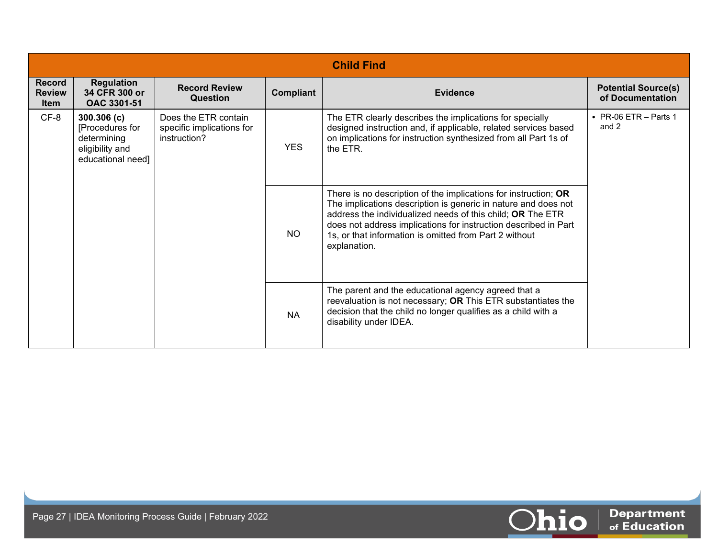| <b>Child Find</b>                             |                                                                                      |                                                                   |            |                                                                                                                                                                                                                                                                                                                                              |                                                |  |
|-----------------------------------------------|--------------------------------------------------------------------------------------|-------------------------------------------------------------------|------------|----------------------------------------------------------------------------------------------------------------------------------------------------------------------------------------------------------------------------------------------------------------------------------------------------------------------------------------------|------------------------------------------------|--|
| <b>Record</b><br><b>Review</b><br><b>Item</b> | <b>Regulation</b><br>34 CFR 300 or<br>OAC 3301-51                                    | <b>Record Review</b><br><b>Question</b>                           | Compliant  | <b>Evidence</b>                                                                                                                                                                                                                                                                                                                              | <b>Potential Source(s)</b><br>of Documentation |  |
| $CF-8$                                        | 300.306(c)<br>[Procedures for<br>determining<br>eligibility and<br>educational need] | Does the ETR contain<br>specific implications for<br>instruction? | <b>YES</b> | The ETR clearly describes the implications for specially<br>designed instruction and, if applicable, related services based<br>on implications for instruction synthesized from all Part 1s of<br>the ETR.                                                                                                                                   | $\bullet$ PR-06 ETR - Parts 1<br>and 2         |  |
|                                               |                                                                                      |                                                                   | NO.        | There is no description of the implications for instruction; OR<br>The implications description is generic in nature and does not<br>address the individualized needs of this child; OR The ETR<br>does not address implications for instruction described in Part<br>1s, or that information is omitted from Part 2 without<br>explanation. |                                                |  |
|                                               |                                                                                      |                                                                   | <b>NA</b>  | The parent and the educational agency agreed that a<br>reevaluation is not necessary; OR This ETR substantiates the<br>decision that the child no longer qualifies as a child with a<br>disability under IDEA.                                                                                                                               |                                                |  |

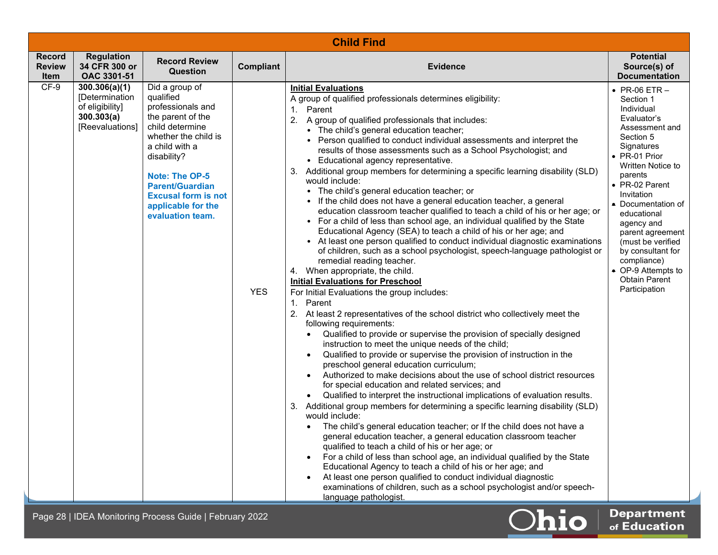|                                               | <b>Child Find</b>                                                                   |                                                                                                                                                                                                                                                                              |                  |                                                                                                                                                                                                                                                                                                                                                                                                                                                                                                                                                                                                                                                                                                                                                                                                                                                                                                                                                                                                                                                                                                                                                                                                                                                                                                                                                                                                                                                                                                                                                                                                                                                                                                                                                                                                                                                                                                                                                                                                                                                                                                                                                                                                                                                                                                                                                                                                                         |                                                                                                                                                                                                                                                                                                                                                                                                 |  |  |  |
|-----------------------------------------------|-------------------------------------------------------------------------------------|------------------------------------------------------------------------------------------------------------------------------------------------------------------------------------------------------------------------------------------------------------------------------|------------------|-------------------------------------------------------------------------------------------------------------------------------------------------------------------------------------------------------------------------------------------------------------------------------------------------------------------------------------------------------------------------------------------------------------------------------------------------------------------------------------------------------------------------------------------------------------------------------------------------------------------------------------------------------------------------------------------------------------------------------------------------------------------------------------------------------------------------------------------------------------------------------------------------------------------------------------------------------------------------------------------------------------------------------------------------------------------------------------------------------------------------------------------------------------------------------------------------------------------------------------------------------------------------------------------------------------------------------------------------------------------------------------------------------------------------------------------------------------------------------------------------------------------------------------------------------------------------------------------------------------------------------------------------------------------------------------------------------------------------------------------------------------------------------------------------------------------------------------------------------------------------------------------------------------------------------------------------------------------------------------------------------------------------------------------------------------------------------------------------------------------------------------------------------------------------------------------------------------------------------------------------------------------------------------------------------------------------------------------------------------------------------------------------------------------------|-------------------------------------------------------------------------------------------------------------------------------------------------------------------------------------------------------------------------------------------------------------------------------------------------------------------------------------------------------------------------------------------------|--|--|--|
| <b>Record</b><br><b>Review</b><br><b>Item</b> | <b>Regulation</b><br>34 CFR 300 or<br>OAC 3301-51                                   | <b>Record Review</b><br><b>Question</b>                                                                                                                                                                                                                                      | <b>Compliant</b> | <b>Evidence</b>                                                                                                                                                                                                                                                                                                                                                                                                                                                                                                                                                                                                                                                                                                                                                                                                                                                                                                                                                                                                                                                                                                                                                                                                                                                                                                                                                                                                                                                                                                                                                                                                                                                                                                                                                                                                                                                                                                                                                                                                                                                                                                                                                                                                                                                                                                                                                                                                         | <b>Potential</b><br>Source(s) of<br><b>Documentation</b>                                                                                                                                                                                                                                                                                                                                        |  |  |  |
| $CF-9$                                        | 300.306(a)(1)<br>[Determination<br>of eligibility]<br>300.303(a)<br>[Reevaluations] | Did a group of<br>qualified<br>professionals and<br>the parent of the<br>child determine<br>whether the child is<br>a child with a<br>disability?<br><b>Note: The OP-5</b><br><b>Parent/Guardian</b><br><b>Excusal form is not</b><br>applicable for the<br>evaluation team. | <b>YES</b>       | <b>Initial Evaluations</b><br>A group of qualified professionals determines eligibility:<br>1. Parent<br>2. A group of qualified professionals that includes:<br>• The child's general education teacher;<br>• Person qualified to conduct individual assessments and interpret the<br>results of those assessments such as a School Psychologist; and<br>• Educational agency representative.<br>3. Additional group members for determining a specific learning disability (SLD)<br>would include:<br>• The child's general education teacher; or<br>• If the child does not have a general education teacher, a general<br>education classroom teacher qualified to teach a child of his or her age; or<br>• For a child of less than school age, an individual qualified by the State<br>Educational Agency (SEA) to teach a child of his or her age; and<br>• At least one person qualified to conduct individual diagnostic examinations<br>of children, such as a school psychologist, speech-language pathologist or<br>remedial reading teacher.<br>4. When appropriate, the child.<br><b>Initial Evaluations for Preschool</b><br>For Initial Evaluations the group includes:<br>1. Parent<br>2. At least 2 representatives of the school district who collectively meet the<br>following requirements:<br>Qualified to provide or supervise the provision of specially designed<br>$\bullet$<br>instruction to meet the unique needs of the child;<br>Qualified to provide or supervise the provision of instruction in the<br>preschool general education curriculum;<br>Authorized to make decisions about the use of school district resources<br>for special education and related services; and<br>Qualified to interpret the instructional implications of evaluation results.<br>3. Additional group members for determining a specific learning disability (SLD)<br>would include:<br>The child's general education teacher; or If the child does not have a<br>general education teacher, a general education classroom teacher<br>qualified to teach a child of his or her age; or<br>For a child of less than school age, an individual qualified by the State<br>Educational Agency to teach a child of his or her age; and<br>At least one person qualified to conduct individual diagnostic<br>examinations of children, such as a school psychologist and/or speech-<br>language pathologist. | $\bullet$ PR-06 ETR $-$<br>Section 1<br>Individual<br>Evaluator's<br>Assessment and<br>Section 5<br>Signatures<br>• PR-01 Prior<br>Written Notice to<br>parents<br>• PR-02 Parent<br>Invitation<br>• Documentation of<br>educational<br>agency and<br>parent agreement<br>(must be verified)<br>by consultant for<br>compliance)<br>• OP-9 Attempts to<br><b>Obtain Parent</b><br>Participation |  |  |  |

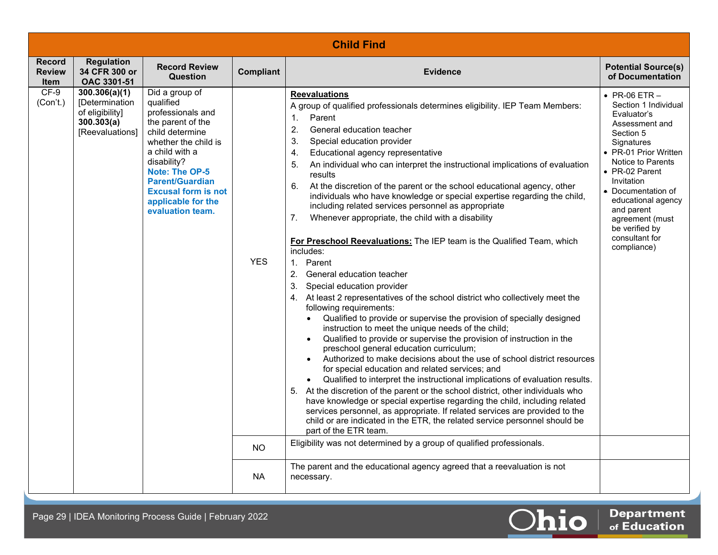|                                               | <b>Child Find</b>                                                                   |                                                                                                                                                                                                                                                                       |                         |                                                                                                                                                                                                                                                                                                                                                                                                                                                                                                                                                                                                                                                                                                                                                                                                                                                                                                                                                                                                                                                                                                                                                                                                                                                                                                                                                                                                                                                                                                                                                                                                                                                                                                                                                                                                            |                                                                                                                                                                                                                                                                                                                           |  |  |  |  |
|-----------------------------------------------|-------------------------------------------------------------------------------------|-----------------------------------------------------------------------------------------------------------------------------------------------------------------------------------------------------------------------------------------------------------------------|-------------------------|------------------------------------------------------------------------------------------------------------------------------------------------------------------------------------------------------------------------------------------------------------------------------------------------------------------------------------------------------------------------------------------------------------------------------------------------------------------------------------------------------------------------------------------------------------------------------------------------------------------------------------------------------------------------------------------------------------------------------------------------------------------------------------------------------------------------------------------------------------------------------------------------------------------------------------------------------------------------------------------------------------------------------------------------------------------------------------------------------------------------------------------------------------------------------------------------------------------------------------------------------------------------------------------------------------------------------------------------------------------------------------------------------------------------------------------------------------------------------------------------------------------------------------------------------------------------------------------------------------------------------------------------------------------------------------------------------------------------------------------------------------------------------------------------------------|---------------------------------------------------------------------------------------------------------------------------------------------------------------------------------------------------------------------------------------------------------------------------------------------------------------------------|--|--|--|--|
| <b>Record</b><br><b>Review</b><br><b>Item</b> | <b>Regulation</b><br>34 CFR 300 or<br>OAC 3301-51                                   | <b>Record Review</b><br>Question                                                                                                                                                                                                                                      | Compliant               | <b>Evidence</b>                                                                                                                                                                                                                                                                                                                                                                                                                                                                                                                                                                                                                                                                                                                                                                                                                                                                                                                                                                                                                                                                                                                                                                                                                                                                                                                                                                                                                                                                                                                                                                                                                                                                                                                                                                                            | <b>Potential Source(s)</b><br>of Documentation                                                                                                                                                                                                                                                                            |  |  |  |  |
| $CF-9$<br>(Con't.)                            | 300.306(a)(1)<br>[Determination<br>of eligibility]<br>300.303(a)<br>[Reevaluations] | Did a group of<br>qualified<br>professionals and<br>the parent of the<br>child determine<br>whether the child is<br>a child with a<br>disability?<br>Note: The OP-5<br><b>Parent/Guardian</b><br><b>Excusal form is not</b><br>applicable for the<br>evaluation team. | <b>YES</b><br><b>NO</b> | <b>Reevaluations</b><br>A group of qualified professionals determines eligibility. IEP Team Members:<br>1.<br>Parent<br>2.<br>General education teacher<br>3.<br>Special education provider<br>Educational agency representative<br>4.<br>An individual who can interpret the instructional implications of evaluation<br>5.<br>results<br>At the discretion of the parent or the school educational agency, other<br>6.<br>individuals who have knowledge or special expertise regarding the child,<br>including related services personnel as appropriate<br>Whenever appropriate, the child with a disability<br>7.<br>For Preschool Reevaluations: The IEP team is the Qualified Team, which<br>includes:<br>1. Parent<br>2. General education teacher<br>3. Special education provider<br>4. At least 2 representatives of the school district who collectively meet the<br>following requirements:<br>Qualified to provide or supervise the provision of specially designed<br>instruction to meet the unique needs of the child;<br>Qualified to provide or supervise the provision of instruction in the<br>preschool general education curriculum;<br>Authorized to make decisions about the use of school district resources<br>for special education and related services; and<br>Qualified to interpret the instructional implications of evaluation results.<br>5. At the discretion of the parent or the school district, other individuals who<br>have knowledge or special expertise regarding the child, including related<br>services personnel, as appropriate. If related services are provided to the<br>child or are indicated in the ETR, the related service personnel should be<br>part of the ETR team.<br>Eligibility was not determined by a group of qualified professionals. | $\bullet$ PR-06 ETR $-$<br>Section 1 Individual<br>Evaluator's<br>Assessment and<br>Section 5<br>Signatures<br>• PR-01 Prior Written<br>Notice to Parents<br>• PR-02 Parent<br>Invitation<br>• Documentation of<br>educational agency<br>and parent<br>agreement (must<br>be verified by<br>consultant for<br>compliance) |  |  |  |  |
|                                               |                                                                                     |                                                                                                                                                                                                                                                                       | <b>NA</b>               | The parent and the educational agency agreed that a reevaluation is not<br>necessary.                                                                                                                                                                                                                                                                                                                                                                                                                                                                                                                                                                                                                                                                                                                                                                                                                                                                                                                                                                                                                                                                                                                                                                                                                                                                                                                                                                                                                                                                                                                                                                                                                                                                                                                      |                                                                                                                                                                                                                                                                                                                           |  |  |  |  |

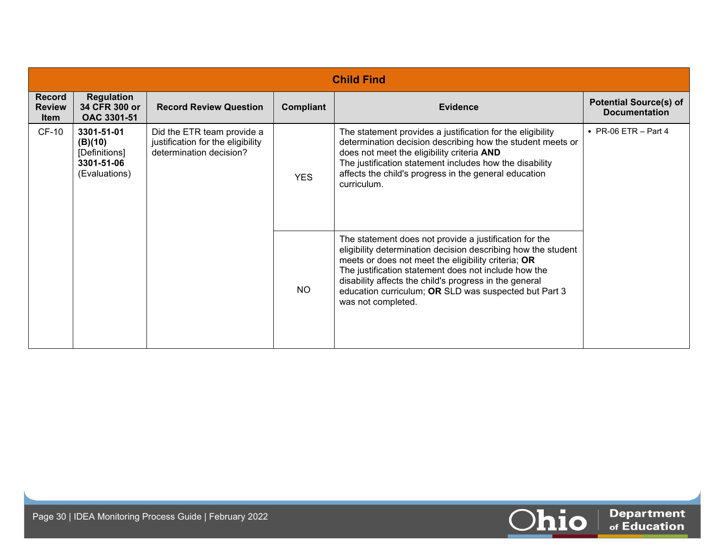|                                               | <b>Child Find</b>                                                     |                                                                                            |                  |                                                                                                                                                                                                                                                                                                                                                                                 |                                                       |  |  |  |  |
|-----------------------------------------------|-----------------------------------------------------------------------|--------------------------------------------------------------------------------------------|------------------|---------------------------------------------------------------------------------------------------------------------------------------------------------------------------------------------------------------------------------------------------------------------------------------------------------------------------------------------------------------------------------|-------------------------------------------------------|--|--|--|--|
| <b>Record</b><br><b>Review</b><br><b>Item</b> | <b>Regulation</b><br>34 CFR 300 or<br>OAC 3301-51                     | <b>Record Review Question</b>                                                              | <b>Compliant</b> | <b>Evidence</b>                                                                                                                                                                                                                                                                                                                                                                 | <b>Potential Source(s) of</b><br><b>Documentation</b> |  |  |  |  |
| <b>CF-10</b>                                  | 3301-51-01<br>(B)(10)<br>[Definitions]<br>3301-51-06<br>(Evaluations) | Did the ETR team provide a<br>justification for the eligibility<br>determination decision? | <b>YES</b>       | The statement provides a justification for the eligibility<br>determination decision describing how the student meets or<br>does not meet the eligibility criteria AND<br>The justification statement includes how the disability<br>affects the child's progress in the general education<br>curriculum.                                                                       | • PR-06 ETR $-$ Part 4                                |  |  |  |  |
|                                               |                                                                       |                                                                                            | NO.              | The statement does not provide a justification for the<br>eligibility determination decision describing how the student<br>meets or does not meet the eligibility criteria; OR<br>The justification statement does not include how the<br>disability affects the child's progress in the general<br>education curriculum; OR SLD was suspected but Part 3<br>was not completed. |                                                       |  |  |  |  |

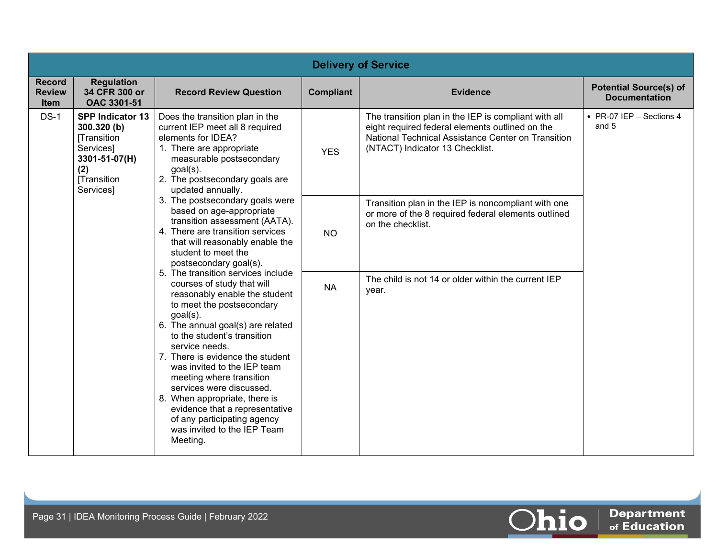<span id="page-30-0"></span>

|                                               | <b>Delivery of Service</b>                                                                                                                                                                                                                                                                                                                                                                                                                                                                                                                                                                                                                                                                                              |                                                                                                                                                                                                                        |                                                                                                                                 |                                                                                                                                                                                                  |                                                       |  |  |  |  |
|-----------------------------------------------|-------------------------------------------------------------------------------------------------------------------------------------------------------------------------------------------------------------------------------------------------------------------------------------------------------------------------------------------------------------------------------------------------------------------------------------------------------------------------------------------------------------------------------------------------------------------------------------------------------------------------------------------------------------------------------------------------------------------------|------------------------------------------------------------------------------------------------------------------------------------------------------------------------------------------------------------------------|---------------------------------------------------------------------------------------------------------------------------------|--------------------------------------------------------------------------------------------------------------------------------------------------------------------------------------------------|-------------------------------------------------------|--|--|--|--|
| <b>Record</b><br><b>Review</b><br><b>Item</b> | <b>Regulation</b><br>34 CFR 300 or<br>OAC 3301-51                                                                                                                                                                                                                                                                                                                                                                                                                                                                                                                                                                                                                                                                       | <b>Record Review Question</b>                                                                                                                                                                                          | <b>Compliant</b>                                                                                                                | <b>Evidence</b>                                                                                                                                                                                  | <b>Potential Source(s) of</b><br><b>Documentation</b> |  |  |  |  |
| $DS-1$                                        | <b>SPP Indicator 13</b><br>300.320 (b)<br>[Transition<br>Services]<br>3301-51-07(H)<br>(2)<br><b>Transition</b><br>Services]                                                                                                                                                                                                                                                                                                                                                                                                                                                                                                                                                                                            | Does the transition plan in the<br>current IEP meet all 8 required<br>elements for IDEA?<br>1. There are appropriate<br>measurable postsecondary<br>$goal(s)$ .<br>2. The postsecondary goals are<br>updated annually. | <b>YES</b>                                                                                                                      | The transition plan in the IEP is compliant with all<br>eight required federal elements outlined on the<br>National Technical Assistance Center on Transition<br>(NTACT) Indicator 13 Checklist. | • PR-07 IEP - Sections 4<br>and 5                     |  |  |  |  |
|                                               | 3. The postsecondary goals were<br>based on age-appropriate<br>transition assessment (AATA).<br>4. There are transition services<br>that will reasonably enable the<br>student to meet the<br>postsecondary goal(s).<br>5. The transition services include<br>courses of study that will<br>reasonably enable the student<br>to meet the postsecondary<br>$goal(s)$ .<br>6. The annual goal(s) are related<br>to the student's transition<br>service needs.<br>7. There is evidence the student<br>was invited to the IEP team<br>meeting where transition<br>services were discussed.<br>8. When appropriate, there is<br>evidence that a representative<br>of any participating agency<br>was invited to the IEP Team | <b>NO</b>                                                                                                                                                                                                              | Transition plan in the IEP is noncompliant with one<br>or more of the 8 required federal elements outlined<br>on the checklist. |                                                                                                                                                                                                  |                                                       |  |  |  |  |
|                                               |                                                                                                                                                                                                                                                                                                                                                                                                                                                                                                                                                                                                                                                                                                                         | Meeting.                                                                                                                                                                                                               | <b>NA</b>                                                                                                                       | The child is not 14 or older within the current IEP<br>year.                                                                                                                                     |                                                       |  |  |  |  |

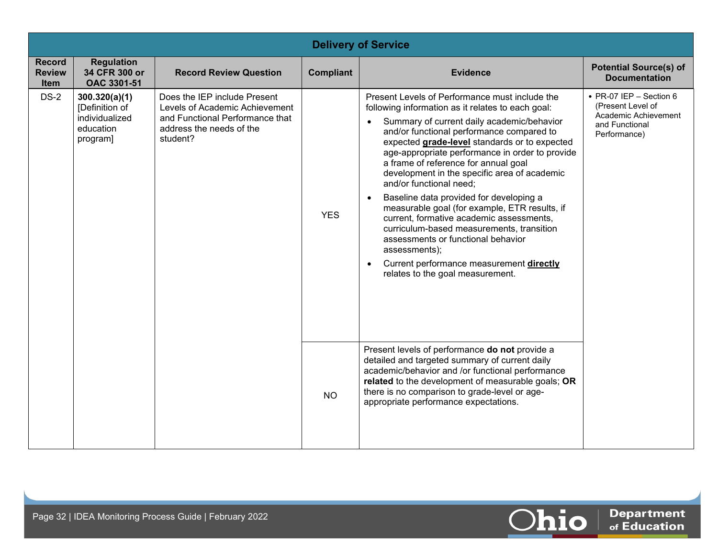|                                               | <b>Delivery of Service</b>                                                 |                                                                                                                                           |                  |                                                                                                                                                                                                                                                                                                                                                                                                                                                                                                                                                                                                                                                                                                                                                   |                                                                                                        |  |  |  |
|-----------------------------------------------|----------------------------------------------------------------------------|-------------------------------------------------------------------------------------------------------------------------------------------|------------------|---------------------------------------------------------------------------------------------------------------------------------------------------------------------------------------------------------------------------------------------------------------------------------------------------------------------------------------------------------------------------------------------------------------------------------------------------------------------------------------------------------------------------------------------------------------------------------------------------------------------------------------------------------------------------------------------------------------------------------------------------|--------------------------------------------------------------------------------------------------------|--|--|--|
| <b>Record</b><br><b>Review</b><br><b>Item</b> | <b>Regulation</b><br>34 CFR 300 or<br><b>OAC 3301-51</b>                   | <b>Record Review Question</b>                                                                                                             | <b>Compliant</b> | <b>Evidence</b>                                                                                                                                                                                                                                                                                                                                                                                                                                                                                                                                                                                                                                                                                                                                   | <b>Potential Source(s) of</b><br><b>Documentation</b>                                                  |  |  |  |
| $DS-2$                                        | 300.320(a)(1)<br>[Definition of<br>individualized<br>education<br>program] | Does the IEP include Present<br>Levels of Academic Achievement<br>and Functional Performance that<br>address the needs of the<br>student? | <b>YES</b>       | Present Levels of Performance must include the<br>following information as it relates to each goal:<br>Summary of current daily academic/behavior<br>and/or functional performance compared to<br>expected grade-level standards or to expected<br>age-appropriate performance in order to provide<br>a frame of reference for annual goal<br>development in the specific area of academic<br>and/or functional need;<br>Baseline data provided for developing a<br>measurable goal (for example, ETR results, if<br>current, formative academic assessments,<br>curriculum-based measurements, transition<br>assessments or functional behavior<br>assessments);<br>Current performance measurement directly<br>relates to the goal measurement. | • PR-07 IEP - Section 6<br>(Present Level of<br>Academic Achievement<br>and Functional<br>Performance) |  |  |  |
|                                               |                                                                            |                                                                                                                                           | <b>NO</b>        | Present levels of performance do not provide a<br>detailed and targeted summary of current daily<br>academic/behavior and /or functional performance<br>related to the development of measurable goals; OR<br>there is no comparison to grade-level or age-<br>appropriate performance expectations.                                                                                                                                                                                                                                                                                                                                                                                                                                              |                                                                                                        |  |  |  |

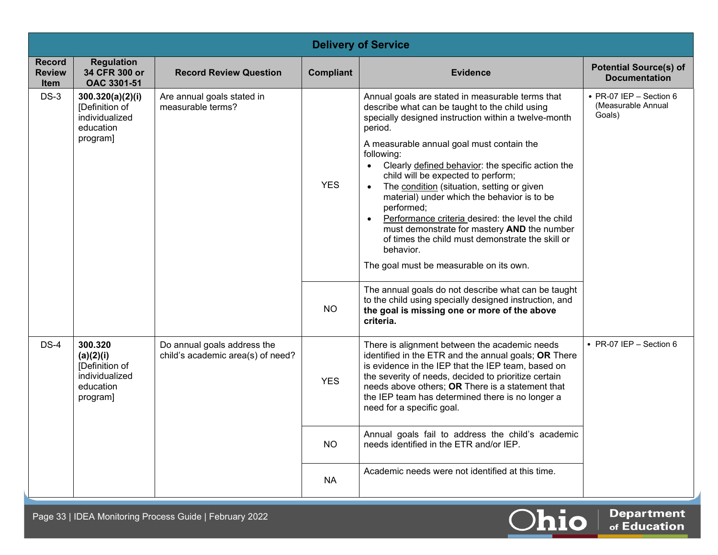|                                        | <b>Delivery of Service</b>                                                        |                                                                  |                         |                                                                                                                                                                                                                                                                                                                                                                                                                                                                                                                                                                                                                                                                                                                                                                                                                                                                             |                                                         |  |  |
|----------------------------------------|-----------------------------------------------------------------------------------|------------------------------------------------------------------|-------------------------|-----------------------------------------------------------------------------------------------------------------------------------------------------------------------------------------------------------------------------------------------------------------------------------------------------------------------------------------------------------------------------------------------------------------------------------------------------------------------------------------------------------------------------------------------------------------------------------------------------------------------------------------------------------------------------------------------------------------------------------------------------------------------------------------------------------------------------------------------------------------------------|---------------------------------------------------------|--|--|
| <b>Record</b><br><b>Review</b><br>Item | <b>Regulation</b><br>34 CFR 300 or<br>OAC 3301-51                                 | <b>Record Review Question</b>                                    | <b>Compliant</b>        | <b>Evidence</b>                                                                                                                                                                                                                                                                                                                                                                                                                                                                                                                                                                                                                                                                                                                                                                                                                                                             | <b>Potential Source(s) of</b><br><b>Documentation</b>   |  |  |
| $DS-3$                                 | 300.320(a)(2)(i)<br>[Definition of<br>individualized<br>education<br>program]     | Are annual goals stated in<br>measurable terms?                  | <b>YES</b><br><b>NO</b> | Annual goals are stated in measurable terms that<br>describe what can be taught to the child using<br>specially designed instruction within a twelve-month<br>period.<br>A measurable annual goal must contain the<br>following:<br>Clearly defined behavior: the specific action the<br>$\bullet$<br>child will be expected to perform;<br>The condition (situation, setting or given<br>$\bullet$<br>material) under which the behavior is to be<br>performed;<br>Performance criteria desired: the level the child<br>$\bullet$<br>must demonstrate for mastery AND the number<br>of times the child must demonstrate the skill or<br>behavior.<br>The goal must be measurable on its own.<br>The annual goals do not describe what can be taught<br>to the child using specially designed instruction, and<br>the goal is missing one or more of the above<br>criteria. | • PR-07 IEP - Section 6<br>(Measurable Annual<br>Goals) |  |  |
| $DS-4$                                 | 300.320<br>(a)(2)(i)<br>[Definition of<br>individualized<br>education<br>program] | Do annual goals address the<br>child's academic area(s) of need? | <b>YES</b>              | There is alignment between the academic needs<br>identified in the ETR and the annual goals; OR There<br>is evidence in the IEP that the IEP team, based on<br>the severity of needs, decided to prioritize certain<br>needs above others; OR There is a statement that<br>the IEP team has determined there is no longer a<br>need for a specific goal.                                                                                                                                                                                                                                                                                                                                                                                                                                                                                                                    | • PR-07 IEP - Section 6                                 |  |  |
|                                        |                                                                                   |                                                                  | <b>NO</b>               | Annual goals fail to address the child's academic<br>needs identified in the ETR and/or IEP.                                                                                                                                                                                                                                                                                                                                                                                                                                                                                                                                                                                                                                                                                                                                                                                |                                                         |  |  |
|                                        |                                                                                   |                                                                  | <b>NA</b>               | Academic needs were not identified at this time.                                                                                                                                                                                                                                                                                                                                                                                                                                                                                                                                                                                                                                                                                                                                                                                                                            |                                                         |  |  |

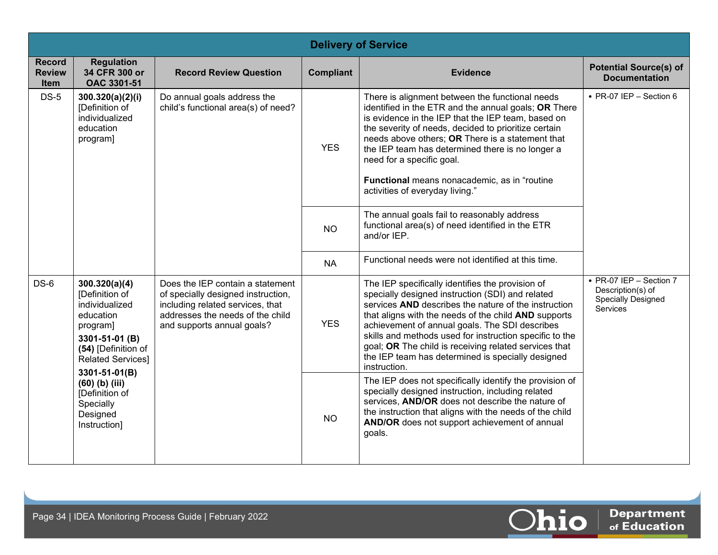|                                        | <b>Delivery of Service</b>                                                                                                                                       |                                                                                                                                                                              |                  |                                                                                                                                                                                                                                                                                                                                                                                                                                                                 |                                                                                |  |  |  |
|----------------------------------------|------------------------------------------------------------------------------------------------------------------------------------------------------------------|------------------------------------------------------------------------------------------------------------------------------------------------------------------------------|------------------|-----------------------------------------------------------------------------------------------------------------------------------------------------------------------------------------------------------------------------------------------------------------------------------------------------------------------------------------------------------------------------------------------------------------------------------------------------------------|--------------------------------------------------------------------------------|--|--|--|
| <b>Record</b><br><b>Review</b><br>Item | <b>Regulation</b><br>34 CFR 300 or<br><b>OAC 3301-51</b>                                                                                                         | <b>Record Review Question</b>                                                                                                                                                | <b>Compliant</b> | <b>Evidence</b>                                                                                                                                                                                                                                                                                                                                                                                                                                                 | <b>Potential Source(s) of</b><br><b>Documentation</b>                          |  |  |  |
| $DS-5$                                 | 300.320(a)(2)(i)<br>[Definition of<br>individualized<br>education<br>program]                                                                                    | Do annual goals address the<br>child's functional area(s) of need?                                                                                                           | <b>YES</b>       | There is alignment between the functional needs<br>identified in the ETR and the annual goals; OR There<br>is evidence in the IEP that the IEP team, based on<br>the severity of needs, decided to prioritize certain<br>needs above others; OR There is a statement that<br>the IEP team has determined there is no longer a<br>need for a specific goal.<br>Functional means nonacademic, as in "routine<br>activities of everyday living."                   | • PR-07 IEP - Section $6$                                                      |  |  |  |
|                                        |                                                                                                                                                                  |                                                                                                                                                                              | <b>NO</b>        | The annual goals fail to reasonably address<br>functional area(s) of need identified in the ETR<br>and/or IEP.                                                                                                                                                                                                                                                                                                                                                  |                                                                                |  |  |  |
|                                        |                                                                                                                                                                  |                                                                                                                                                                              | <b>NA</b>        | Functional needs were not identified at this time.                                                                                                                                                                                                                                                                                                                                                                                                              |                                                                                |  |  |  |
| $DS-6$                                 | 300.320(a)(4)<br>[Definition of<br>individualized<br>education<br>program]<br>3301-51-01 (B)<br>(54) [Definition of<br><b>Related Services]</b><br>3301-51-01(B) | Does the IEP contain a statement<br>of specially designed instruction,<br>including related services, that<br>addresses the needs of the child<br>and supports annual goals? | <b>YES</b>       | The IEP specifically identifies the provision of<br>specially designed instruction (SDI) and related<br>services AND describes the nature of the instruction<br>that aligns with the needs of the child AND supports<br>achievement of annual goals. The SDI describes<br>skills and methods used for instruction specific to the<br>goal; OR The child is receiving related services that<br>the IEP team has determined is specially designed<br>instruction. | • PR-07 IEP - Section 7<br>Description(s) of<br>Specially Designed<br>Services |  |  |  |
|                                        | $(60)$ $(b)$ $(iii)$<br>[Definition of<br>Specially<br>Designed<br>Instruction]                                                                                  |                                                                                                                                                                              | <b>NO</b>        | The IEP does not specifically identify the provision of<br>specially designed instruction, including related<br>services, AND/OR does not describe the nature of<br>the instruction that aligns with the needs of the child<br>AND/OR does not support achievement of annual<br>goals.                                                                                                                                                                          |                                                                                |  |  |  |

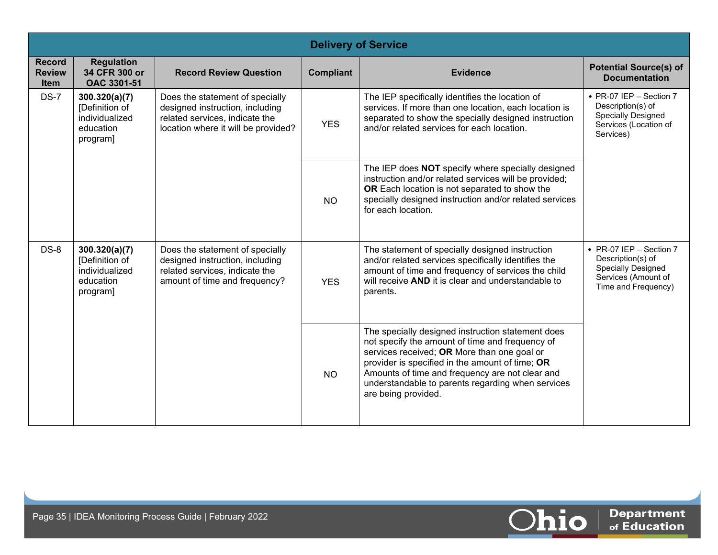|                                               | <b>Delivery of Service</b>                                                 |                                                                                                                                             |                  |                                                                                                                                                                                                                                                                                                                                       |                                                                                                                         |  |  |  |  |
|-----------------------------------------------|----------------------------------------------------------------------------|---------------------------------------------------------------------------------------------------------------------------------------------|------------------|---------------------------------------------------------------------------------------------------------------------------------------------------------------------------------------------------------------------------------------------------------------------------------------------------------------------------------------|-------------------------------------------------------------------------------------------------------------------------|--|--|--|--|
| <b>Record</b><br><b>Review</b><br><b>Item</b> | <b>Regulation</b><br>34 CFR 300 or<br>OAC 3301-51                          | <b>Record Review Question</b>                                                                                                               | <b>Compliant</b> | <b>Evidence</b>                                                                                                                                                                                                                                                                                                                       | <b>Potential Source(s) of</b><br><b>Documentation</b>                                                                   |  |  |  |  |
| $DS-7$                                        | 300.320(a)(7)<br>[Definition of<br>individualized<br>education<br>program] | Does the statement of specially<br>designed instruction, including<br>related services, indicate the<br>location where it will be provided? | <b>YES</b>       | The IEP specifically identifies the location of<br>services. If more than one location, each location is<br>separated to show the specially designed instruction<br>and/or related services for each location.                                                                                                                        | • PR-07 IEP - Section 7<br>Description(s) of<br><b>Specially Designed</b><br>Services (Location of<br>Services)         |  |  |  |  |
|                                               |                                                                            |                                                                                                                                             | <b>NO</b>        | The IEP does NOT specify where specially designed<br>instruction and/or related services will be provided;<br>OR Each location is not separated to show the<br>specially designed instruction and/or related services<br>for each location.                                                                                           |                                                                                                                         |  |  |  |  |
| $DS-8$                                        | 300.320(a)(7)<br>[Definition of<br>individualized<br>education<br>program] | Does the statement of specially<br>designed instruction, including<br>related services, indicate the<br>amount of time and frequency?       | <b>YES</b>       | The statement of specially designed instruction<br>and/or related services specifically identifies the<br>amount of time and frequency of services the child<br>will receive AND it is clear and understandable to<br>parents.                                                                                                        | • PR-07 IEP - Section 7<br>Description(s) of<br><b>Specially Designed</b><br>Services (Amount of<br>Time and Frequency) |  |  |  |  |
|                                               |                                                                            |                                                                                                                                             | <b>NO</b>        | The specially designed instruction statement does<br>not specify the amount of time and frequency of<br>services received; OR More than one goal or<br>provider is specified in the amount of time; OR<br>Amounts of time and frequency are not clear and<br>understandable to parents regarding when services<br>are being provided. |                                                                                                                         |  |  |  |  |

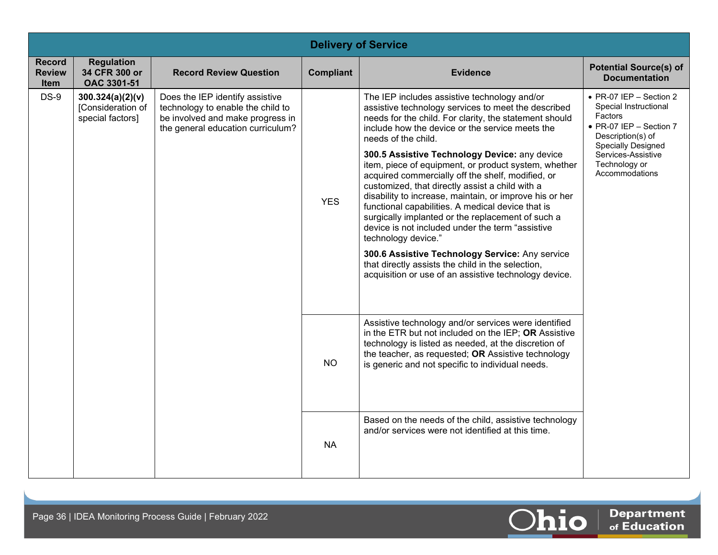|                                               | <b>Delivery of Service</b>                                |                                                                                                                                               |                  |                                                                                                                                                                                                                                                                                                                                                                                                                                                                                                                                                                                                                                                                                                                                                                                                                                                                           |                                                                                                                                                                                                   |  |  |  |
|-----------------------------------------------|-----------------------------------------------------------|-----------------------------------------------------------------------------------------------------------------------------------------------|------------------|---------------------------------------------------------------------------------------------------------------------------------------------------------------------------------------------------------------------------------------------------------------------------------------------------------------------------------------------------------------------------------------------------------------------------------------------------------------------------------------------------------------------------------------------------------------------------------------------------------------------------------------------------------------------------------------------------------------------------------------------------------------------------------------------------------------------------------------------------------------------------|---------------------------------------------------------------------------------------------------------------------------------------------------------------------------------------------------|--|--|--|
| <b>Record</b><br><b>Review</b><br><b>Item</b> | <b>Regulation</b><br>34 CFR 300 or<br>OAC 3301-51         | <b>Record Review Question</b>                                                                                                                 | <b>Compliant</b> | <b>Evidence</b>                                                                                                                                                                                                                                                                                                                                                                                                                                                                                                                                                                                                                                                                                                                                                                                                                                                           | <b>Potential Source(s) of</b><br><b>Documentation</b>                                                                                                                                             |  |  |  |
| $DS-9$                                        | 300.324(a)(2)(v)<br>[Consideration of<br>special factors] | Does the IEP identify assistive<br>technology to enable the child to<br>be involved and make progress in<br>the general education curriculum? | <b>YES</b>       | The IEP includes assistive technology and/or<br>assistive technology services to meet the described<br>needs for the child. For clarity, the statement should<br>include how the device or the service meets the<br>needs of the child.<br>300.5 Assistive Technology Device: any device<br>item, piece of equipment, or product system, whether<br>acquired commercially off the shelf, modified, or<br>customized, that directly assist a child with a<br>disability to increase, maintain, or improve his or her<br>functional capabilities. A medical device that is<br>surgically implanted or the replacement of such a<br>device is not included under the term "assistive<br>technology device."<br>300.6 Assistive Technology Service: Any service<br>that directly assists the child in the selection,<br>acquisition or use of an assistive technology device. | • PR-07 IEP - Section 2<br>Special Instructional<br>Factors<br>• PR-07 IEP - Section 7<br>Description(s) of<br><b>Specially Designed</b><br>Services-Assistive<br>Technology or<br>Accommodations |  |  |  |
|                                               |                                                           |                                                                                                                                               | <b>NO</b>        | Assistive technology and/or services were identified<br>in the ETR but not included on the IEP; OR Assistive<br>technology is listed as needed, at the discretion of<br>the teacher, as requested; OR Assistive technology<br>is generic and not specific to individual needs.                                                                                                                                                                                                                                                                                                                                                                                                                                                                                                                                                                                            |                                                                                                                                                                                                   |  |  |  |
|                                               |                                                           |                                                                                                                                               | <b>NA</b>        | Based on the needs of the child, assistive technology<br>and/or services were not identified at this time.                                                                                                                                                                                                                                                                                                                                                                                                                                                                                                                                                                                                                                                                                                                                                                |                                                                                                                                                                                                   |  |  |  |

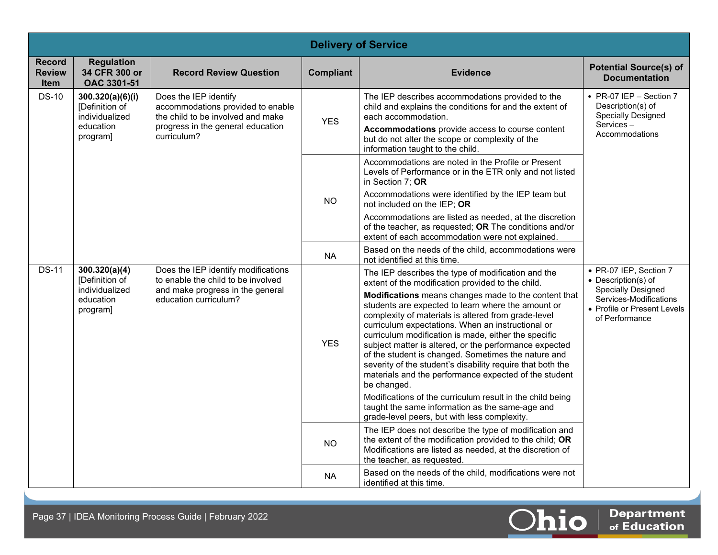|                                               | <b>Delivery of Service</b>                                                    |                                                                                                                                                     |                  |                                                                                                                                                                                                                                                                                                                                                                                                                                                                                                                                                                                                                                                                                                                                                                                                                  |                                                                                                                                                       |  |  |  |
|-----------------------------------------------|-------------------------------------------------------------------------------|-----------------------------------------------------------------------------------------------------------------------------------------------------|------------------|------------------------------------------------------------------------------------------------------------------------------------------------------------------------------------------------------------------------------------------------------------------------------------------------------------------------------------------------------------------------------------------------------------------------------------------------------------------------------------------------------------------------------------------------------------------------------------------------------------------------------------------------------------------------------------------------------------------------------------------------------------------------------------------------------------------|-------------------------------------------------------------------------------------------------------------------------------------------------------|--|--|--|
| <b>Record</b><br><b>Review</b><br><b>Item</b> | <b>Regulation</b><br>34 CFR 300 or<br>OAC 3301-51                             | <b>Record Review Question</b>                                                                                                                       | <b>Compliant</b> | <b>Evidence</b>                                                                                                                                                                                                                                                                                                                                                                                                                                                                                                                                                                                                                                                                                                                                                                                                  | <b>Potential Source(s) of</b><br><b>Documentation</b>                                                                                                 |  |  |  |
| <b>DS-10</b>                                  | 300.320(a)(6)(i)<br>[Definition of<br>individualized<br>education<br>program] | Does the IEP identify<br>accommodations provided to enable<br>the child to be involved and make<br>progress in the general education<br>curriculum? | <b>YES</b>       | The IEP describes accommodations provided to the<br>child and explains the conditions for and the extent of<br>each accommodation.<br>Accommodations provide access to course content<br>but do not alter the scope or complexity of the<br>information taught to the child.                                                                                                                                                                                                                                                                                                                                                                                                                                                                                                                                     | • PR-07 IEP - Section 7<br>Description(s) of<br><b>Specially Designed</b><br>Services-<br>Accommodations                                              |  |  |  |
|                                               |                                                                               |                                                                                                                                                     |                  | Accommodations are noted in the Profile or Present<br>Levels of Performance or in the ETR only and not listed<br>in Section 7; OR                                                                                                                                                                                                                                                                                                                                                                                                                                                                                                                                                                                                                                                                                |                                                                                                                                                       |  |  |  |
|                                               |                                                                               |                                                                                                                                                     | NO.              | Accommodations were identified by the IEP team but<br>not included on the IEP; OR                                                                                                                                                                                                                                                                                                                                                                                                                                                                                                                                                                                                                                                                                                                                |                                                                                                                                                       |  |  |  |
|                                               |                                                                               |                                                                                                                                                     |                  | Accommodations are listed as needed, at the discretion<br>of the teacher, as requested; OR The conditions and/or<br>extent of each accommodation were not explained.                                                                                                                                                                                                                                                                                                                                                                                                                                                                                                                                                                                                                                             |                                                                                                                                                       |  |  |  |
|                                               |                                                                               |                                                                                                                                                     | <b>NA</b>        | Based on the needs of the child, accommodations were<br>not identified at this time.                                                                                                                                                                                                                                                                                                                                                                                                                                                                                                                                                                                                                                                                                                                             |                                                                                                                                                       |  |  |  |
| <b>DS-11</b>                                  | 300.320(a)(4)<br>[Definition of<br>individualized<br>education<br>program]    | Does the IEP identify modifications<br>to enable the child to be involved<br>and make progress in the general<br>education curriculum?              | <b>YES</b>       | The IEP describes the type of modification and the<br>extent of the modification provided to the child.<br>Modifications means changes made to the content that<br>students are expected to learn where the amount or<br>complexity of materials is altered from grade-level<br>curriculum expectations. When an instructional or<br>curriculum modification is made, either the specific<br>subject matter is altered, or the performance expected<br>of the student is changed. Sometimes the nature and<br>severity of the student's disability require that both the<br>materials and the performance expected of the student<br>be changed.<br>Modifications of the curriculum result in the child being<br>taught the same information as the same-age and<br>grade-level peers, but with less complexity. | • PR-07 IEP, Section 7<br>• Description(s) of<br><b>Specially Designed</b><br>Services-Modifications<br>• Profile or Present Levels<br>of Performance |  |  |  |
|                                               |                                                                               |                                                                                                                                                     | NO.              | The IEP does not describe the type of modification and<br>the extent of the modification provided to the child; OR<br>Modifications are listed as needed, at the discretion of<br>the teacher, as requested.                                                                                                                                                                                                                                                                                                                                                                                                                                                                                                                                                                                                     |                                                                                                                                                       |  |  |  |
|                                               |                                                                               |                                                                                                                                                     | <b>NA</b>        | Based on the needs of the child, modifications were not<br>identified at this time.                                                                                                                                                                                                                                                                                                                                                                                                                                                                                                                                                                                                                                                                                                                              |                                                                                                                                                       |  |  |  |

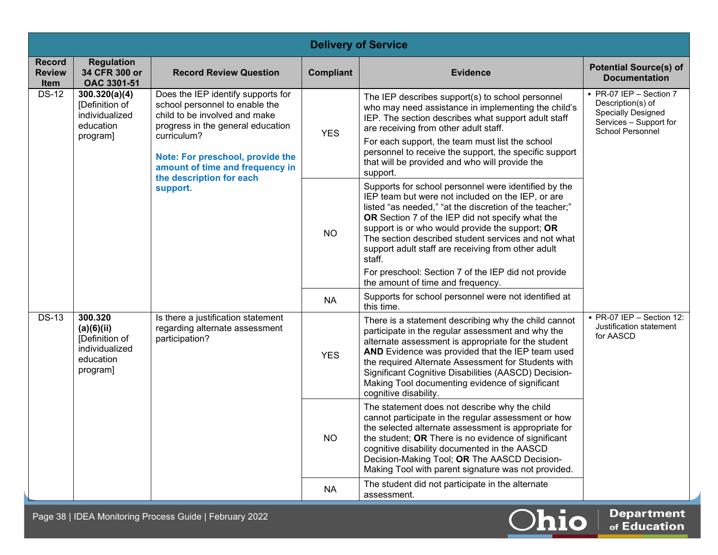|                                               | <b>Delivery of Service</b>                                                                                                                                                                                                                                                                                     |                                                                                        |                                                                                                                                                                                                                                                                                                                                                                                    |                                                                                                                                                                                                                                                                                                                                                                                                                                                                                                |                                                                   |  |  |  |
|-----------------------------------------------|----------------------------------------------------------------------------------------------------------------------------------------------------------------------------------------------------------------------------------------------------------------------------------------------------------------|----------------------------------------------------------------------------------------|------------------------------------------------------------------------------------------------------------------------------------------------------------------------------------------------------------------------------------------------------------------------------------------------------------------------------------------------------------------------------------|------------------------------------------------------------------------------------------------------------------------------------------------------------------------------------------------------------------------------------------------------------------------------------------------------------------------------------------------------------------------------------------------------------------------------------------------------------------------------------------------|-------------------------------------------------------------------|--|--|--|
| <b>Record</b><br><b>Review</b><br><b>Item</b> | <b>Regulation</b><br>34 CFR 300 or<br>OAC 3301-51                                                                                                                                                                                                                                                              | <b>Record Review Question</b>                                                          | <b>Compliant</b>                                                                                                                                                                                                                                                                                                                                                                   | <b>Evidence</b>                                                                                                                                                                                                                                                                                                                                                                                                                                                                                | <b>Potential Source(s) of</b><br><b>Documentation</b>             |  |  |  |
| <b>DS-12</b>                                  | 300.320(a)(4)<br>Does the IEP identify supports for<br>[Definition of<br>school personnel to enable the<br>individualized<br>child to be involved and make<br>education<br>progress in the general education<br>curriculum?<br>program]<br>Note: For preschool, provide the<br>amount of time and frequency in | <b>YES</b>                                                                             | The IEP describes support(s) to school personnel<br>who may need assistance in implementing the child's<br>IEP. The section describes what support adult staff<br>are receiving from other adult staff.<br>For each support, the team must list the school<br>personnel to receive the support, the specific support<br>that will be provided and who will provide the<br>support. | • PR-07 IEP - Section 7<br>Description(s) of<br><b>Specially Designed</b><br>Services - Support for<br>School Personnel                                                                                                                                                                                                                                                                                                                                                                        |                                                                   |  |  |  |
|                                               |                                                                                                                                                                                                                                                                                                                | the description for each<br>support.                                                   | <b>NO</b>                                                                                                                                                                                                                                                                                                                                                                          | Supports for school personnel were identified by the<br>IEP team but were not included on the IEP, or are<br>listed "as needed," "at the discretion of the teacher;"<br>OR Section 7 of the IEP did not specify what the<br>support is or who would provide the support; OR<br>The section described student services and not what<br>support adult staff are receiving from other adult<br>staff.<br>For preschool: Section 7 of the IEP did not provide<br>the amount of time and frequency. |                                                                   |  |  |  |
|                                               |                                                                                                                                                                                                                                                                                                                |                                                                                        | <b>NA</b>                                                                                                                                                                                                                                                                                                                                                                          | Supports for school personnel were not identified at<br>this time.                                                                                                                                                                                                                                                                                                                                                                                                                             |                                                                   |  |  |  |
| $DS-13$                                       | 300.320<br>(a)(6)(ii)<br>[Definition of<br>individualized<br>education<br>program]                                                                                                                                                                                                                             | Is there a justification statement<br>regarding alternate assessment<br>participation? | <b>YES</b>                                                                                                                                                                                                                                                                                                                                                                         | There is a statement describing why the child cannot<br>participate in the regular assessment and why the<br>alternate assessment is appropriate for the student<br>AND Evidence was provided that the IEP team used<br>the required Alternate Assessment for Students with<br>Significant Cognitive Disabilities (AASCD) Decision-<br>Making Tool documenting evidence of significant<br>cognitive disability.                                                                                | • PR-07 IEP - Section 12:<br>Justification statement<br>for AASCD |  |  |  |
|                                               |                                                                                                                                                                                                                                                                                                                |                                                                                        | NO.                                                                                                                                                                                                                                                                                                                                                                                | The statement does not describe why the child<br>cannot participate in the regular assessment or how<br>the selected alternate assessment is appropriate for<br>the student; OR There is no evidence of significant<br>cognitive disability documented in the AASCD<br>Decision-Making Tool; OR The AASCD Decision-<br>Making Tool with parent signature was not provided.                                                                                                                     |                                                                   |  |  |  |
|                                               |                                                                                                                                                                                                                                                                                                                |                                                                                        | <b>NA</b>                                                                                                                                                                                                                                                                                                                                                                          | The student did not participate in the alternate<br>assessment.                                                                                                                                                                                                                                                                                                                                                                                                                                |                                                                   |  |  |  |

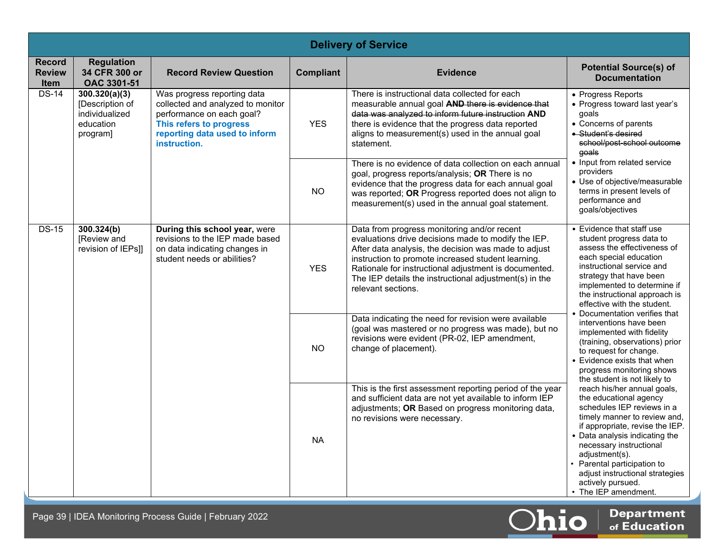|                                               | <b>Delivery of Service</b>                                                  |                                                                                                                                                                           |                  |                                                                                                                                                                                                                                                                                                                                                           |                                                                                                                                                                                                                                                                                                                                                    |  |  |
|-----------------------------------------------|-----------------------------------------------------------------------------|---------------------------------------------------------------------------------------------------------------------------------------------------------------------------|------------------|-----------------------------------------------------------------------------------------------------------------------------------------------------------------------------------------------------------------------------------------------------------------------------------------------------------------------------------------------------------|----------------------------------------------------------------------------------------------------------------------------------------------------------------------------------------------------------------------------------------------------------------------------------------------------------------------------------------------------|--|--|
| <b>Record</b><br><b>Review</b><br><b>Item</b> | <b>Regulation</b><br>34 CFR 300 or<br>OAC 3301-51                           | <b>Record Review Question</b>                                                                                                                                             | <b>Compliant</b> | <b>Evidence</b>                                                                                                                                                                                                                                                                                                                                           | <b>Potential Source(s) of</b><br><b>Documentation</b>                                                                                                                                                                                                                                                                                              |  |  |
| <b>DS-14</b>                                  | 300.320(a)(3)<br>[Description of<br>individualized<br>education<br>program] | Was progress reporting data<br>collected and analyzed to monitor<br>performance on each goal?<br>This refers to progress<br>reporting data used to inform<br>instruction. | <b>YES</b>       | There is instructional data collected for each<br>measurable annual goal AND there is evidence that<br>data was analyzed to inform future instruction AND<br>there is evidence that the progress data reported<br>aligns to measurement(s) used in the annual goal<br>statement.                                                                          | • Progress Reports<br>• Progress toward last year's<br>qoals<br>• Concerns of parents<br>• Student's desired<br>school/post-school outcome<br>goals                                                                                                                                                                                                |  |  |
|                                               |                                                                             |                                                                                                                                                                           | <b>NO</b>        | There is no evidence of data collection on each annual<br>goal, progress reports/analysis; OR There is no<br>evidence that the progress data for each annual goal<br>was reported; OR Progress reported does not align to<br>measurement(s) used in the annual goal statement.                                                                            | • Input from related service<br>providers<br>• Use of objective/measurable<br>terms in present levels of<br>performance and<br>goals/objectives                                                                                                                                                                                                    |  |  |
| <b>DS-15</b>                                  | 300.324(b)<br>[Review and<br>revision of IEPs]]                             | During this school year, were<br>revisions to the IEP made based<br>on data indicating changes in<br>student needs or abilities?                                          | <b>YES</b>       | Data from progress monitoring and/or recent<br>evaluations drive decisions made to modify the IEP.<br>After data analysis, the decision was made to adjust<br>instruction to promote increased student learning.<br>Rationale for instructional adjustment is documented.<br>The IEP details the instructional adjustment(s) in the<br>relevant sections. | • Evidence that staff use<br>student progress data to<br>assess the effectiveness of<br>each special education<br>instructional service and<br>strategy that have been<br>implemented to determine if<br>the instructional approach is<br>effective with the student.                                                                              |  |  |
|                                               |                                                                             |                                                                                                                                                                           | <b>NO</b>        | Data indicating the need for revision were available<br>(goal was mastered or no progress was made), but no<br>revisions were evident (PR-02, IEP amendment,<br>change of placement).                                                                                                                                                                     | Documentation verifies that<br>interventions have been<br>implemented with fidelity<br>(training, observations) prior<br>to request for change.<br>• Evidence exists that when<br>progress monitoring shows<br>the student is not likely to                                                                                                        |  |  |
|                                               |                                                                             |                                                                                                                                                                           | <b>NA</b>        | This is the first assessment reporting period of the year<br>and sufficient data are not yet available to inform IEP<br>adjustments; OR Based on progress monitoring data,<br>no revisions were necessary.                                                                                                                                                | reach his/her annual goals,<br>the educational agency<br>schedules IEP reviews in a<br>timely manner to review and,<br>if appropriate, revise the IEP.<br>• Data analysis indicating the<br>necessary instructional<br>adjustment(s).<br>Parental participation to<br>adjust instructional strategies<br>actively pursued.<br>• The IEP amendment. |  |  |



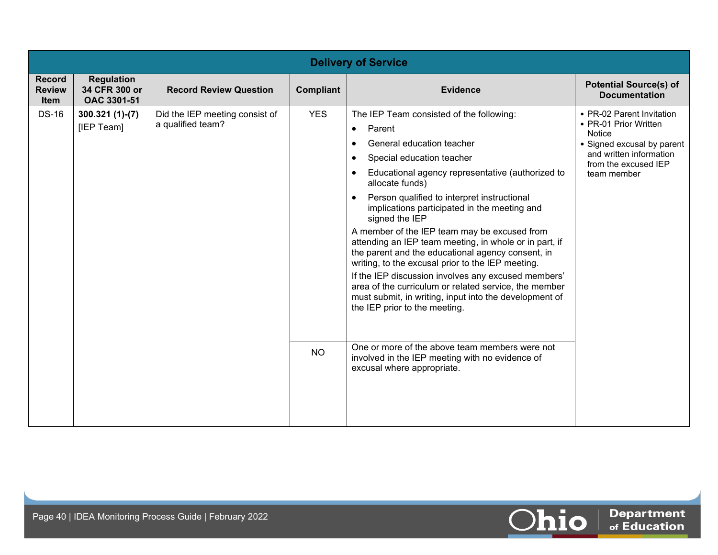|                                               | <b>Delivery of Service</b>                        |                                                     |                         |                                                                                                                                                                                                                                                                                                                                                                                                                                                                                                                                                                                                                                                                                                                                                                                                                                                                                 |                                                                                                                                                                     |  |  |  |  |
|-----------------------------------------------|---------------------------------------------------|-----------------------------------------------------|-------------------------|---------------------------------------------------------------------------------------------------------------------------------------------------------------------------------------------------------------------------------------------------------------------------------------------------------------------------------------------------------------------------------------------------------------------------------------------------------------------------------------------------------------------------------------------------------------------------------------------------------------------------------------------------------------------------------------------------------------------------------------------------------------------------------------------------------------------------------------------------------------------------------|---------------------------------------------------------------------------------------------------------------------------------------------------------------------|--|--|--|--|
| <b>Record</b><br><b>Review</b><br><b>Item</b> | <b>Regulation</b><br>34 CFR 300 or<br>OAC 3301-51 | <b>Record Review Question</b>                       | <b>Compliant</b>        | <b>Evidence</b>                                                                                                                                                                                                                                                                                                                                                                                                                                                                                                                                                                                                                                                                                                                                                                                                                                                                 | <b>Potential Source(s) of</b><br><b>Documentation</b>                                                                                                               |  |  |  |  |
| <b>DS-16</b>                                  | $300.321(1)-(7)$<br>[IEP Team]                    | Did the IEP meeting consist of<br>a qualified team? | <b>YES</b><br><b>NO</b> | The IEP Team consisted of the following:<br>Parent<br>$\bullet$<br>General education teacher<br>Special education teacher<br>$\bullet$<br>Educational agency representative (authorized to<br>allocate funds)<br>Person qualified to interpret instructional<br>$\bullet$<br>implications participated in the meeting and<br>signed the IEP<br>A member of the IEP team may be excused from<br>attending an IEP team meeting, in whole or in part, if<br>the parent and the educational agency consent, in<br>writing, to the excusal prior to the IEP meeting.<br>If the IEP discussion involves any excused members'<br>area of the curriculum or related service, the member<br>must submit, in writing, input into the development of<br>the IEP prior to the meeting.<br>One or more of the above team members were not<br>involved in the IEP meeting with no evidence of | • PR-02 Parent Invitation<br>• PR-01 Prior Written<br><b>Notice</b><br>• Signed excusal by parent<br>and written information<br>from the excused IEP<br>team member |  |  |  |  |
|                                               |                                                   |                                                     |                         | excusal where appropriate.                                                                                                                                                                                                                                                                                                                                                                                                                                                                                                                                                                                                                                                                                                                                                                                                                                                      |                                                                                                                                                                     |  |  |  |  |

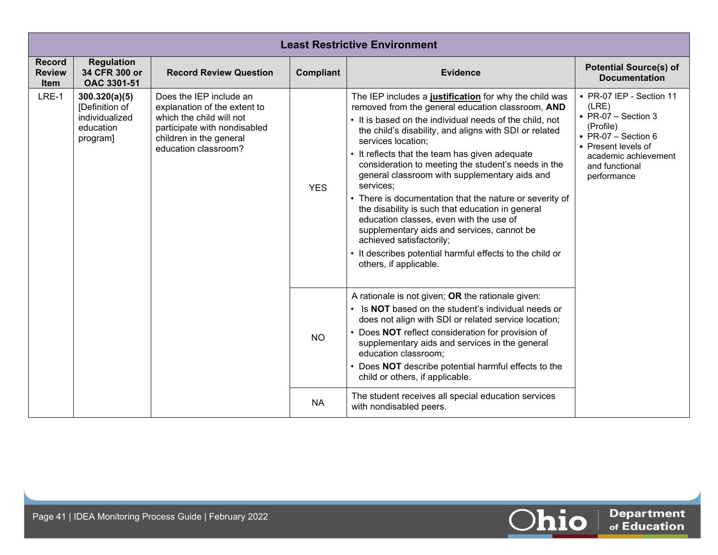<span id="page-40-0"></span>

|                                               | <b>Least Restrictive Environment</b>                                       |                                                                                                                                                                        |            |                                                                                                                                                                                                                                                                                                                                                                                                                                                                                                                                                                                                                                                                                                                                                         |                                                                                                                                                                                  |  |  |  |  |
|-----------------------------------------------|----------------------------------------------------------------------------|------------------------------------------------------------------------------------------------------------------------------------------------------------------------|------------|---------------------------------------------------------------------------------------------------------------------------------------------------------------------------------------------------------------------------------------------------------------------------------------------------------------------------------------------------------------------------------------------------------------------------------------------------------------------------------------------------------------------------------------------------------------------------------------------------------------------------------------------------------------------------------------------------------------------------------------------------------|----------------------------------------------------------------------------------------------------------------------------------------------------------------------------------|--|--|--|--|
| <b>Record</b><br><b>Review</b><br><b>Item</b> | <b>Regulation</b><br>34 CFR 300 or<br>OAC 3301-51                          | <b>Record Review Question</b>                                                                                                                                          | Compliant  | <b>Evidence</b>                                                                                                                                                                                                                                                                                                                                                                                                                                                                                                                                                                                                                                                                                                                                         | <b>Potential Source(s) of</b><br><b>Documentation</b>                                                                                                                            |  |  |  |  |
| LRE-1                                         | 300.320(a)(5)<br>[Definition of<br>individualized<br>education<br>program] | Does the IEP include an<br>explanation of the extent to<br>which the child will not<br>participate with nondisabled<br>children in the general<br>education classroom? | <b>YES</b> | The IEP includes a justification for why the child was<br>removed from the general education classroom, AND<br>• It is based on the individual needs of the child, not<br>the child's disability, and aligns with SDI or related<br>services location;<br>• It reflects that the team has given adequate<br>consideration to meeting the student's needs in the<br>general classroom with supplementary aids and<br>services;<br>• There is documentation that the nature or severity of<br>the disability is such that education in general<br>education classes, even with the use of<br>supplementary aids and services, cannot be<br>achieved satisfactorily;<br>• It describes potential harmful effects to the child or<br>others, if applicable. | • PR-07 IEP - Section 11<br>(LRE)<br>• $PR-07 - Section 3$<br>(Profile)<br>• $PR-07 - Section 6$<br>• Present levels of<br>academic achievement<br>and functional<br>performance |  |  |  |  |
|                                               |                                                                            | <b>NO</b><br><b>NA</b>                                                                                                                                                 |            | A rationale is not given; OR the rationale given:<br>• Is NOT based on the student's individual needs or<br>does not align with SDI or related service location;<br>• Does NOT reflect consideration for provision of<br>supplementary aids and services in the general<br>education classroom;<br>• Does NOT describe potential harmful effects to the<br>child or others, if applicable.<br>The student receives all special education services<br>with nondisabled peers.                                                                                                                                                                                                                                                                            |                                                                                                                                                                                  |  |  |  |  |

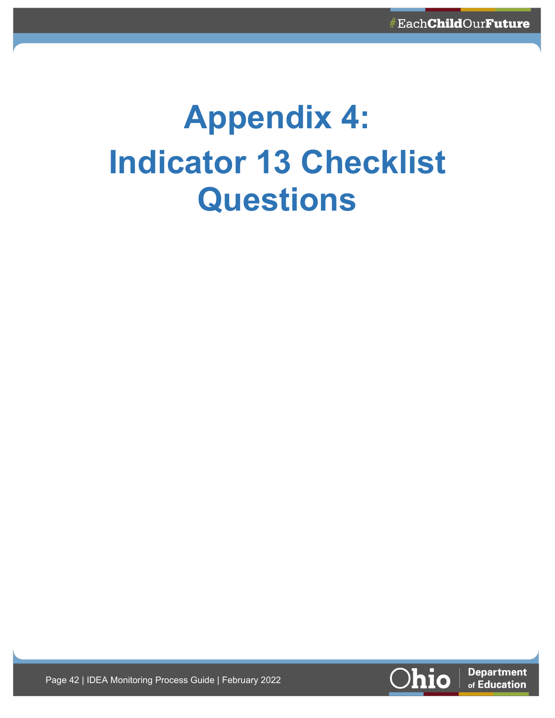# **Appendix 4: Indicator 13 Checklist Questions**



**Department** of Education

Page 42 | IDEA Monitoring Process Guide | February 2022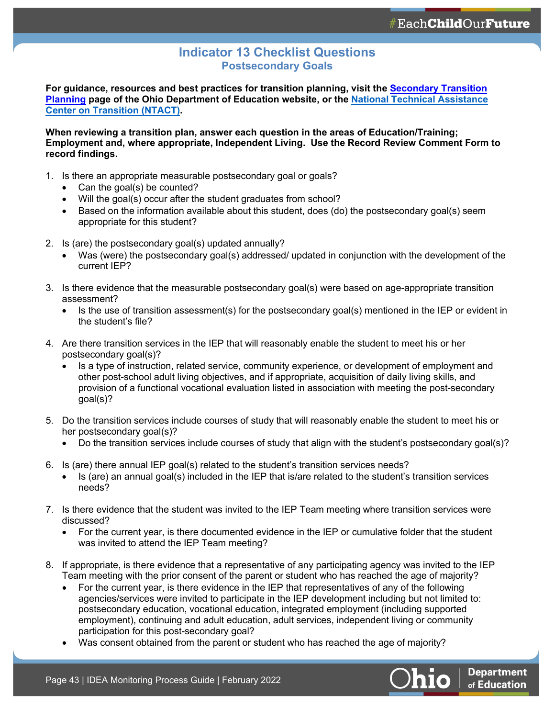### **Indicator 13 Checklist Questions Postsecondary Goals**

<span id="page-42-0"></span>**For guidance, resources and best practices for transition planning, visit the [Secondary Transition](http://education.ohio.gov/Topics/Special-Education/Federal-and-State-Requirements/Secondary-Transition-Planning-for-Students-with-Di)  [Planning](http://education.ohio.gov/Topics/Special-Education/Federal-and-State-Requirements/Secondary-Transition-Planning-for-Students-with-Di) page of the Ohio Department of Education website, or the [National Technical Assistance](https://transitionta.org/)  [Center on Transition \(NTACT\).](https://transitionta.org/)**

**When reviewing a transition plan, answer each question in the areas of Education/Training; Employment and, where appropriate, Independent Living. Use the Record Review Comment Form to record findings.**

- 1. Is there an appropriate measurable postsecondary goal or goals?
	- Can the goal(s) be counted?
	- Will the goal(s) occur after the student graduates from school?
	- Based on the information available about this student, does (do) the postsecondary goal(s) seem appropriate for this student?
- 2. Is (are) the postsecondary goal(s) updated annually?
	- Was (were) the postsecondary goal(s) addressed/ updated in conjunction with the development of the current IEP?
- 3. Is there evidence that the measurable postsecondary goal(s) were based on age-appropriate transition assessment?
	- Is the use of transition assessment(s) for the postsecondary goal(s) mentioned in the IEP or evident in the student's file?
- 4. Are there transition services in the IEP that will reasonably enable the student to meet his or her postsecondary goal(s)?
	- Is a type of instruction, related service, community experience, or development of employment and other post-school adult living objectives, and if appropriate, acquisition of daily living skills, and provision of a functional vocational evaluation listed in association with meeting the post-secondary goal(s)?
- 5. Do the transition services include courses of study that will reasonably enable the student to meet his or her postsecondary goal(s)?
	- Do the transition services include courses of study that align with the student's postsecondary goal(s)?
- 6. Is (are) there annual IEP goal(s) related to the student's transition services needs?
	- Is (are) an annual goal(s) included in the IEP that is/are related to the student's transition services needs?
- 7. Is there evidence that the student was invited to the IEP Team meeting where transition services were discussed?
	- For the current year, is there documented evidence in the IEP or cumulative folder that the student was invited to attend the IEP Team meeting?
- 8. If appropriate, is there evidence that a representative of any participating agency was invited to the IEP Team meeting with the prior consent of the parent or student who has reached the age of majority?
	- For the current year, is there evidence in the IEP that representatives of any of the following agencies/services were invited to participate in the IEP development including but not limited to: postsecondary education, vocational education, integrated employment (including supported employment), continuing and adult education, adult services, independent living or community participation for this post-secondary goal?
	- Was consent obtained from the parent or student who has reached the age of majority?



**Department** of Education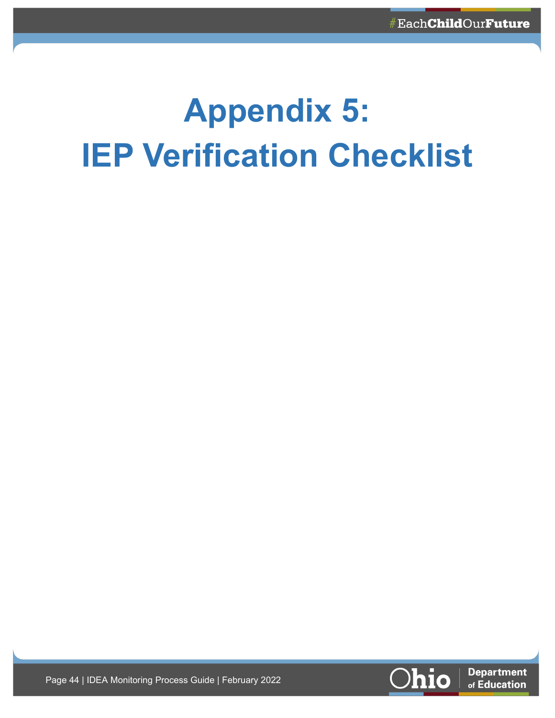# **Appendix 5: IEP Verification Checklist**



**Department** of Education

Page 44 | IDEA Monitoring Process Guide | February 2022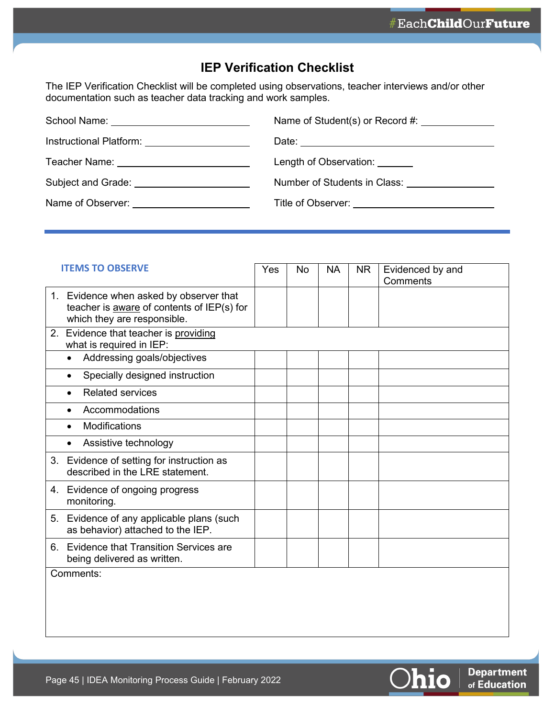# **IEP Verification Checklist**

<span id="page-44-1"></span><span id="page-44-0"></span>The IEP Verification Checklist will be completed using observations, teacher interviews and/or other documentation such as teacher data tracking and work samples.

| Instructional Platform: University of the University of the University of the University of the University of the U |                                                   |
|---------------------------------------------------------------------------------------------------------------------|---------------------------------------------------|
| Teacher Name: <u>__________________</u>                                                                             | Length of Observation: _______                    |
| Subject and Grade: <u>container and the subject and Grade:</u>                                                      | Number of Students in Class:                      |
|                                                                                                                     | Title of Observer: <u>_______________________</u> |

|    | <b>ITEMS TO OBSERVE</b>                                                                                              | Yes | No. | <b>NA</b> | <b>NR</b> | Evidenced by and<br>Comments |
|----|----------------------------------------------------------------------------------------------------------------------|-----|-----|-----------|-----------|------------------------------|
|    | 1. Evidence when asked by observer that<br>teacher is aware of contents of IEP(s) for<br>which they are responsible. |     |     |           |           |                              |
|    | 2. Evidence that teacher is providing<br>what is required in IEP:                                                    |     |     |           |           |                              |
|    | Addressing goals/objectives                                                                                          |     |     |           |           |                              |
|    | Specially designed instruction                                                                                       |     |     |           |           |                              |
|    | <b>Related services</b>                                                                                              |     |     |           |           |                              |
|    | Accommodations                                                                                                       |     |     |           |           |                              |
|    | Modifications                                                                                                        |     |     |           |           |                              |
|    | Assistive technology                                                                                                 |     |     |           |           |                              |
| 3. | Evidence of setting for instruction as<br>described in the LRE statement.                                            |     |     |           |           |                              |
|    | 4. Evidence of ongoing progress<br>monitoring.                                                                       |     |     |           |           |                              |
| 5. | Evidence of any applicable plans (such<br>as behavior) attached to the IEP.                                          |     |     |           |           |                              |
| 6. | <b>Evidence that Transition Services are</b><br>being delivered as written.                                          |     |     |           |           |                              |
|    | Comments:                                                                                                            |     |     |           |           |                              |

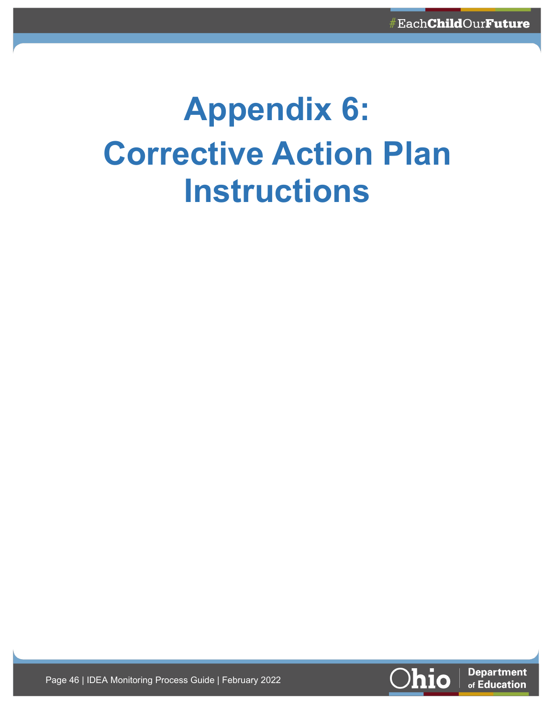# **Appendix 6: Corrective Action Plan Instructions**



**Department** of Education

Page 46 | IDEA Monitoring Process Guide | February 2022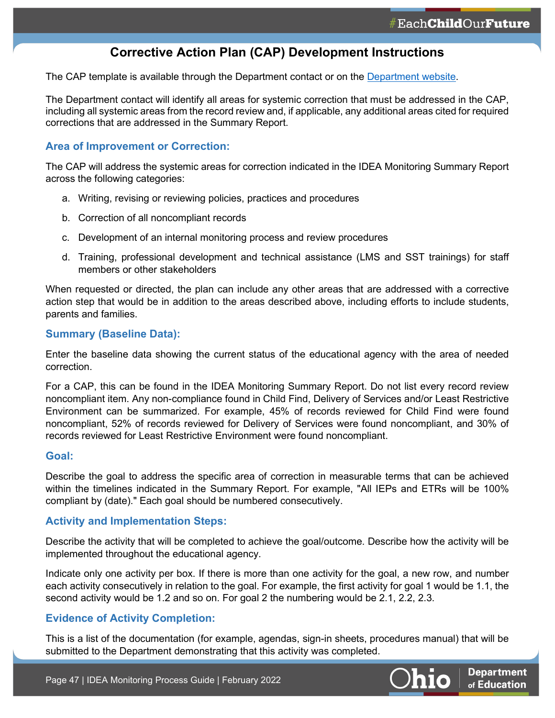# **Corrective Action Plan (CAP) Development Instructions**

<span id="page-46-0"></span>The CAP template is available through the Department contact or on the [Department](https://education.ohio.gov/Topics/Special-Education/Special-Education-Monitoring-System/IDEA-Onsite-Reviews) website.

The Department contact will identify all areas for systemic correction that must be addressed in the CAP, including all systemic areas from the record review and, if applicable, any additional areas cited for required corrections that are addressed in the Summary Report.

#### **Area of Improvement or Correction:**

The CAP will address the systemic areas for correction indicated in the IDEA Monitoring Summary Report across the following categories:

- a. Writing, revising or reviewing policies, practices and procedures
- b. Correction of all noncompliant records
- c. Development of an internal monitoring process and review procedures
- d. Training, professional development and technical assistance (LMS and SST trainings) for staff members or other stakeholders

When requested or directed, the plan can include any other areas that are addressed with a corrective action step that would be in addition to the areas described above, including efforts to include students, parents and families.

#### **Summary (Baseline Data):**

Enter the baseline data showing the current status of the educational agency with the area of needed correction.

For a CAP, this can be found in the IDEA Monitoring Summary Report. Do not list every record review noncompliant item. Any non-compliance found in Child Find, Delivery of Services and/or Least Restrictive Environment can be summarized. For example, 45% of records reviewed for Child Find were found noncompliant, 52% of records reviewed for Delivery of Services were found noncompliant, and 30% of records reviewed for Least Restrictive Environment were found noncompliant.

#### **Goal:**

Describe the goal to address the specific area of correction in measurable terms that can be achieved within the timelines indicated in the Summary Report. For example, "All IEPs and ETRs will be 100% compliant by (date)." Each goal should be numbered consecutively.

#### **Activity and Implementation Steps:**

Describe the activity that will be completed to achieve the goal/outcome. Describe how the activity will be implemented throughout the educational agency.

Indicate only one activity per box. If there is more than one activity for the goal, a new row, and number each activity consecutively in relation to the goal. For example, the first activity for goal 1 would be 1.1, the second activity would be 1.2 and so on. For goal 2 the numbering would be 2.1, 2.2, 2.3.

#### **Evidence of Activity Completion:**

This is a list of the documentation (for example, agendas, sign-in sheets, procedures manual) that will be submitted to the Department demonstrating that this activity was completed.



**Department** of Education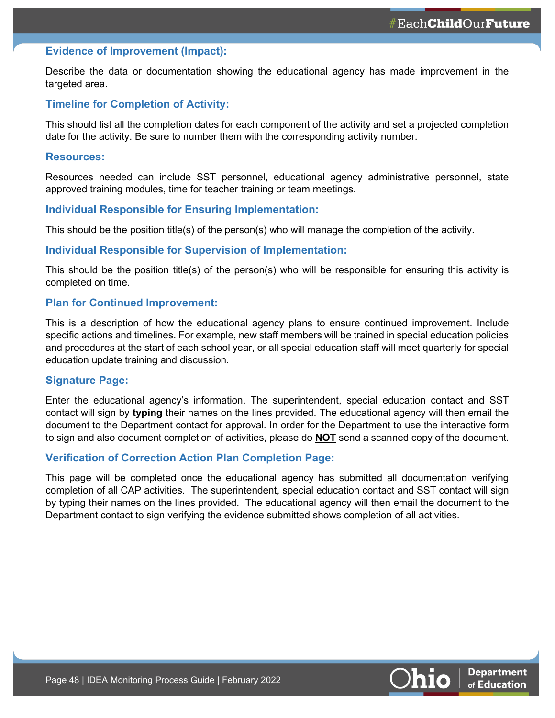#### **Evidence of Improvement (Impact):**

Describe the data or documentation showing the educational agency has made improvement in the targeted area.

#### **Timeline for Completion of Activity:**

This should list all the completion dates for each component of the activity and set a projected completion date for the activity. Be sure to number them with the corresponding activity number.

#### **Resources:**

Resources needed can include SST personnel, educational agency administrative personnel, state approved training modules, time for teacher training or team meetings.

#### **Individual Responsible for Ensuring Implementation:**

This should be the position title(s) of the person(s) who will manage the completion of the activity.

#### **Individual Responsible for Supervision of Implementation:**

This should be the position title(s) of the person(s) who will be responsible for ensuring this activity is completed on time.

#### **Plan for Continued Improvement:**

This is a description of how the educational agency plans to ensure continued improvement. Include specific actions and timelines. For example, new staff members will be trained in special education policies and procedures at the start of each school year, or all special education staff will meet quarterly for special education update training and discussion.

#### **Signature Page:**

Enter the educational agency's information. The superintendent, special education contact and SST contact will sign by **typing** their names on the lines provided. The educational agency will then email the document to the Department contact for approval. In order for the Department to use the interactive form to sign and also document completion of activities, please do **NOT** send a scanned copy of the document.

#### **Verification of Correction Action Plan Completion Page:**

This page will be completed once the educational agency has submitted all documentation verifying completion of all CAP activities. The superintendent, special education contact and SST contact will sign by typing their names on the lines provided. The educational agency will then email the document to the Department contact to sign verifying the evidence submitted shows completion of all activities.

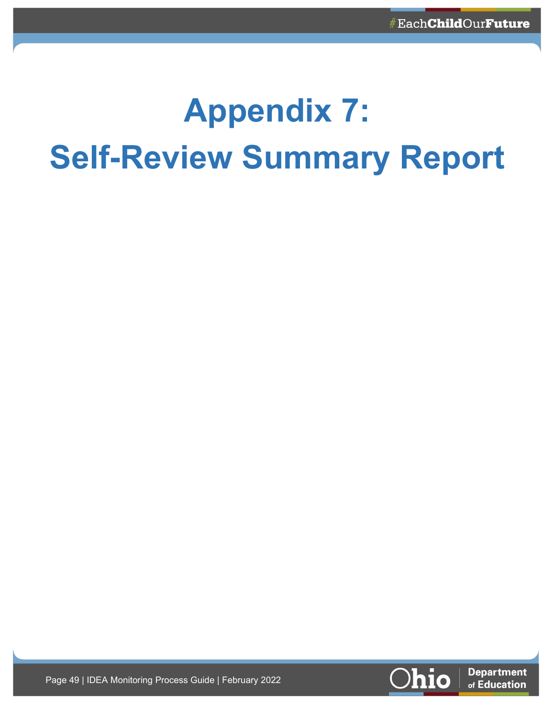# **Appendix 7: Self-Review Summary Report**



Page 49 | IDEA Monitoring Process Guide | February 2022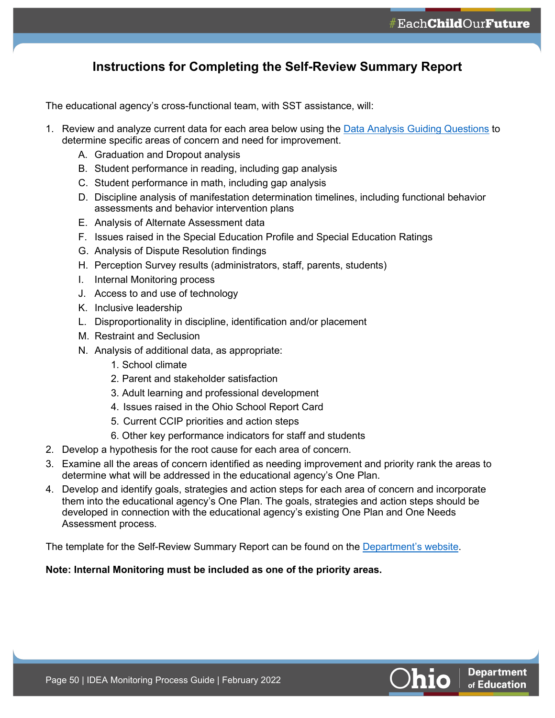# **Instructions for Completing the Self-Review Summary Report**

<span id="page-49-0"></span>The educational agency's cross-functional team, with SST assistance, will:

- 1. Review and analyze current data for each area below using the [Data Analysis Guiding Questions](#page-52-0) to determine specific areas of concern and need for improvement.
	- A. Graduation and Dropout analysis
	- B. Student performance in reading, including gap analysis
	- C. Student performance in math, including gap analysis
	- D. Discipline analysis of manifestation determination timelines, including functional behavior assessments and behavior intervention plans
	- E. Analysis of Alternate Assessment data
	- F. Issues raised in the Special Education Profile and Special Education Ratings
	- G. Analysis of Dispute Resolution findings
	- H. Perception Survey results (administrators, staff, parents, students)
	- I. Internal Monitoring process
	- J. Access to and use of technology
	- K. Inclusive leadership
	- L. Disproportionality in discipline, identification and/or placement
	- M. Restraint and Seclusion
	- N. Analysis of additional data, as appropriate:
		- 1. School climate
		- 2. Parent and stakeholder satisfaction
		- 3. Adult learning and professional development
		- 4. Issues raised in the Ohio School Report Card
		- 5. Current CCIP priorities and action steps
		- 6. Other key performance indicators for staff and students
- 2. Develop a hypothesis for the root cause for each area of concern.
- 3. Examine all the areas of concern identified as needing improvement and priority rank the areas to determine what will be addressed in the educational agency's One Plan.
- 4. Develop and identify goals, strategies and action steps for each area of concern and incorporate them into the educational agency's One Plan. The goals, strategies and action steps should be developed in connection with the educational agency's existing One Plan and One Needs Assessment process.

The template for the Self-Review Summary Report can be found on the [Department's website.](https://education.ohio.gov/Topics/Special-Education/Special-Education-Monitoring-System/IDEA-Onsite-Reviews)

#### **Note: Internal Monitoring must be included as one of the priority areas.**

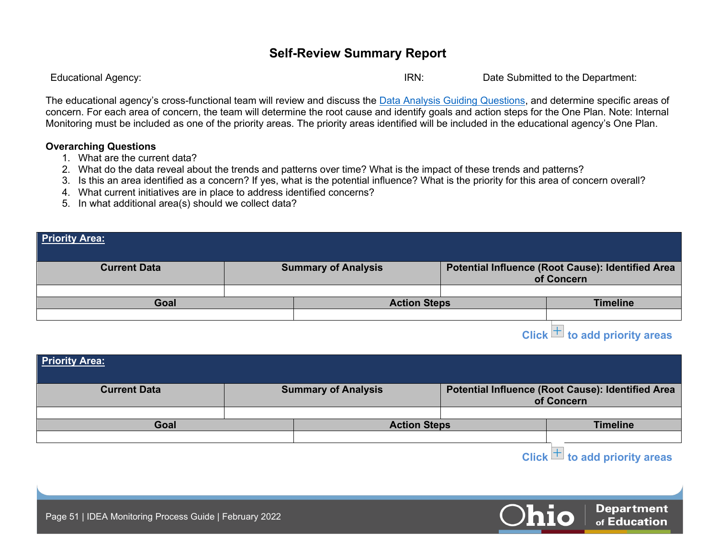# **Self-Review Summary Report**

Educational Agency: The Contractional Agency: The Contractional Agency: The Department: Date Submitted to the Department:

The educational agency's cross-functional team will review and discuss the Data Analysis Guiding Questions, and determine specific areas of concern. For each area of concern, the team will determine the root cause and identify goals and action steps for the One Plan. Note: Internal Monitoring must be included as one of the priority areas. The priority areas identified will be included in the educational agency's One Plan.

#### **Overarching Questions**

- 1. What are the current data?
- 2. What do the data reveal about the trends and patterns over time? What is the impact of these trends and patterns?
- 3. Is this an area identified as a concern? If yes, what is the potential influence? What is the priority for this area of concern overall?
- 4. What current initiatives are in place to address identified concerns?
- 5. In what additional area(s) should we collect data?

# **Priority Area: Current Data Summary of Analysis Potential Influence (Root Cause): Identified Area of Concern Goal Action Steps Timeline Click to add priority areas**

| <b>Priority Area:</b> |  |                            |                                                                 |                 |  |
|-----------------------|--|----------------------------|-----------------------------------------------------------------|-----------------|--|
| <b>Current Data</b>   |  | <b>Summary of Analysis</b> | Potential Influence (Root Cause): Identified Area<br>of Concern |                 |  |
|                       |  |                            |                                                                 |                 |  |
| Goal                  |  | <b>Action Steps</b>        |                                                                 | <b>Timeline</b> |  |
|                       |  |                            |                                                                 |                 |  |
|                       |  |                            |                                                                 |                 |  |

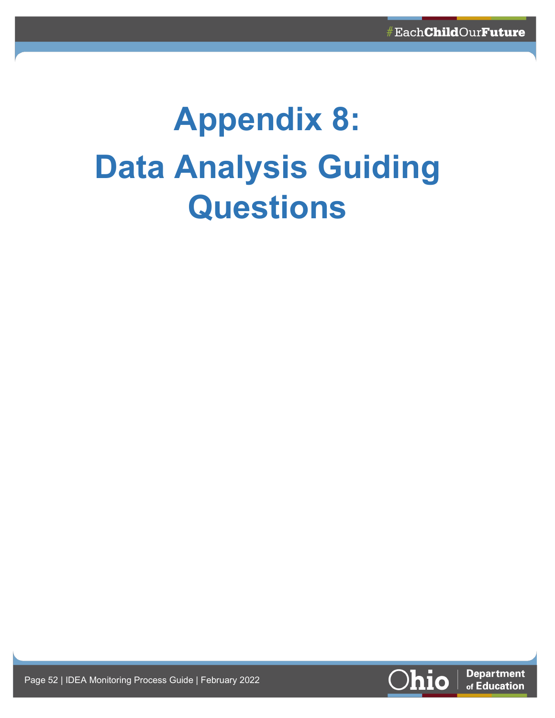# **Appendix 8: Data Analysis Guiding Questions**



**Department** of Education

Page 52 | IDEA Monitoring Process Guide | February 2022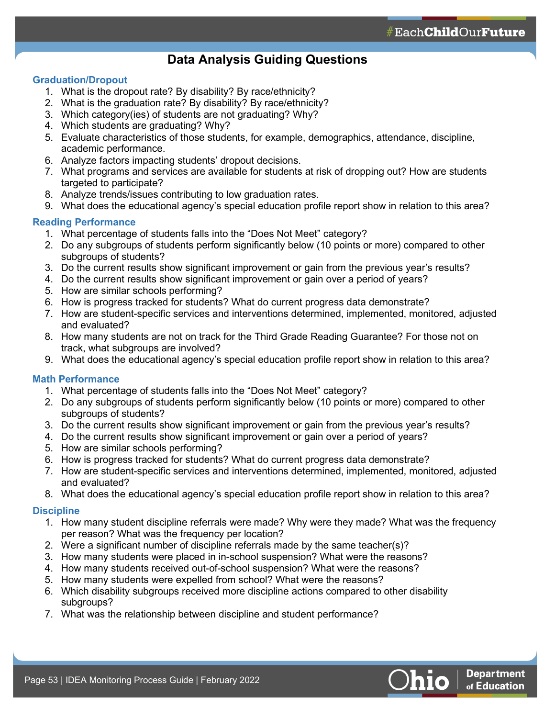# **Data Analysis Guiding Questions**

#### <span id="page-52-0"></span>**Graduation/Dropout**

- 1. What is the dropout rate? By disability? By race/ethnicity?
- 2. What is the graduation rate? By disability? By race/ethnicity?
- 3. Which category(ies) of students are not graduating? Why?
- 4. Which students are graduating? Why?
- 5. Evaluate characteristics of those students, for example, demographics, attendance, discipline, academic performance.
- 6. Analyze factors impacting students' dropout decisions.
- 7. What programs and services are available for students at risk of dropping out? How are students targeted to participate?
- 8. Analyze trends/issues contributing to low graduation rates.
- 9. What does the educational agency's special education profile report show in relation to this area?

#### **Reading Performance**

- 1. What percentage of students falls into the "Does Not Meet" category?
- 2. Do any subgroups of students perform significantly below (10 points or more) compared to other subgroups of students?
- 3. Do the current results show significant improvement or gain from the previous year's results?
- 4. Do the current results show significant improvement or gain over a period of years?
- 5. How are similar schools performing?
- 6. How is progress tracked for students? What do current progress data demonstrate?
- 7. How are student-specific services and interventions determined, implemented, monitored, adjusted and evaluated?
- 8. How many students are not on track for the Third Grade Reading Guarantee? For those not on track, what subgroups are involved?
- 9. What does the educational agency's special education profile report show in relation to this area?

#### **Math Performance**

- 1. What percentage of students falls into the "Does Not Meet" category?
- 2. Do any subgroups of students perform significantly below (10 points or more) compared to other subgroups of students?
- 3. Do the current results show significant improvement or gain from the previous year's results?
- 4. Do the current results show significant improvement or gain over a period of years?
- 5. How are similar schools performing?
- 6. How is progress tracked for students? What do current progress data demonstrate?
- 7. How are student-specific services and interventions determined, implemented, monitored, adjusted and evaluated?
- 8. What does the educational agency's special education profile report show in relation to this area?

#### **Discipline**

- 1. How many student discipline referrals were made? Why were they made? What was the frequency per reason? What was the frequency per location?
- 2. Were a significant number of discipline referrals made by the same teacher(s)?
- 3. How many students were placed in in-school suspension? What were the reasons?
- 4. How many students received out-of-school suspension? What were the reasons?
- 5. How many students were expelled from school? What were the reasons?
- 6. Which disability subgroups received more discipline actions compared to other disability subgroups?
- 7. What was the relationship between discipline and student performance?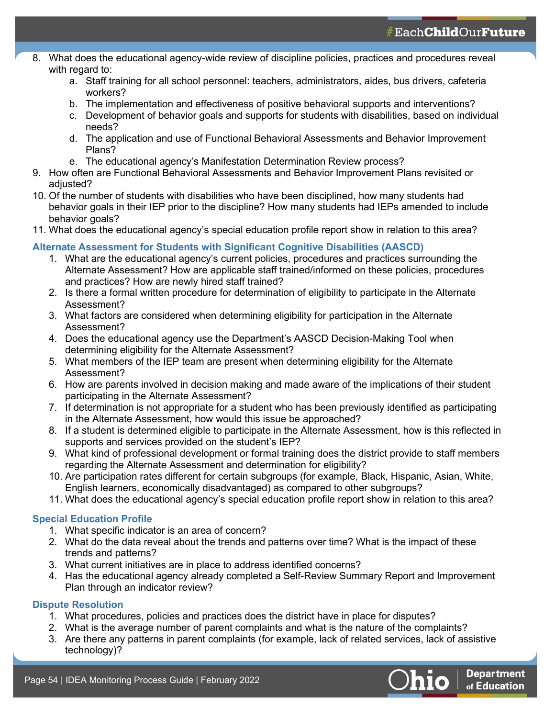- 8. What does the educational agency-wide review of discipline policies, practices and procedures reveal with regard to:
	- a. Staff training for all school personnel: teachers, administrators, aides, bus drivers, cafeteria workers?
	- b. The implementation and effectiveness of positive behavioral supports and interventions?
	- c. Development of behavior goals and supports for students with disabilities, based on individual needs?
	- d. The application and use of Functional Behavioral Assessments and Behavior Improvement Plans?
	- e. The educational agency's Manifestation Determination Review process?
- 9. How often are Functional Behavioral Assessments and Behavior Improvement Plans revisited or adjusted?
- 10. Of the number of students with disabilities who have been disciplined, how many students had behavior goals in their IEP prior to the discipline? How many students had IEPs amended to include behavior goals?
- 11. What does the educational agency's special education profile report show in relation to this area?

#### **Alternate Assessment for Students with Significant Cognitive Disabilities (AASCD)**

- 1. What are the educational agency's current policies, procedures and practices surrounding the Alternate Assessment? How are applicable staff trained/informed on these policies, procedures and practices? How are newly hired staff trained?
- 2. Is there a formal written procedure for determination of eligibility to participate in the Alternate Assessment?
- 3. What factors are considered when determining eligibility for participation in the Alternate Assessment?
- 4. Does the educational agency use the Department's AASCD Decision-Making Tool when determining eligibility for the Alternate Assessment?
- 5. What members of the IEP team are present when determining eligibility for the Alternate Assessment?
- 6. How are parents involved in decision making and made aware of the implications of their student participating in the Alternate Assessment?
- 7. If determination is not appropriate for a student who has been previously identified as participating in the Alternate Assessment, how would this issue be approached?
- 8. If a student is determined eligible to participate in the Alternate Assessment, how is this reflected in supports and services provided on the student's IEP?
- 9. What kind of professional development or formal training does the district provide to staff members regarding the Alternate Assessment and determination for eligibility?
- 10. Are participation rates different for certain subgroups (for example, Black, Hispanic, Asian, White, English learners, economically disadvantaged) as compared to other subgroups?
- 11. What does the educational agency's special education profile report show in relation to this area?

#### **Special Education Profile**

- 1. What specific indicator is an area of concern?
- 2. What do the data reveal about the trends and patterns over time? What is the impact of these trends and patterns?
- 3. What current initiatives are in place to address identified concerns?
- 4. Has the educational agency already completed a Self-Review Summary Report and Improvement Plan through an indicator review?

#### **Dispute Resolution**

- 1. What procedures, policies and practices does the district have in place for disputes?
- 2. What is the average number of parent complaints and what is the nature of the complaints?
- 3. Are there any patterns in parent complaints (for example, lack of related services, lack of assistive technology)?

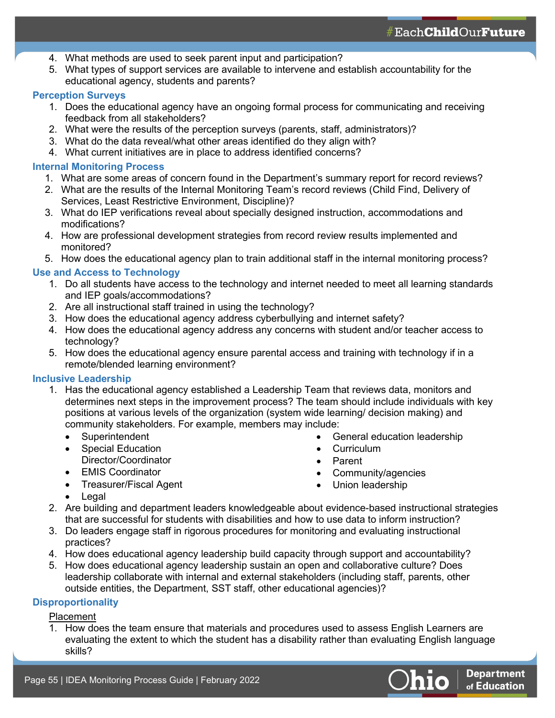- 4. What methods are used to seek parent input and participation?
- 5. What types of support services are available to intervene and establish accountability for the educational agency, students and parents?

#### **Perception Surveys**

- 1. Does the educational agency have an ongoing formal process for communicating and receiving feedback from all stakeholders?
- 2. What were the results of the perception surveys (parents, staff, administrators)?
- 3. What do the data reveal/what other areas identified do they align with?
- 4. What current initiatives are in place to address identified concerns?

#### **Internal Monitoring Process**

- 1. What are some areas of concern found in the Department's summary report for record reviews?
- 2. What are the results of the Internal Monitoring Team's record reviews (Child Find, Delivery of Services, Least Restrictive Environment, Discipline)?
- 3. What do IEP verifications reveal about specially designed instruction, accommodations and modifications?
- 4. How are professional development strategies from record review results implemented and monitored?
- 5. How does the educational agency plan to train additional staff in the internal monitoring process?

#### **Use and Access to Technology**

- 1. Do all students have access to the technology and internet needed to meet all learning standards and IEP goals/accommodations?
- 2. Are all instructional staff trained in using the technology?
- 3. How does the educational agency address cyberbullying and internet safety?
- 4. How does the educational agency address any concerns with student and/or teacher access to technology?
- 5. How does the educational agency ensure parental access and training with technology if in a remote/blended learning environment?

#### **Inclusive Leadership**

- 1. Has the educational agency established a Leadership Team that reviews data, monitors and determines next steps in the improvement process? The team should include individuals with key positions at various levels of the organization (system wide learning/ decision making) and community stakeholders. For example, members may include:
	- Superintendent
	- Special Education
	- Director/Coordinator
	- EMIS Coordinator
	- Treasurer/Fiscal Agent
- General education leadership
- Curriculum
- Parent
- Community/agencies
- Union leadership
- Legal
- 2. Are building and department leaders knowledgeable about evidence-based instructional strategies that are successful for students with disabilities and how to use data to inform instruction?
- 3. Do leaders engage staff in rigorous procedures for monitoring and evaluating instructional practices?
- 4. How does educational agency leadership build capacity through support and accountability?
- 5. How does educational agency leadership sustain an open and collaborative culture? Does leadership collaborate with internal and external stakeholders (including staff, parents, other outside entities, the Department, SST staff, other educational agencies)?

#### **Disproportionality**

#### Placement

1. How does the team ensure that materials and procedures used to assess English Learners are evaluating the extent to which the student has a disability rather than evaluating English language skills?

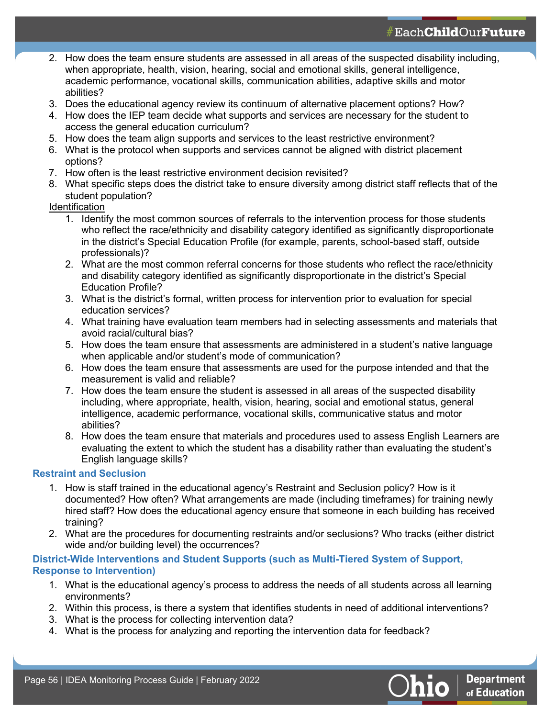- 2. How does the team ensure students are assessed in all areas of the suspected disability including, when appropriate, health, vision, hearing, social and emotional skills, general intelligence, academic performance, vocational skills, communication abilities, adaptive skills and motor abilities?
- 3. Does the educational agency review its continuum of alternative placement options? How?
- 4. How does the IEP team decide what supports and services are necessary for the student to access the general education curriculum?
- 5. How does the team align supports and services to the least restrictive environment?
- 6. What is the protocol when supports and services cannot be aligned with district placement options?
- 7. How often is the least restrictive environment decision revisited?
- 8. What specific steps does the district take to ensure diversity among district staff reflects that of the student population?

#### **Identification**

- 1. Identify the most common sources of referrals to the intervention process for those students who reflect the race/ethnicity and disability category identified as significantly disproportionate in the district's Special Education Profile (for example, parents, school-based staff, outside professionals)?
- 2. What are the most common referral concerns for those students who reflect the race/ethnicity and disability category identified as significantly disproportionate in the district's Special Education Profile?
- 3. What is the district's formal, written process for intervention prior to evaluation for special education services?
- 4. What training have evaluation team members had in selecting assessments and materials that avoid racial/cultural bias?
- 5. How does the team ensure that assessments are administered in a student's native language when applicable and/or student's mode of communication?
- 6. How does the team ensure that assessments are used for the purpose intended and that the measurement is valid and reliable?
- 7. How does the team ensure the student is assessed in all areas of the suspected disability including, where appropriate, health, vision, hearing, social and emotional status, general intelligence, academic performance, vocational skills, communicative status and motor abilities?
- 8. How does the team ensure that materials and procedures used to assess English Learners are evaluating the extent to which the student has a disability rather than evaluating the student's English language skills?

#### **Restraint and Seclusion**

- 1. How is staff trained in the educational agency's Restraint and Seclusion policy? How is it documented? How often? What arrangements are made (including timeframes) for training newly hired staff? How does the educational agency ensure that someone in each building has received training?
- 2. What are the procedures for documenting restraints and/or seclusions? Who tracks (either district wide and/or building level) the occurrences?

#### **District-Wide Interventions and Student Supports (such as Multi-Tiered System of Support, Response to Intervention)**

- 1. What is the educational agency's process to address the needs of all students across all learning environments?
- 2. Within this process, is there a system that identifies students in need of additional interventions?
- 3. What is the process for collecting intervention data?
- 4. What is the process for analyzing and reporting the intervention data for feedback?

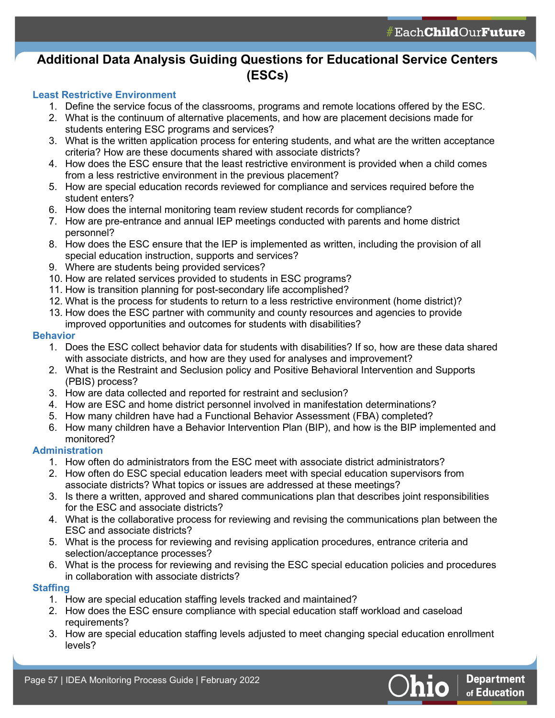## **Additional Data Analysis Guiding Questions for Educational Service Centers (ESCs)**

#### **Least Restrictive Environment**

- 1. Define the service focus of the classrooms, programs and remote locations offered by the ESC.
- 2. What is the continuum of alternative placements, and how are placement decisions made for students entering ESC programs and services?
- 3. What is the written application process for entering students, and what are the written acceptance criteria? How are these documents shared with associate districts?
- 4. How does the ESC ensure that the least restrictive environment is provided when a child comes from a less restrictive environment in the previous placement?
- 5. How are special education records reviewed for compliance and services required before the student enters?
- 6. How does the internal monitoring team review student records for compliance?
- 7. How are pre-entrance and annual IEP meetings conducted with parents and home district personnel?
- 8. How does the ESC ensure that the IEP is implemented as written, including the provision of all special education instruction, supports and services?
- 9. Where are students being provided services?
- 10. How are related services provided to students in ESC programs?
- 11. How is transition planning for post-secondary life accomplished?
- 12. What is the process for students to return to a less restrictive environment (home district)?
- 13. How does the ESC partner with community and county resources and agencies to provide improved opportunities and outcomes for students with disabilities?

#### **Behavior**

- 1. Does the ESC collect behavior data for students with disabilities? If so, how are these data shared with associate districts, and how are they used for analyses and improvement?
- 2. What is the Restraint and Seclusion policy and Positive Behavioral Intervention and Supports (PBIS) process?
- 3. How are data collected and reported for restraint and seclusion?
- 4. How are ESC and home district personnel involved in manifestation determinations?
- 5. How many children have had a Functional Behavior Assessment (FBA) completed?
- 6. How many children have a Behavior Intervention Plan (BIP), and how is the BIP implemented and monitored?

#### **Administration**

- 1. How often do administrators from the ESC meet with associate district administrators?
- 2. How often do ESC special education leaders meet with special education supervisors from associate districts? What topics or issues are addressed at these meetings?
- 3. Is there a written, approved and shared communications plan that describes joint responsibilities for the ESC and associate districts?
- 4. What is the collaborative process for reviewing and revising the communications plan between the ESC and associate districts?
- 5. What is the process for reviewing and revising application procedures, entrance criteria and selection/acceptance processes?
- 6. What is the process for reviewing and revising the ESC special education policies and procedures in collaboration with associate districts?

#### **Staffing**

- 1. How are special education staffing levels tracked and maintained?
- 2. How does the ESC ensure compliance with special education staff workload and caseload requirements?
- 3. How are special education staffing levels adjusted to meet changing special education enrollment levels?

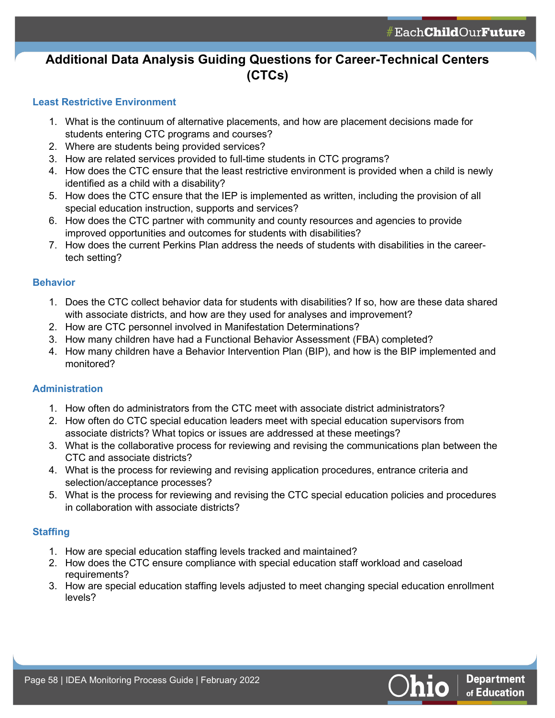## **Additional Data Analysis Guiding Questions for Career-Technical Centers (CTCs)**

#### **Least Restrictive Environment**

- 1. What is the continuum of alternative placements, and how are placement decisions made for students entering CTC programs and courses?
- 2. Where are students being provided services?
- 3. How are related services provided to full-time students in CTC programs?
- 4. How does the CTC ensure that the least restrictive environment is provided when a child is newly identified as a child with a disability?
- 5. How does the CTC ensure that the IEP is implemented as written, including the provision of all special education instruction, supports and services?
- 6. How does the CTC partner with community and county resources and agencies to provide improved opportunities and outcomes for students with disabilities?
- 7. How does the current Perkins Plan address the needs of students with disabilities in the careertech setting?

#### **Behavior**

- 1. Does the CTC collect behavior data for students with disabilities? If so, how are these data shared with associate districts, and how are they used for analyses and improvement?
- 2. How are CTC personnel involved in Manifestation Determinations?
- 3. How many children have had a Functional Behavior Assessment (FBA) completed?
- 4. How many children have a Behavior Intervention Plan (BIP), and how is the BIP implemented and monitored?

#### **Administration**

- 1. How often do administrators from the CTC meet with associate district administrators?
- 2. How often do CTC special education leaders meet with special education supervisors from associate districts? What topics or issues are addressed at these meetings?
- 3. What is the collaborative process for reviewing and revising the communications plan between the CTC and associate districts?
- 4. What is the process for reviewing and revising application procedures, entrance criteria and selection/acceptance processes?
- 5. What is the process for reviewing and revising the CTC special education policies and procedures in collaboration with associate districts?

#### **Staffing**

- 1. How are special education staffing levels tracked and maintained?
- 2. How does the CTC ensure compliance with special education staff workload and caseload requirements?
- 3. How are special education staffing levels adjusted to meet changing special education enrollment levels?

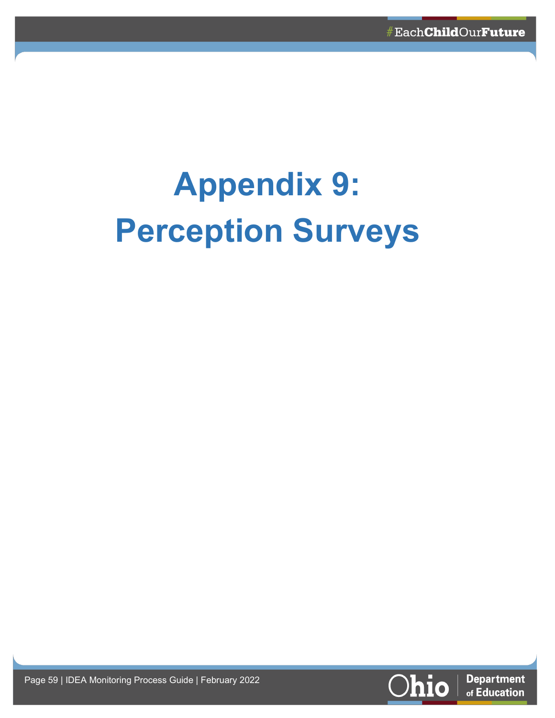# **Appendix 9: Perception Surveys**

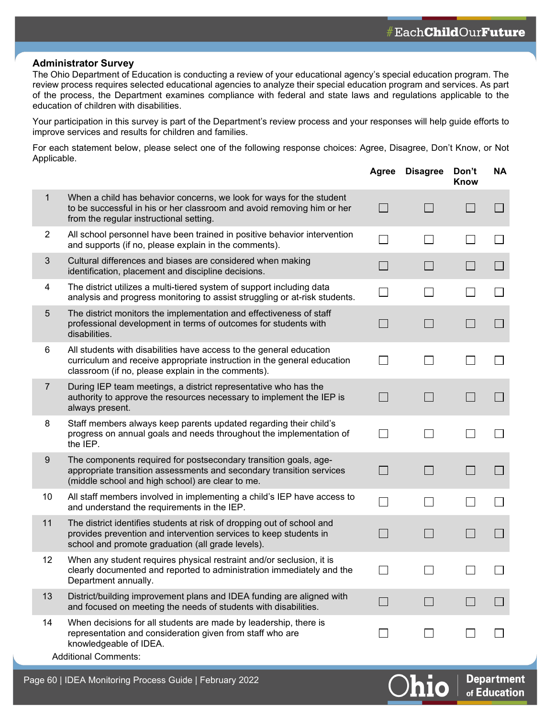$\bigcup$ **nio**  $\bigcup_{\text{of Education}}$ 

#### <span id="page-59-0"></span>**Administrator Survey**

The Ohio Department of Education is conducting a review of your educational agency's special education program. The review process requires selected educational agencies to analyze their special education program and services. As part of the process, the Department examines compliance with federal and state laws and regulations applicable to the education of children with disabilities.

Your participation in this survey is part of the Department's review process and your responses will help guide efforts to improve services and results for children and families.

For each statement below, please select one of the following response choices: Agree, Disagree, Don't Know, or Not Applicable.

|                |                                                                                                                                                                                                      | Agree  | <b>Disagree</b>             | Don't<br>Know               | <b>NA</b>         |
|----------------|------------------------------------------------------------------------------------------------------------------------------------------------------------------------------------------------------|--------|-----------------------------|-----------------------------|-------------------|
| $\mathbf{1}$   | When a child has behavior concerns, we look for ways for the student<br>to be successful in his or her classroom and avoid removing him or her<br>from the regular instructional setting.            | $\Box$ | $\Box$                      |                             | $\mathsf{L}$      |
| $\overline{2}$ | All school personnel have been trained in positive behavior intervention<br>and supports (if no, please explain in the comments).                                                                    | $\Box$ |                             |                             |                   |
| $\mathfrak{S}$ | Cultural differences and biases are considered when making<br>identification, placement and discipline decisions.                                                                                    | $\Box$ | $\mathcal{L}_{\mathcal{A}}$ | $\mathcal{L}_{\mathcal{A}}$ | $\Box$            |
| 4              | The district utilizes a multi-tiered system of support including data<br>analysis and progress monitoring to assist struggling or at-risk students.                                                  | $\Box$ |                             |                             |                   |
| 5              | The district monitors the implementation and effectiveness of staff<br>professional development in terms of outcomes for students with<br>disabilities.                                              | П      | $\Box$                      | $\Box$                      |                   |
| 6              | All students with disabilities have access to the general education<br>curriculum and receive appropriate instruction in the general education<br>classroom (if no, please explain in the comments). | $\Box$ | $\Box$                      |                             |                   |
| $\overline{7}$ | During IEP team meetings, a district representative who has the<br>authority to approve the resources necessary to implement the IEP is<br>always present.                                           | $\Box$ | П                           | $\Box$                      |                   |
| 8              | Staff members always keep parents updated regarding their child's<br>progress on annual goals and needs throughout the implementation of<br>the IEP.                                                 | $\Box$ | $\overline{\phantom{a}}$    |                             |                   |
| 9              | The components required for postsecondary transition goals, age-<br>appropriate transition assessments and secondary transition services<br>(middle school and high school) are clear to me.         | $\Box$ | П                           | $\Box$                      |                   |
| 10             | All staff members involved in implementing a child's IEP have access to<br>and understand the requirements in the IEP.                                                                               | $\Box$ | $\mathsf{L}$                | $\Box$                      |                   |
| 11             | The district identifies students at risk of dropping out of school and<br>provides prevention and intervention services to keep students in<br>school and promote graduation (all grade levels).     | $\Box$ | $\Box$                      | $\Box$                      |                   |
| 12             | When any student requires physical restraint and/or seclusion, it is<br>clearly documented and reported to administration immediately and the<br>Department annually.                                |        |                             |                             |                   |
| 13             | District/building improvement plans and IDEA funding are aligned with<br>and focused on meeting the needs of students with disabilities.                                                             | $\Box$ | $\blacksquare$              |                             |                   |
| 14             | When decisions for all students are made by leadership, there is<br>representation and consideration given from staff who are<br>knowledgeable of IDEA.<br><b>Additional Comments:</b>               |        |                             |                             |                   |
|                | Page 60   IDEA Monitoring Process Guide   February 2022                                                                                                                                              |        |                             |                             | <b>Department</b> |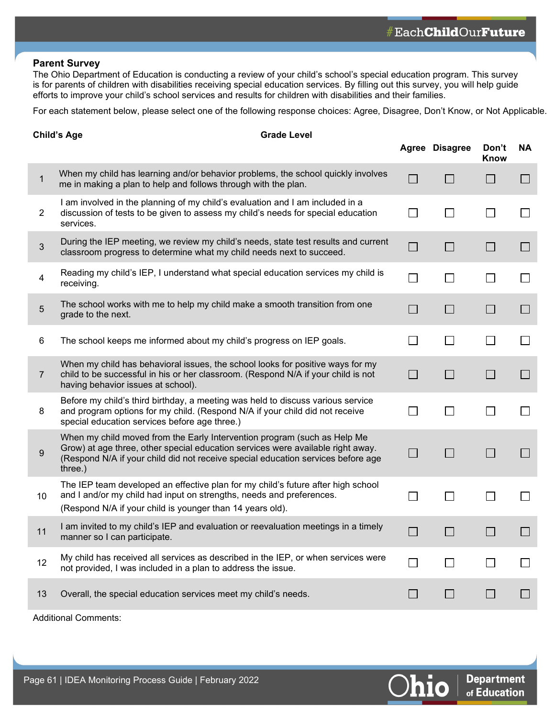#### **Parent Survey**

The Ohio Department of Education is conducting a review of your child's school's special education program. This survey is for parents of children with disabilities receiving special education services. By filling out this survey, you will help guide efforts to improve your child's school services and results for children with disabilities and their families.

For each statement below, please select one of the following response choices: Agree, Disagree, Don't Know, or Not Applicable.

|                | <b>Grade Level</b><br><b>Child's Age</b>                                                                                                                                                                                                                   |              | Agree Disagree              | Don't<br><b>Know</b>        | <b>NA</b>                |
|----------------|------------------------------------------------------------------------------------------------------------------------------------------------------------------------------------------------------------------------------------------------------------|--------------|-----------------------------|-----------------------------|--------------------------|
| $\mathbf{1}$   | When my child has learning and/or behavior problems, the school quickly involves<br>me in making a plan to help and follows through with the plan.                                                                                                         | $\Box$       | $\sim$                      | $\Box$                      | $\Box$                   |
| 2              | I am involved in the planning of my child's evaluation and I am included in a<br>discussion of tests to be given to assess my child's needs for special education<br>services.                                                                             | $\Box$       |                             | $\mathcal{L}_{\mathcal{A}}$ | $\overline{\phantom{a}}$ |
| $\mathfrak{Z}$ | During the IEP meeting, we review my child's needs, state test results and current<br>classroom progress to determine what my child needs next to succeed.                                                                                                 | $\Box$       | $\mathcal{L}_{\mathcal{A}}$ | $\Box$                      | $\Box$                   |
| 4              | Reading my child's IEP, I understand what special education services my child is<br>receiving.                                                                                                                                                             | $\Box$       | $\blacksquare$              | $\vert \ \ \vert$           | $\perp$                  |
| 5              | The school works with me to help my child make a smooth transition from one<br>grade to the next.                                                                                                                                                          | $\Box$       | $\blacksquare$              | $\Box$                      | $\Box$                   |
| 6              | The school keeps me informed about my child's progress on IEP goals.                                                                                                                                                                                       | $\mathsf{L}$ |                             | $\mathsf{L}$                | $\mathsf{L}$             |
| $\overline{7}$ | When my child has behavioral issues, the school looks for positive ways for my<br>child to be successful in his or her classroom. (Respond N/A if your child is not<br>having behavior issues at school).                                                  | □            | $\mathcal{L}_{\mathcal{A}}$ | $\Box$                      | $\Box$                   |
| 8              | Before my child's third birthday, a meeting was held to discuss various service<br>and program options for my child. (Respond N/A if your child did not receive<br>special education services before age three.)                                           | $\Box$       |                             | $\mathsf{L}$                |                          |
| 9              | When my child moved from the Early Intervention program (such as Help Me<br>Grow) at age three, other special education services were available right away.<br>(Respond N/A if your child did not receive special education services before age<br>three.) | $\Box$       |                             | $\Box$                      |                          |
| 10             | The IEP team developed an effective plan for my child's future after high school<br>and I and/or my child had input on strengths, needs and preferences.<br>(Respond N/A if your child is younger than 14 years old).                                      | $\Box$       |                             | $\mathcal{L}_{\mathcal{A}}$ |                          |
| 11             | I am invited to my child's IEP and evaluation or reevaluation meetings in a timely<br>manner so I can participate.                                                                                                                                         |              |                             |                             |                          |
| 12             | My child has received all services as described in the IEP, or when services were<br>not provided, I was included in a plan to address the issue.                                                                                                          | $\Box$       |                             | $\mathbf{L}$                |                          |
| 13             | Overall, the special education services meet my child's needs.                                                                                                                                                                                             | $\Box$       |                             | $\Box$                      |                          |

Additional Comments:

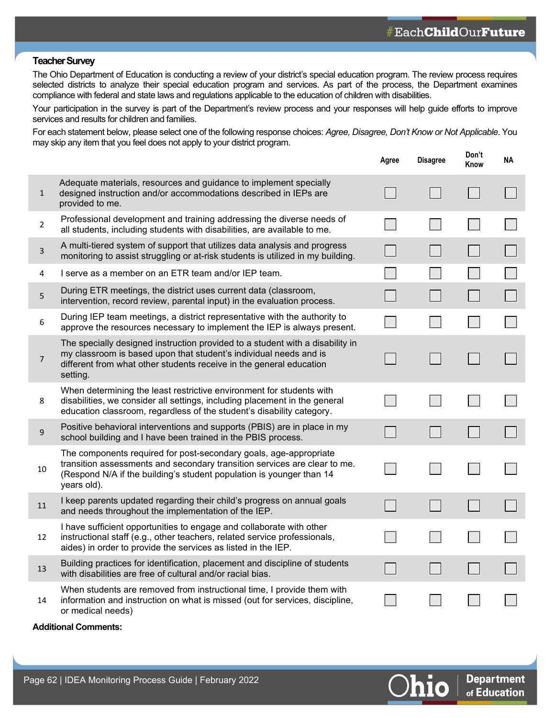#### **Teacher Survey**

The Ohio Department of Education is conducting a review of your district's special education program. The review process requires selected districts to analyze their special education program and services. As part of the process, the Department examines compliance with federal and state laws and regulations applicable to the education of children with disabilities.

Your participation in the survey is part of the Department's review process and your responses will help guide efforts to improve services and results for children and families.

For each statement below, please select one of the following response choices: *Agree, Disagree, Don't Know or Not Applicable*. You may skip any item that you feel does not apply to your district program.

|                |                                                                                                                                                                                                                                       | Agree | <b>Disagree</b> | Don't<br>Know | ΝA |
|----------------|---------------------------------------------------------------------------------------------------------------------------------------------------------------------------------------------------------------------------------------|-------|-----------------|---------------|----|
| $\mathbf{1}$   | Adequate materials, resources and guidance to implement specially<br>designed instruction and/or accommodations described in IEPs are<br>provided to me.                                                                              |       |                 |               |    |
| 2              | Professional development and training addressing the diverse needs of<br>all students, including students with disabilities, are available to me.                                                                                     |       |                 |               |    |
| 3              | A multi-tiered system of support that utilizes data analysis and progress<br>monitoring to assist struggling or at-risk students is utilized in my building.                                                                          |       |                 |               |    |
| 4              | I serve as a member on an ETR team and/or IEP team.                                                                                                                                                                                   |       |                 |               |    |
| 5              | During ETR meetings, the district uses current data (classroom,<br>intervention, record review, parental input) in the evaluation process.                                                                                            |       |                 |               |    |
| 6              | During IEP team meetings, a district representative with the authority to<br>approve the resources necessary to implement the IEP is always present.                                                                                  |       |                 |               |    |
| $\overline{7}$ | The specially designed instruction provided to a student with a disability in<br>my classroom is based upon that student's individual needs and is<br>different from what other students receive in the general education<br>setting. |       |                 |               |    |
| 8              | When determining the least restrictive environment for students with<br>disabilities, we consider all settings, including placement in the general<br>education classroom, regardless of the student's disability category.           |       |                 |               |    |
| 9              | Positive behavioral interventions and supports (PBIS) are in place in my<br>school building and I have been trained in the PBIS process.                                                                                              |       |                 |               |    |
| 10             | The components required for post-secondary goals, age-appropriate<br>transition assessments and secondary transition services are clear to me.<br>(Respond N/A if the building's student population is younger than 14<br>years old). |       |                 |               |    |
| 11             | I keep parents updated regarding their child's progress on annual goals<br>and needs throughout the implementation of the IEP.                                                                                                        |       |                 |               |    |
| 12             | I have sufficient opportunities to engage and collaborate with other<br>instructional staff (e.g., other teachers, related service professionals,<br>aides) in order to provide the services as listed in the IEP.                    |       |                 |               |    |
| 13             | Building practices for identification, placement and discipline of students<br>with disabilities are free of cultural and/or racial bias.                                                                                             |       |                 |               |    |
| 14             | When students are removed from instructional time, I provide them with<br>information and instruction on what is missed (out for services, discipline,<br>or medical needs)                                                           |       |                 |               |    |



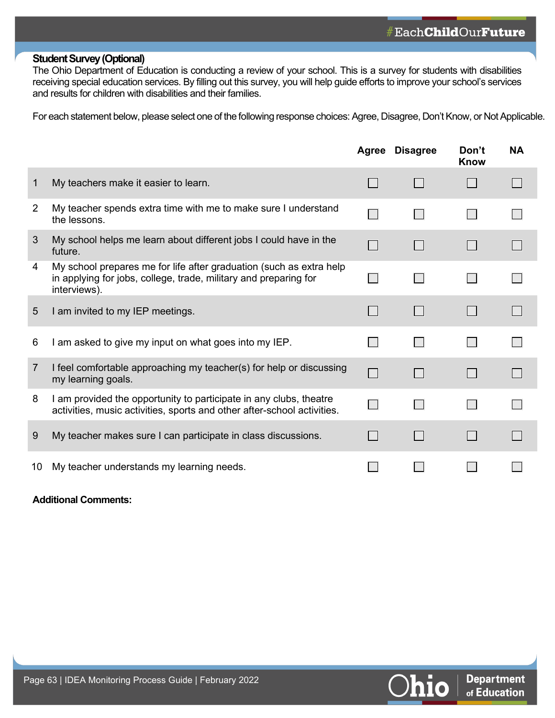#### **Student Survey (Optional)**

The Ohio Department of Education is conducting a review of your school. This is a survey for students with disabilities receiving special education services. By filling out this survey, you will help guide efforts to improve your school's services and results for children with disabilities and their families.

For each statement below, please select one of the following response choices: Agree, Disagree, Don't Know, or Not Applicable.

|                |                                                                                                                                                         | Agree | <b>Disagree</b> | Don't<br><b>Know</b> | <b>NA</b> |
|----------------|---------------------------------------------------------------------------------------------------------------------------------------------------------|-------|-----------------|----------------------|-----------|
| 1              | My teachers make it easier to learn.                                                                                                                    |       |                 |                      |           |
| $\overline{2}$ | My teacher spends extra time with me to make sure I understand<br>the lessons.                                                                          |       |                 |                      |           |
| 3              | My school helps me learn about different jobs I could have in the<br>future.                                                                            |       |                 |                      |           |
| 4              | My school prepares me for life after graduation (such as extra help<br>in applying for jobs, college, trade, military and preparing for<br>interviews). |       |                 |                      |           |
| 5              | I am invited to my IEP meetings.                                                                                                                        |       |                 |                      |           |
| 6              | I am asked to give my input on what goes into my IEP.                                                                                                   |       |                 |                      |           |
| $\overline{7}$ | I feel comfortable approaching my teacher(s) for help or discussing<br>my learning goals.                                                               |       |                 |                      |           |
| 8              | I am provided the opportunity to participate in any clubs, theatre<br>activities, music activities, sports and other after-school activities.           |       |                 |                      |           |
| 9              | My teacher makes sure I can participate in class discussions.                                                                                           |       |                 |                      |           |
| 10             | My teacher understands my learning needs.                                                                                                               |       |                 |                      |           |

#### **Additional Comments:**

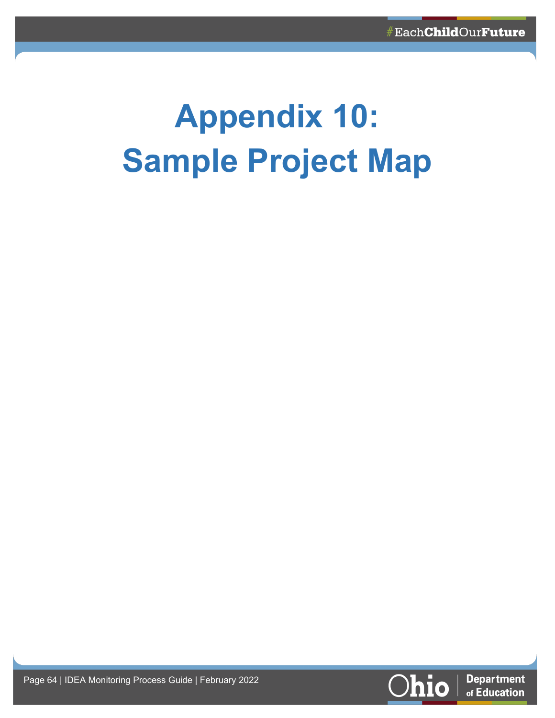# **Appendix 10: Sample Project Map**

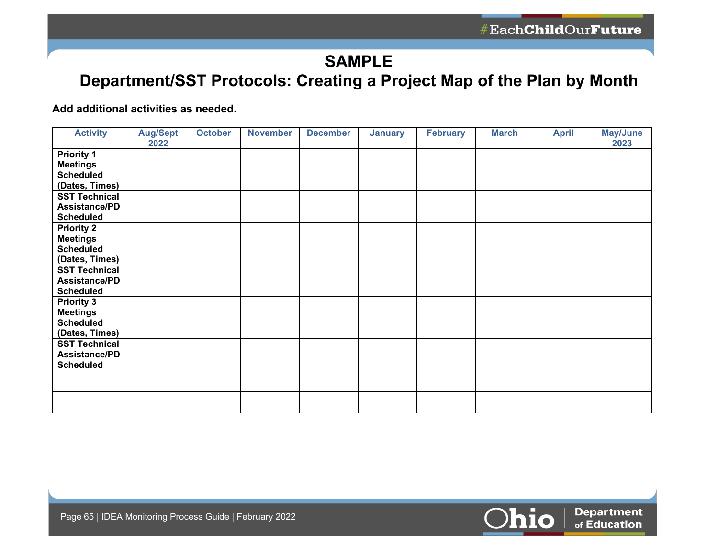# <span id="page-64-0"></span>**SAMPLE**

# **Department/SST Protocols: Creating a Project Map of the Plan by Month**

#### **Add additional activities as needed.**

| <b>Activity</b>      | <b>Aug/Sept</b><br>2022 | <b>October</b> | <b>November</b> | <b>December</b> | <b>January</b> | <b>February</b> | <b>March</b> | <b>April</b> | <b>May/June</b><br>2023 |
|----------------------|-------------------------|----------------|-----------------|-----------------|----------------|-----------------|--------------|--------------|-------------------------|
| <b>Priority 1</b>    |                         |                |                 |                 |                |                 |              |              |                         |
| <b>Meetings</b>      |                         |                |                 |                 |                |                 |              |              |                         |
| <b>Scheduled</b>     |                         |                |                 |                 |                |                 |              |              |                         |
| (Dates, Times)       |                         |                |                 |                 |                |                 |              |              |                         |
| <b>SST Technical</b> |                         |                |                 |                 |                |                 |              |              |                         |
| <b>Assistance/PD</b> |                         |                |                 |                 |                |                 |              |              |                         |
| <b>Scheduled</b>     |                         |                |                 |                 |                |                 |              |              |                         |
| <b>Priority 2</b>    |                         |                |                 |                 |                |                 |              |              |                         |
| <b>Meetings</b>      |                         |                |                 |                 |                |                 |              |              |                         |
| <b>Scheduled</b>     |                         |                |                 |                 |                |                 |              |              |                         |
| (Dates, Times)       |                         |                |                 |                 |                |                 |              |              |                         |
| <b>SST Technical</b> |                         |                |                 |                 |                |                 |              |              |                         |
| <b>Assistance/PD</b> |                         |                |                 |                 |                |                 |              |              |                         |
| <b>Scheduled</b>     |                         |                |                 |                 |                |                 |              |              |                         |
| <b>Priority 3</b>    |                         |                |                 |                 |                |                 |              |              |                         |
| <b>Meetings</b>      |                         |                |                 |                 |                |                 |              |              |                         |
| <b>Scheduled</b>     |                         |                |                 |                 |                |                 |              |              |                         |
| (Dates, Times)       |                         |                |                 |                 |                |                 |              |              |                         |
| <b>SST Technical</b> |                         |                |                 |                 |                |                 |              |              |                         |
| <b>Assistance/PD</b> |                         |                |                 |                 |                |                 |              |              |                         |
| <b>Scheduled</b>     |                         |                |                 |                 |                |                 |              |              |                         |
|                      |                         |                |                 |                 |                |                 |              |              |                         |
|                      |                         |                |                 |                 |                |                 |              |              |                         |
|                      |                         |                |                 |                 |                |                 |              |              |                         |

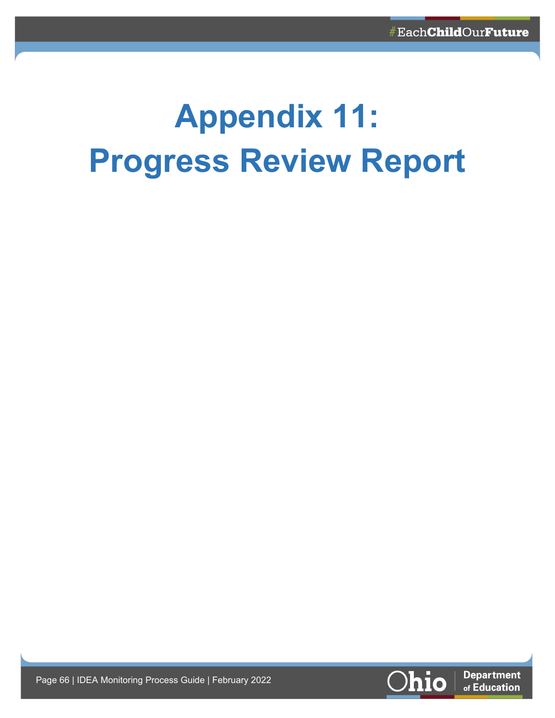# **Appendix 11: Progress Review Report**



Page 66 | IDEA Monitoring Process Guide | February 2022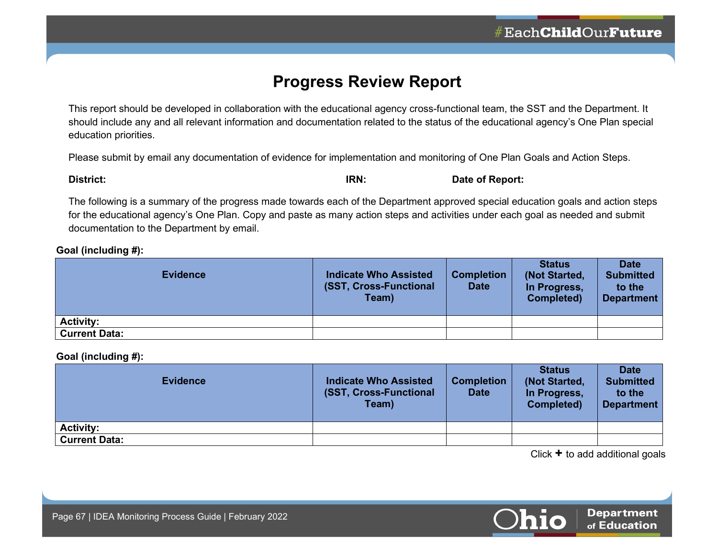# **Progress Review Report**

This report should be developed in collaboration with the educational agency cross-functional team, the SST and the Department. It should include any and all relevant information and documentation related to the status of the educational agency's One Plan special education priorities.

Please submit by email any documentation of evidence for implementation and monitoring of One Plan Goals and Action Steps.

| District: | IRN. | Date of Report: |
|-----------|------|-----------------|
|-----------|------|-----------------|

The following is a summary of the progress made towards each of the Department approved special education goals and action steps for the educational agency's One Plan. Copy and paste as many action steps and activities under each goal as needed and submit documentation to the Department by email.

#### <span id="page-66-0"></span>**Goal (including #):**

| <b>Evidence</b>      | Indicate Who Assisted<br>(SST, Cross-Functional<br>Team) | <b>Completion</b><br><b>Date</b> | <b>Status</b><br>(Not Started,<br>In Progress,<br><b>Completed)</b> | <b>Date</b><br><b>Submitted</b><br>to the<br><b>Department</b> |
|----------------------|----------------------------------------------------------|----------------------------------|---------------------------------------------------------------------|----------------------------------------------------------------|
| <b>Activity:</b>     |                                                          |                                  |                                                                     |                                                                |
| <b>Current Data:</b> |                                                          |                                  |                                                                     |                                                                |

#### **Goal (including #):**

| <b>Evidence</b>      | Indicate Who Assisted<br>(SST, Cross-Functional<br>Team) | <b>Completion</b><br><b>Date</b> | <b>Status</b><br>(Not Started,<br>In Progress,<br>Completed) | <b>Date</b><br><b>Submitted</b><br>to the<br><b>Department</b> |
|----------------------|----------------------------------------------------------|----------------------------------|--------------------------------------------------------------|----------------------------------------------------------------|
| <b>Activity:</b>     |                                                          |                                  |                                                              |                                                                |
| <b>Current Data:</b> |                                                          |                                  |                                                              |                                                                |

Click **+** to add additional goals

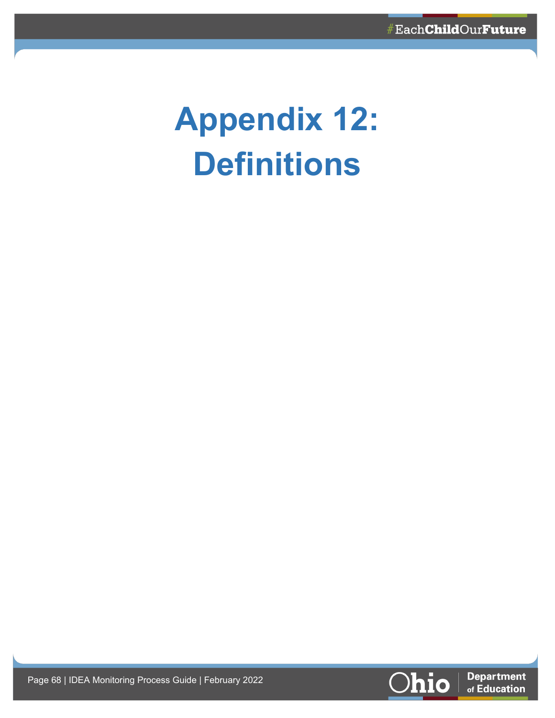# **Appendix 12: Definitions**

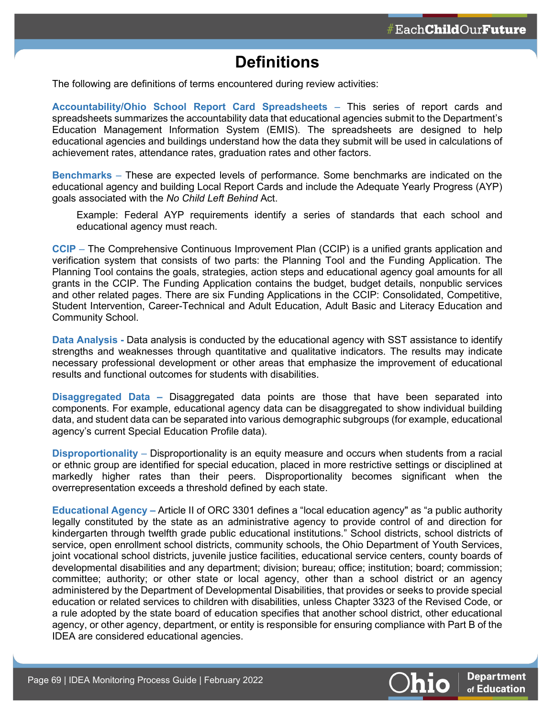# **Definitions**

<span id="page-68-0"></span>The following are definitions of terms encountered during review activities:

**Accountability/Ohio School Report Card Spreadsheets** – This series of report cards and spreadsheets summarizes the accountability data that educational agencies submit to the Department's Education Management Information System (EMIS). The spreadsheets are designed to help educational agencies and buildings understand how the data they submit will be used in calculations of achievement rates, attendance rates, graduation rates and other factors.

**Benchmarks** – These are expected levels of performance. Some benchmarks are indicated on the educational agency and building Local Report Cards and include the Adequate Yearly Progress (AYP) goals associated with the *No Child Left Behind* Act.

Example: Federal AYP requirements identify a series of standards that each school and educational agency must reach.

**CCIP** – The Comprehensive Continuous Improvement Plan (CCIP) is a unified grants application and verification system that consists of two parts: the Planning Tool and the Funding Application. The Planning Tool contains the goals, strategies, action steps and educational agency goal amounts for all grants in the CCIP. The Funding Application contains the budget, budget details, nonpublic services and other related pages. There are six Funding Applications in the CCIP: Consolidated, Competitive, Student Intervention, Career-Technical and Adult Education, Adult Basic and Literacy Education and Community School.

**Data Analysis -** Data analysis is conducted by the educational agency with SST assistance to identify strengths and weaknesses through quantitative and qualitative indicators. The results may indicate necessary professional development or other areas that emphasize the improvement of educational results and functional outcomes for students with disabilities.

**Disaggregated Data –** Disaggregated data points are those that have been separated into components. For example, educational agency data can be disaggregated to show individual building data, and student data can be separated into various demographic subgroups (for example, educational agency's current Special Education Profile data).

**Disproportionality** – Disproportionality is an equity measure and occurs when students from a racial or ethnic group are identified for special education, placed in more restrictive settings or disciplined at markedly higher rates than their peers. Disproportionality becomes significant when the overrepresentation exceeds a threshold defined by each state.

**Educational Agency –** Article II of ORC 3301 defines a "local education agency" as "a public authority legally constituted by the state as an administrative agency to provide control of and direction for kindergarten through twelfth grade public educational institutions." School districts, school districts of service, open enrollment school districts, community schools, the Ohio Department of Youth Services, joint vocational school districts, juvenile justice facilities, educational service centers, county boards of developmental disabilities and any department; division; bureau; office; institution; board; commission; committee; authority; or other state or local agency, other than a school district or an agency administered by the Department of Developmental Disabilities, that provides or seeks to provide special education or related services to children with disabilities, unless Chapter 3323 of the Revised Code, or a rule adopted by the state board of education specifies that another school district, other educational agency, or other agency, department, or entity is responsible for ensuring compliance with Part B of the IDEA are considered educational agencies.



**Department** of Education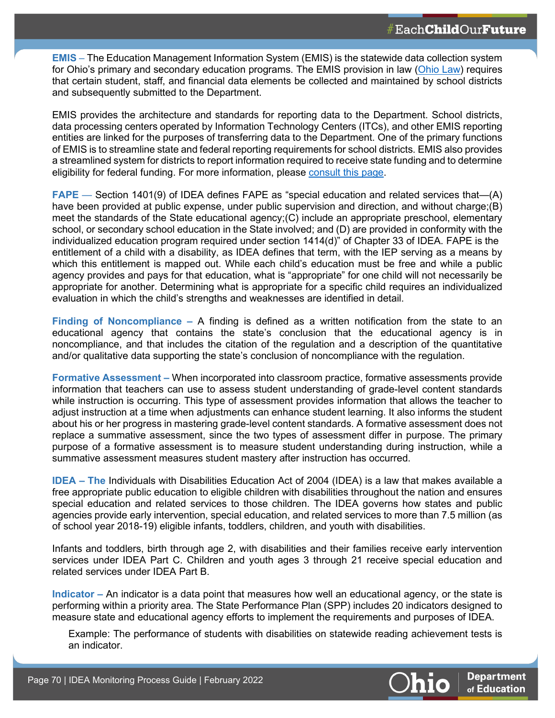**EMIS** – The Education Management Information System (EMIS) is the statewide data collection system for Ohio's primary and secondary education programs. The EMIS provision in law [\(Ohio Law\)](http://codes.ohio.gov/orc/3301.0714) requires that certain student, staff, and financial data elements be collected and maintained by school districts and subsequently submitted to the Department.

EMIS provides the architecture and standards for reporting data to the Department. School districts, data processing centers operated by Information Technology Centers (ITCs), and other EMIS reporting entities are linked for the purposes of transferring data to the Department. One of the primary functions of EMIS is to streamline state and federal reporting requirements for school districts. EMIS also provides a streamlined system for districts to report information required to receive state funding and to determine eligibility for federal funding. For more information, please [consult this page.](http://education.ohio.gov/getattachment/Topics/Data/EMIS/EMIS-Documentation/Current-EMIS-Manual/1-1-EMIS-Overviewv-6-0.pdf.aspx?lang=en-US)

**FAPE** — Section 1401(9) of IDEA defines FAPE as "special education and related services that—(A) have been provided at public expense, under public supervision and direction, and without charge;(B) meet the standards of the State educational agency;(C) include an appropriate preschool, elementary school, or secondary school education in the State involved; and (D) are provided in conformity with the individualized education program required under section 1414(d)" of Chapter 33 of IDEA. FAPE is the entitlement of a child with a disability, as IDEA defines that term, with the IEP serving as a means by which this entitlement is mapped out. While each child's education must be free and while a public agency provides and pays for that education, what is "appropriate" for one child will not necessarily be appropriate for another. Determining what is appropriate for a specific child requires an individualized evaluation in which the child's strengths and weaknesses are identified in detail.

**Finding of Noncompliance –** A finding is defined as a written notification from the state to an educational agency that contains the state's conclusion that the educational agency is in noncompliance, and that includes the citation of the regulation and a description of the quantitative and/or qualitative data supporting the state's conclusion of noncompliance with the regulation.

**Formative Assessment –** When incorporated into classroom practice, formative assessments provide information that teachers can use to assess student understanding of grade-level content standards while instruction is occurring. This type of assessment provides information that allows the teacher to adjust instruction at a time when adjustments can enhance student learning. It also informs the student about his or her progress in mastering grade-level content standards. A formative assessment does not replace a summative assessment, since the two types of assessment differ in purpose. The primary purpose of a formative assessment is to measure student understanding during instruction, while a summative assessment measures student mastery after instruction has occurred.

**IDEA – The** Individuals with Disabilities Education Act of 2004 (IDEA) is a law that makes available a free appropriate public education to eligible children with disabilities throughout the nation and ensures special education and related services to those children. The IDEA governs how states and public agencies provide early intervention, special education, and related services to more than 7.5 million (as of school year 2018-19) eligible infants, toddlers, children, and youth with disabilities.

Infants and toddlers, birth through age 2, with disabilities and their families receive early intervention services under IDEA Part C. Children and youth ages 3 through 21 receive special education and related services under IDEA Part B.

**Indicator –** An indicator is a data point that measures how well an educational agency, or the state is performing within a priority area. The State Performance Plan (SPP) includes 20 indicators designed to measure state and educational agency efforts to implement the requirements and purposes of IDEA.

Example: The performance of students with disabilities on statewide reading achievement tests is an indicator.